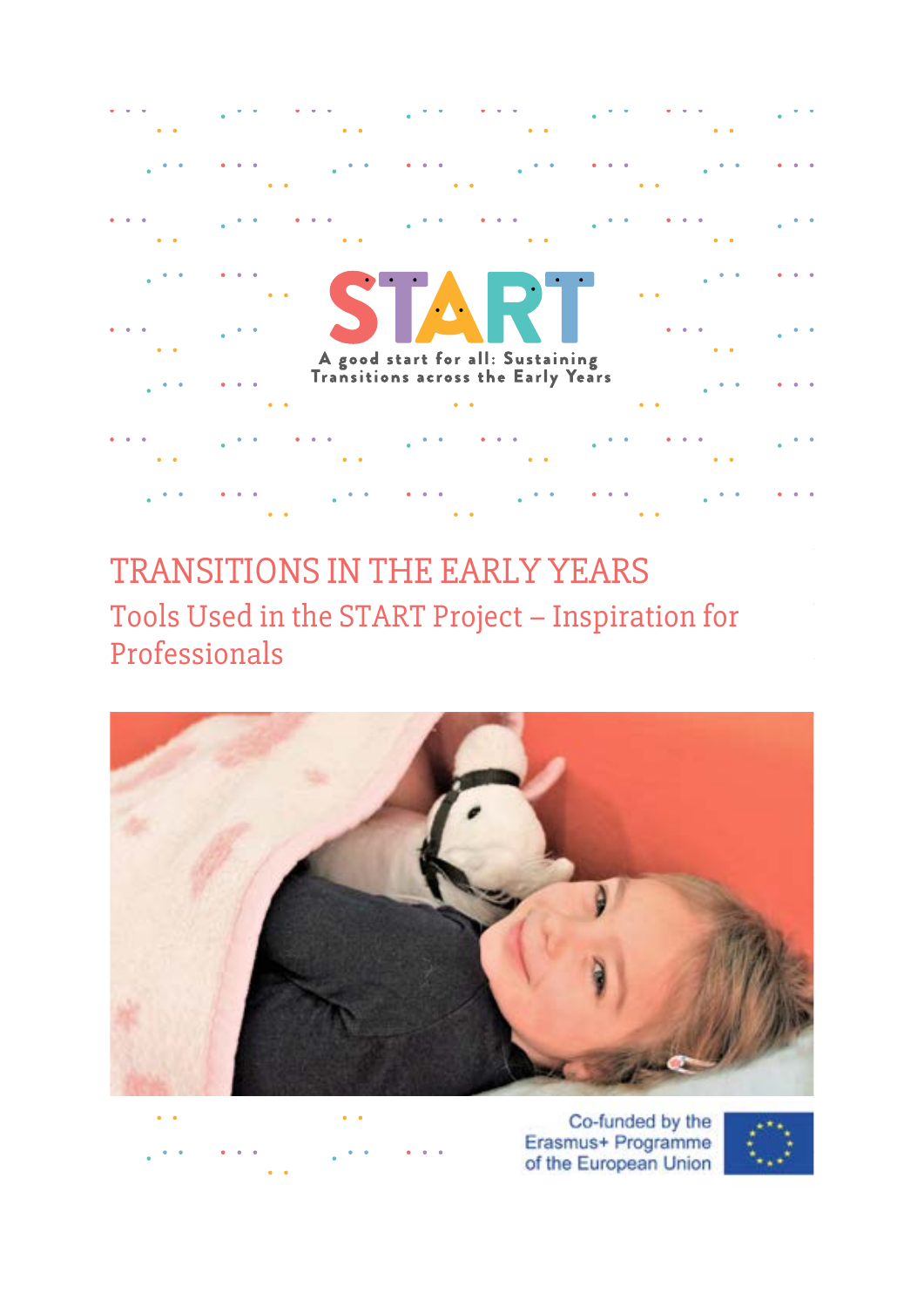

# $\bm{\sigma}$  and also ligit in sections to also represent a political model and  $\bm{\sigma}$ TRANSITIONS IN THE EARLY YEARS  $\sigma$  are related to talk are related to talk and exchange information need of parents to talk and exchange information Tools Used in the START Project – Inspiration for  $W_{\text{max}}$  is a set of the has eaten in primary school, I don't know whether he has had a had a had a had a had a had a had a had a had a had a had a had a had a had a had a had a had a had a had a had a had a had a had a good day, don't know what kind of mood he is going to be in, don't know any the in, don't know any the internationals



The process of the process in the process in the policies and process is described in four national policies is described in four national policies in four national policies is described in four national policies in four n START case study reports. In each pilot and inter-institutional learning community was defined an inter-institutional learning community was defined an inter-institutional learning community was defined and community was d

of the European Union

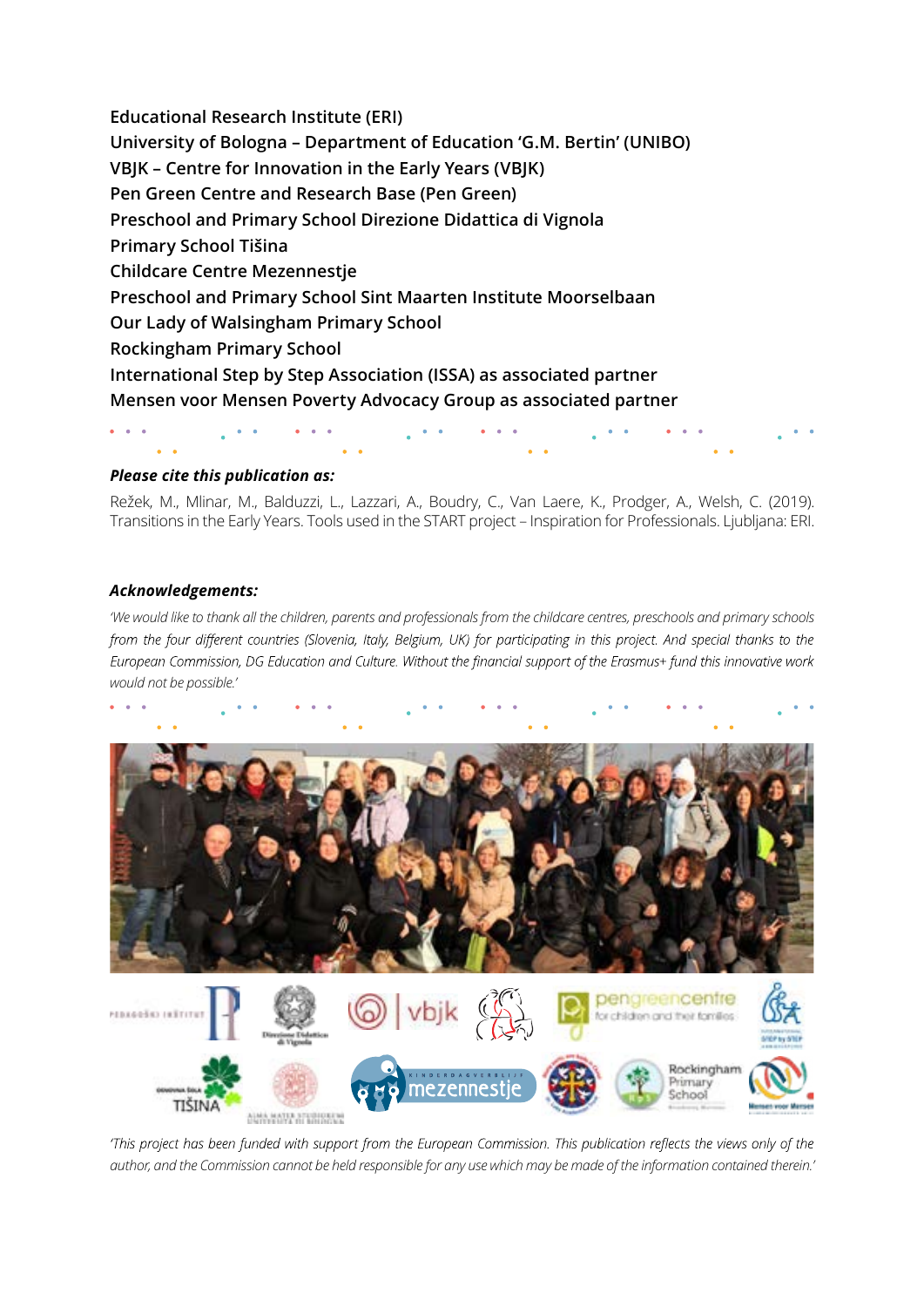Educational Research Institute (ERI)  $t$  the next phase  $\epsilon$  phase  $\epsilon$  pre-school of primary school teachers or pre-school teachers of  $R$ University of Bologna – Department of Education **'G.M. Bertin' (UNIBO)**<br>———————————————————— VBJK – Centre for Innovation in the Early Years (VBJK) Pen Green Centre and Research Base (Pen Green) which they need to redefine their roles. In a lot of cases, especially vulnerable children are not able Preschool and Primary School Direzione Didattica di Vignola constant running around and using physicality to 'fit in'. In order to help themselves to regulate, they **Primary School Tišina**  $\blacksquare$ Childcare Centre Mezennestje with one set of toys (animals). Furthermore, parents pointed out how per relationships are changing are changing are changing are changing are changing are changing are changing are changing are changing are changing are Preschool and Primary School Sint Maarten Institute Moorselbaan **Our Lady of Walsingham Primary School** and the water our face big changes during the water of the water of the  $i$  Dockinghom Drimary School themselves in rather complex positions in  $\mathbb{R}^n$ Rockingham Primary School International Step by Step Association (ISSA) as associated partner Mensen voor Mensen Poverty Advocacy Group as associated partner

### the preschool teacher? I have the impression that a child in preschool suddenly needs to grow up.' *(Parent, Belgium, Fl) Please cite this publication as:*

Režek, M., Mlinar, M., Balduzzi, L., Lazzari, A., Boudry, C., Van Laere, K., Prodger, A., Welsh, C. (2019). Režek, M., Mlinar, M., Balduzzi, L., Lazzari, A., Boudry, C., Van Laere, K., Prodger, A., Welsh, C. (2019).<br>Transitions in the Early Years. Tools used in the START project – Inspiration for Professionals. Ljubljana: ERI

some fears when he has to go to school. What if he is not potty trained and will not be seen by

### need to belong and be included in the (pre)school and broader society. It is remarkable how the questions on care are related to the overwhelming need of parents to talk and exchange information *Acknowledgements:*

'We would like to thank all the children, parents and professionals from the childcare centres, preschools and primary schools from the four different countries (Slovenia, Italy, Belgium, UK) for participating in this project. And special thanks to the European Commission, DG Education and Culture. Without the financial support of the Erasmus+ fund this innovative work The preschool was more relaxed…more friendly and welcoming… Now, you have to stand in the *would not be possible.'*



This project has been funded with support from the European Commission. This publication reflects the views only of the author, and the Commission cannot be held responsible for any use which may be made of the information contained therein.'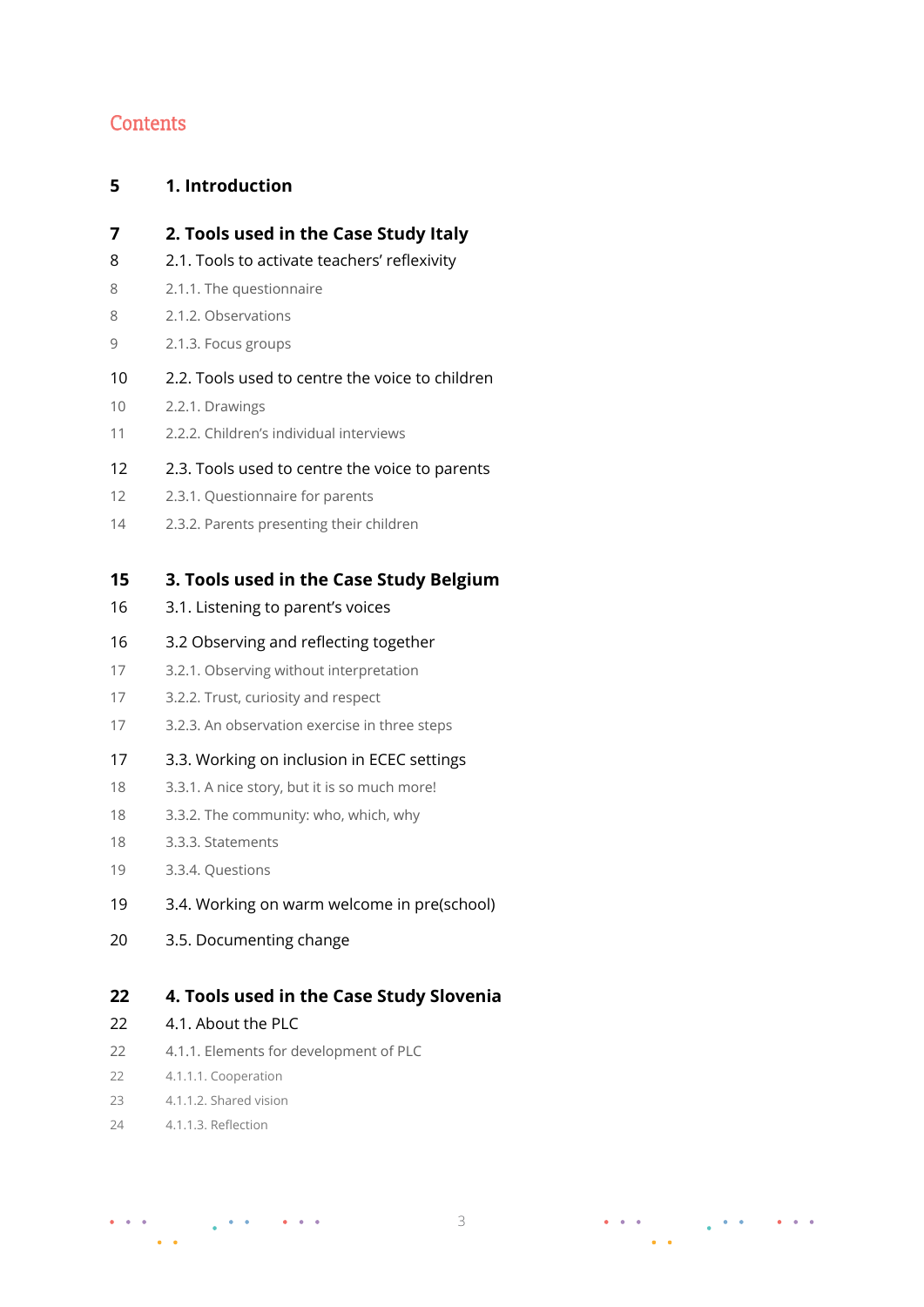### Contents **in all**  $t_{\text{intra}}$  , present pre-school teachers or primary school teachers or primary school teachers or primary school teachers or primary school teachers or primary school teachers or primary school teachers or primary school

|                         | <b>Contents</b>                                 |  |
|-------------------------|-------------------------------------------------|--|
| $5\phantom{a}$          | 1. Introduction                                 |  |
| $\overline{\mathbf{z}}$ | 2. Tools used in the Case Study Italy           |  |
| 8                       | 2.1. Tools to activate teachers' reflexivity    |  |
| 8                       | 2.1.1. The questionnaire                        |  |
| 8                       | 2.1.2. Observations                             |  |
| 9                       | 2.1.3. Focus groups                             |  |
| 10                      | 2.2. Tools used to centre the voice to children |  |
| 10                      | 2.2.1. Drawings                                 |  |
| 11                      | 2.2.2. Children's individual interviews         |  |
| 12                      | 2.3. Tools used to centre the voice to parents  |  |
| 12                      | 2.3.1. Questionnaire for parents                |  |
| 14                      | 2.3.2. Parents presenting their children        |  |
| 15                      | 3. Tools used in the Case Study Belgium         |  |
| 16                      | 3.1. Listening to parent's voices               |  |
| 16                      | 3.2 Observing and reflecting together           |  |
| 17                      | 3.2.1. Observing without interpretation         |  |
| 17                      | 3.2.2. Trust, curiosity and respect             |  |
| 17                      | 3.2.3. An observation exercise in three steps   |  |
| 17                      | 3.3. Working on inclusion in ECEC settings      |  |
| 18                      | 3.3.1. A nice story, but it is so much more!    |  |
| 18                      | 3.3.2. The community: who, which, why           |  |
| 18                      | 3.3.3. Statements                               |  |
| 19                      | 3.3.4. Questions                                |  |
| 19                      | 3.4. Working on warm welcome in pre(school)     |  |
| 20                      | 3.5. Documenting change                         |  |
| 22                      | 4. Tools used in the Case Study Slovenia        |  |
| 22                      | 4.1. About the PLC                              |  |
| 22                      | 4.1.1. Elements for development of PLC          |  |
| 22                      | 4.1.1.1. Cooperation                            |  |
| 23                      | 4.1.1.2. Shared vision                          |  |
| 24                      | 4.1.1.3. Reflection                             |  |

- 22 [4.1. About the PLC](#page-21-0)
- Pilot in Tišina, Slovenia: Collaboration between pre- and primary school staff to develop transitional 22 4.1.1. Elements for development of PLC
- [Pilot in Vignola, Italy: C](#page-21-0)ollaboration between pre- and primary school staff to re-think educational 22 4.1.1.1. Cooperation
- 23 4.1.1.2. Shared vision
- 24 and 1.1.1.3. Reflection and process and process and process is described in four  $\alpha$  and process is described in four  $\alpha$

 $\overline{\mathbf{r}}$  .

 $\sim$   $\sim$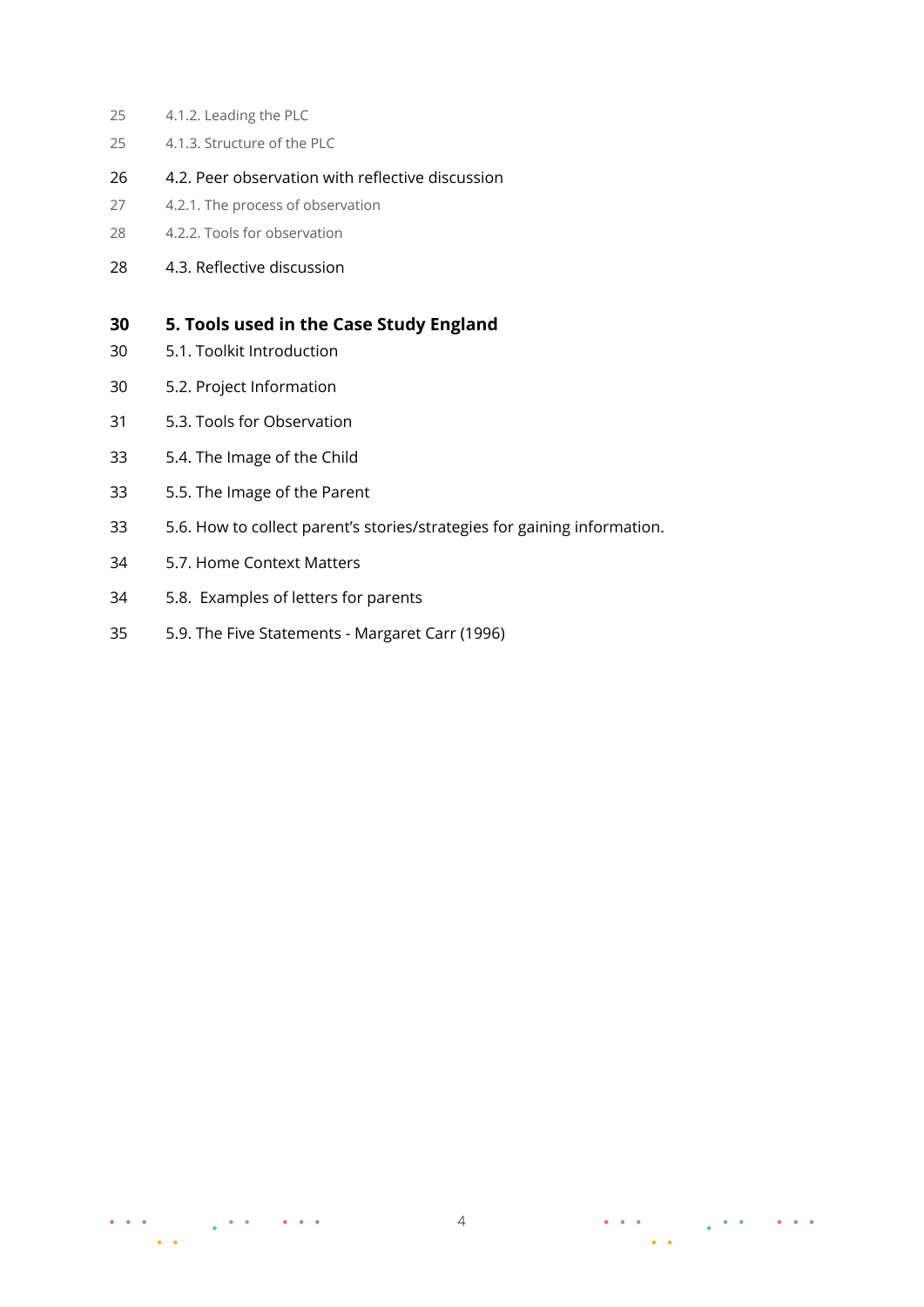- 25 4.1.2. Leading the PLC
- 25 [4.1.3. Structure of the PLC](#page-24-0)  $\frac{1}{2}$  incompetent of the hinder over the highest state trained, and  $\frac{1}{2}$  not yet to include trained, and  $\frac{1}{2}$
- 26 4.2. Peer observation with reflective discussion the drawings and observations point out how children also transition into a new group of peers in
- 27 4.2.1. The process of observation
- 28 4.2.2. Tools for observation many environment behaviours, using patterns of the new environment behaviours, using patterns of the new environment of the new environment of the new environment of the new environment of t
- 28 4.3. Reflective discussion and playing and playing and playing exclusively exclusively exclusively and playing exclusively exclusively exclusively exclusively exclusively exclusively exclusively exclusively exclusively

# [new friends. In general, parents also expressed how t](#page-29-0)hey face big changes during transition. Our **30 5. Tools used in the Case Study England** 4.1.2. Leading the PLC<br>
4.1.3. Structure of the PLC<br>
4.2. Peer observation with reflective discu<br>
27 4.2.1. The process of observation<br>
4.2.2. Tools for observation<br>
4.3. Reflective discussion<br>
5. Tools used in the Case St

- $\overline{\phantom{a}}$  for  $\overline{\phantom{a}}$  focus groups show the matrix positions in which complex positions in which which which which which we have  $\overline{\phantom{a}}$ 30 [5.1. Toolkit Introduction](#page-29-0)
- 30 5.2. Project Information **the toilet autonomously when they are three years of the toilet autonomously when they are three years of the toilet autonomously when they are three years of the toilet autonomously when the t**
- 31 5.3. Tools for Observation **I have interested although I think he is not ready for the issues** of this. I experience is not ready for this. I experience is not ready for this. I experience is not ready for the interesti
- 33 5.4. The Image of the Child in preschool suddenly needs to grow needs to grow  $\sim$
- [It should be noted that irrespective o](#page-32-0)f the context and the ECEC/school system, many questions on 33 5.5. The Image of the Parent
- 33 E. 6 How to collect parent's stories/strategies for gaining information 33 5.6. How to collect parent's stories/strategies for gaining information.
- 34 5.7. Home Context Matters seem to also represent a political and political and political and political and political and political and political and political and political and political and political and political and
- 34 5.8. Examples of letters for parents to talk and exchange information in the overwhelming information in the overwhelming in  $\mathbb{R}$
- 35 S.P. The Five Statements Margaret Carr (1996)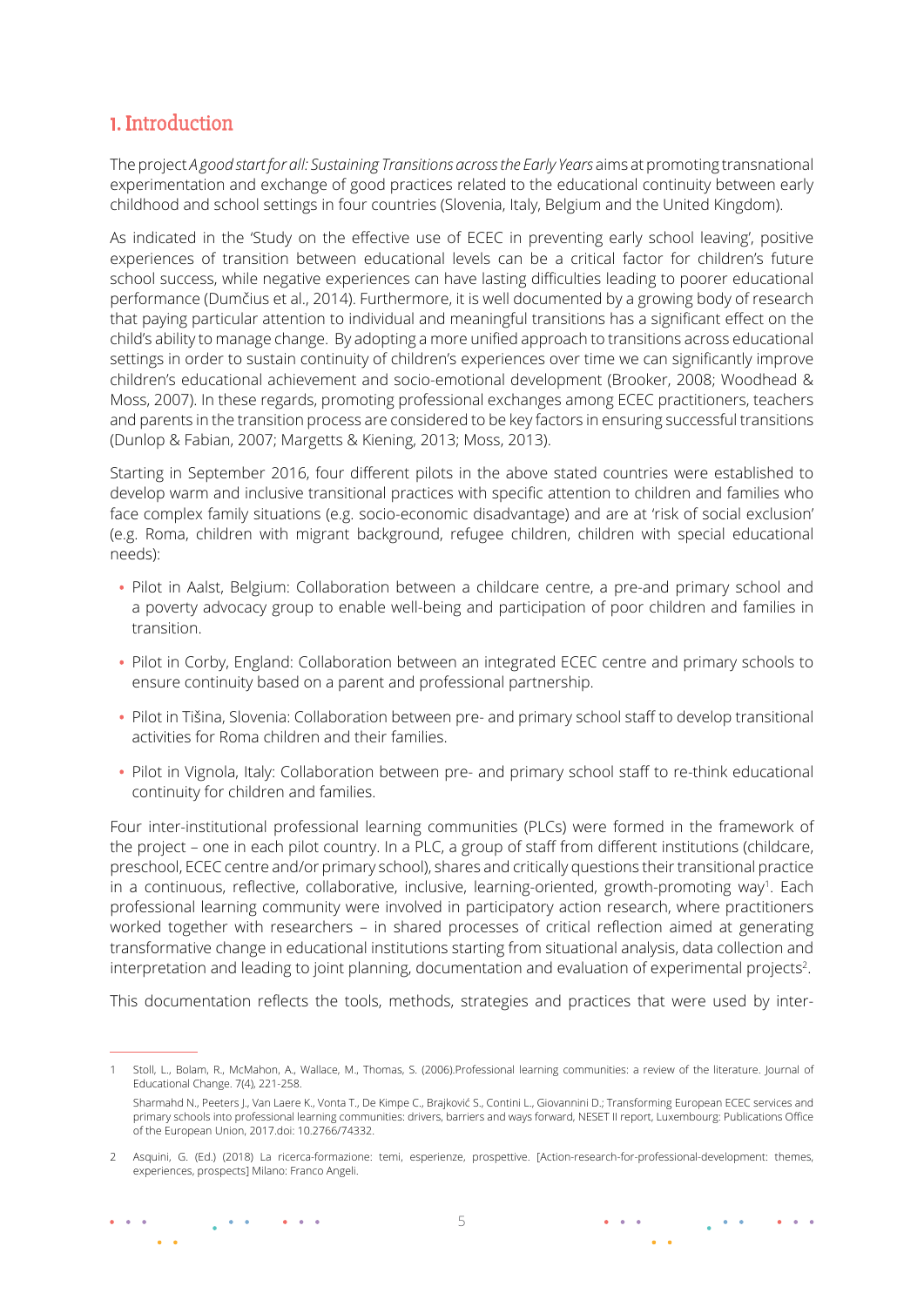### <span id="page-4-0"></span>1. Introduction  $t_{\rm max}$  phase (pre-school) by the primary school teachers or pre-school teachers or primary school teachers or primary school teachers or primary school teachers or primary school teachers or primary school teachers or p

The needs at A see eletent for all Custoin in Traindings negro the Fork Vegree inco at presenting transportional The project *A good start for all: Sustaining Transitions across the Early Years a*ims at promoting transnational<br>experimentation and exchange of good practices related to the educational continuity between early childhood and school settings in four countries (Slovenia, Italy, Belgium and the United Kingdom).

to indicated in the Ctudy on the offective vee of FCFC in proventing early school leaving pacitive As indicated in the 'Study on the effective use of ECEC in preventing early school leaving', positive<br>As indicated in the 'Study on the effective use of ECEC in preventing early school leaving', positive experiences of transition between educational levels can be a critical factor for children's future school success, while negative experiences can have lasting difficulties leading to poorer educational performance (Dumčius et al., 2014). Furthermore, it is well documented by a growing body of research that paying particular attention to individual and meaningful transitions has a significant effect on the child's ability to manage change. By adopting a more unified approach to transitions across educational settings in order to sustain continuity of children's experiences over time we can significantly improve children's educational achievement and socio-emotional development (Brooker, 2008; Woodhead & Moss, 2007). In these regards, promoting professional exchanges among ECEC practitioners, teachers and parents in the transition process are considered to be key factors in ensuring successful transitions (Dunlop & Fabian, 2007; Margetts & Kiening, 2013; Moss, 2013). 1. Introduction<br>
The project Agood Sort (for all Sustaining Pronsitions correspondent<br>
constrained and exchange of good proctices (Sustaining correspondent<br>
constrained in the Study on the effective use of the study of th

Starting in September 2016, four different pilots in the above stated countries were established to develop warm and inclusive transitional practices with specific attention to children and families who face complex family situations (e.g. socio-economic disadvantage) and are at 'risk of social exclusion' when families are more at risk of societal exclusion (e.g. Roma families, parents of children with special (e.g. Roma, children with migrant background, refugee children, children with special educational needs);<br>here power that in severe power power power power power a power and power and power and power and power and po needs):

- Pilot in Aalst, Belgium: Collaboration between a childcare centre, a pre-and primary school and I not in Adist, beginnt condibutation between a children centre, a pre-aritr primary scribbility a poverty advocacy group to enable well-being and participation of poor children and families in  $W$  do don't know whether he has eaten in primary school, I don't know whether he has had a had a had a had a had a had a had a had a had a had a had a had a had a had a had a had a had a had a had a had a had a had a had transition.
- Pilot in Corby, England: Collaboration between an integrated ECEC centre and primary schools to ensure continuity based on a parent and professional partnership. play ground, you have to stand out one by out one by out one by one by one by one by one by one, go straight t
- Pilot in Tišina, Slovenia: Collaboration between pre- and primary school staff to develop transitional activities for Roma children and their families.
- Pilot in Vignola, Italy: Collaboration between pre- and primary school staff to re-think educational continuity for children and families.

Four inter-institutional professional learning communities (PLCs) were formed in the framework of 3.1. The power of inter-institutional professional learning communities preschool, ECEC centre and/or primary school), shares and critically questions their transitional practice In a communist reflective, comporative, fillialiste, fearming-oriented, growth-promining way . Each professional learning community were involved in participatory action research, where practitioners worked together with researchers in a shared processes or childar renection anned at generating<br>transformative change in educational institutions starting from situational analysis, data collection and a portificial de la posta group to enable were advocated well-being and poor children and families in the post interpretation and leading to joint planning, documentation and evaluation of experimental projects<sup>2</sup>. the project – one in each pilot country. In a PLC, a group of staff from different institutions (childcare, in a continuous, reflective, collaborative, inclusive, learning-oriented, growth-promoting way<sup>1</sup>. Each worked together with researchers – in shared processes of critical reflection aimed at generating

This documentation reflects the tools, methods, strategies and practices that were used by intercontinuity based on a parent and professional partnership.

activities for Roma children and their families. 1 Stoll, L., Bolam, R., McMahon, A., Wallace, M., Thomas, S. (2006).Professional learning communities: a review of the literature. Journal of • Pilot in Vignola, Italy: Collaboration between pre- and primary school staff to re-think educational Educational Change. 7(4), 221-258.

Sharmahd N., Peeters J., Van Laere K., Vonta T., De Kimpe C., Brajković S., Contini L., Giovannini D.; Transforming European ECEC services and primary schools into professional learning communities: drivers, barriers and ways forward, NESET II report, Luxembourg: Publications Office<br>of the Euronean Union, 2017 doi: 10.2766/74332 START case study reports. In each pilot an inter-institutional professional learning community was of the European Union, 2017.doi: 10.2766/74332.

<sup>2</sup> Asquini, G. (Ed.) (2018) La ricerca-formazione: temi, esperienze, prospettive. [Action-research-for-professional-development: themes,<br>constigates escensetel Milane Frase Angeli experiences, prospects] Milano: Franco Angeli.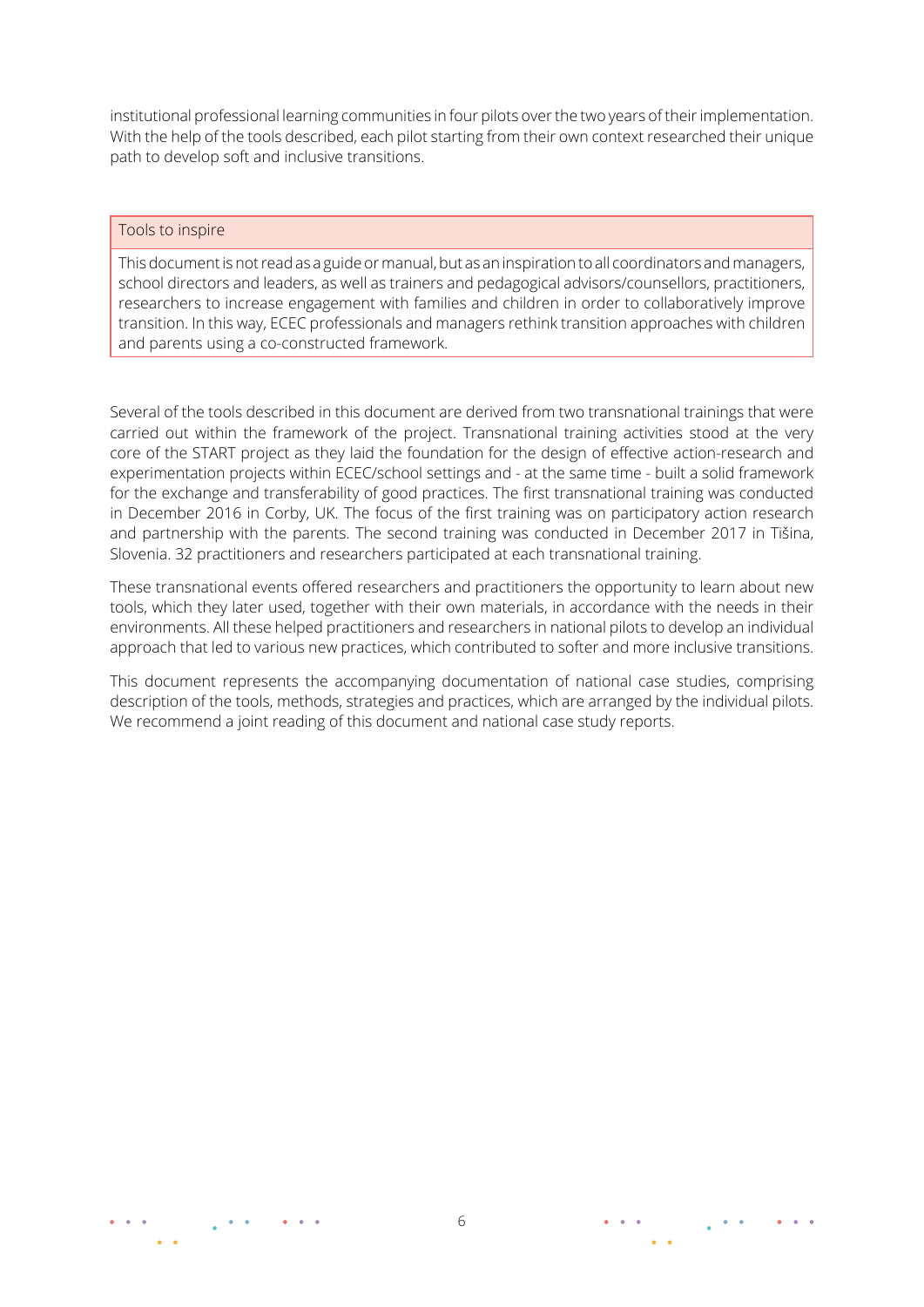institutional professional learning communities in four pilots over the two years of their implementation. With the help of the tools described, each pilot starting from their own context researched their unique path to develop soft and inclusive transitions. The matrix of the state to develop soft and inclusive transitions.

which they need to redefine the to redefine their roles. In a lot of cases, especially vulnerable children are

## to self-regulate in the new environment, which manifested into difficult behaviours, using patterns of Tools to inspire

constant running around and using physicality to 'fit in'. In order to help themselves to regulate, they This document is not read as a guide or manual, but as an inspiration to all coordinators and managers,  $\mid$ school directors and leaders, as well as trainers and pedagogical advisors/counsellors, practitioners,  $\mid$ researchers to increase engagement with families and children in order to collaboratively improve transition. In this way, ECEC professionals and managers rethink transition approaches with children and parents using a co-constructed framework. The matrix positions in which which is a rather complex positions in which which is a rather complex positions in which which is a rather complex position of  $\vert$ they discussed they are considered the expectations of the expectations of the (pre-) school.

Several of the tools described in this document are derived from two transnational trainings that were pressure to make him all sure to make the interest of the interest of the interest of the interest of the interest of the interest of the interest of the interest of the interest of the interest of the interest of the inte carried out within the framework of the project. Transnational training activities stood at the very core of the START project as they laid the foundation for the design of effective action-research and experimentation projects within ECEC/school settings and - at the same time - built a solid framework It is the noted that is definite of the context and the Cech-state interview of the ECEC/school system, many questions of the Cechin December 2016 in Corby, UK. The focus of the first training was on participatory action research<br> $\overline{a}$ and partnership with the parents. The second training was conducted in December 2017 in Tišina, Slovenia. 32 practitioners and researchers participated at each transnational training. internal professional learning communities in four pilot starting in four pilot starting computer in four pilot starting communities in the two years of the two years of the two years of the two years of the two years of t for the exchange and transferability of good practices. The first transnational training was conducted

These transnational events offered researchers and practitioners the opportunity to learn about new mest translational events on created testal criticis and practitioners the opportunity to talk about hew tools, which they later used, together with their own materials, in accordance with the needs in their<br>.  $W$  and  $W$  is a set of the has eaten in primary school. In primary school, I do to  $\epsilon$  and  $\epsilon$  and  $\epsilon$  and  $\epsilon$  and  $\epsilon$  and  $\epsilon$  and  $\epsilon$  and  $\epsilon$  and  $\epsilon$  and  $\epsilon$  and  $\epsilon$  and  $\epsilon$  and  $\epsilon$  and  $\epsilon$  and  $\epsilon$  and  $\$ approach that led to various new practices, which contributed to softer and more inclusive transitions.<br>. environments. All these helped practitioners and researchers in national pilots to develop an individual

This document represents the accompanying documentation of national case studies, comprising description of the tools, methods, strategies and practices, which are arranged by the individual pilots.  $pro~~parameters and the souls and the souls to talk to a teacher or find out any then you any the souls and  $\rho$  then  $\rho$ </del>~~$ We recommend a joint reading of this document and national case study reports.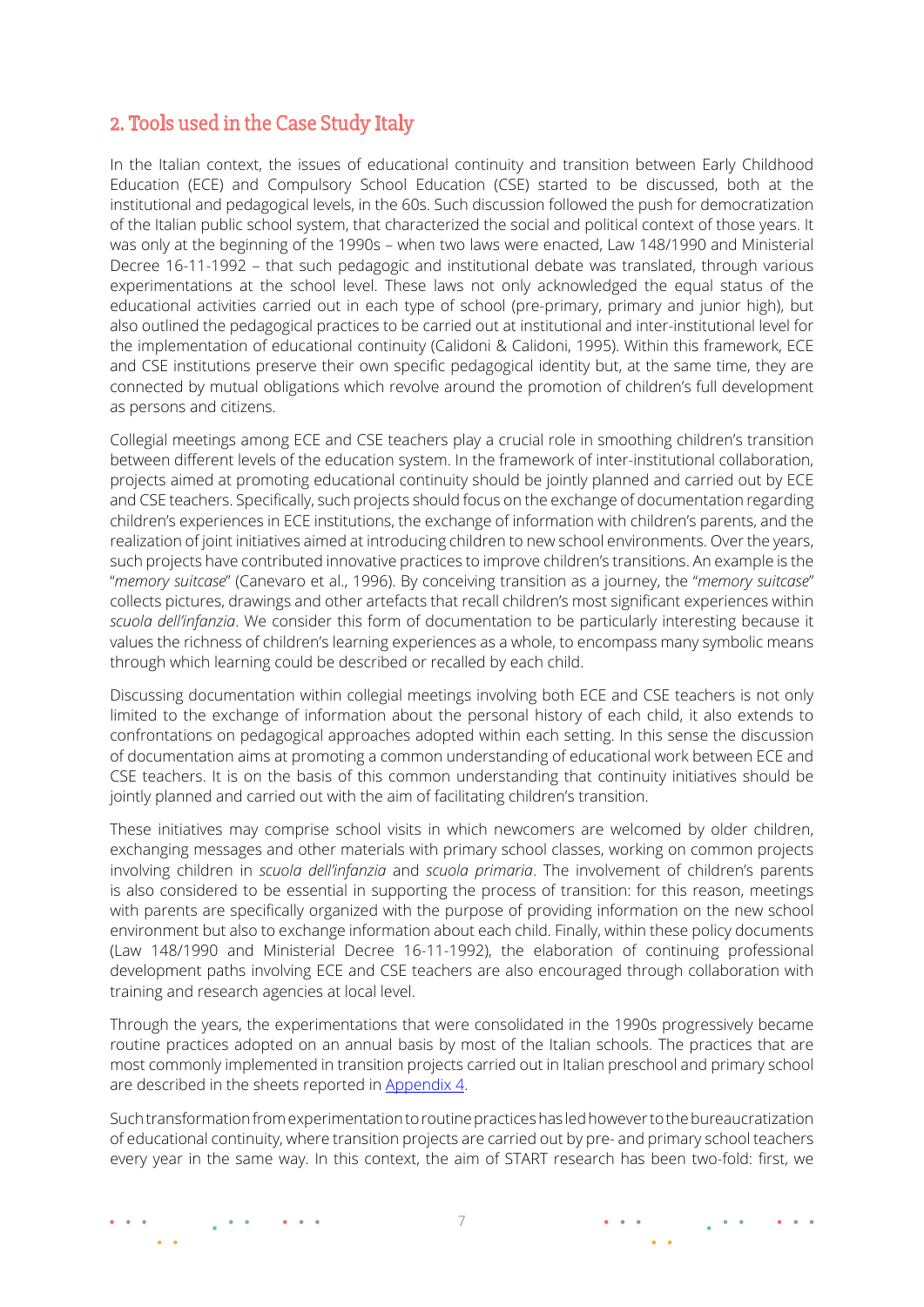### <span id="page-6-0"></span> $\sigma$  Tools used in the Case Study Italy the next phase (pre-school or primary school) by the pre-school teachers or primary school teachers

In the Italian context the issues of columpional continuity and transition between Forky Childhood, In the Italian context, the issues of educational continuity and transition between Early Childhood<br>Educational Child Child Child Children Children Continuity and transition between Early Childhood Education (ECE) and Compulsory School Education (CSE) started to be discussed, both at the institutional and pedagogical levels, in the 60s. Such discussion followed the push for democratization of the Italian public school system, that characterized the social and political context of those years. It was only at the beginning of the 1990s – when two laws were enacted, Law 148/1990 and Ministerial Decree 16-11-1992 – that such pedagogic and institutional debate was translated, through various Decree 16-11-1992 – that such pedagogic and institutional debate was translated, through various<br>experimentations at the school level. These laws not only acknowledged the equal status of the educational activities carried out in each type of school (pre-primary, primary and junior high), but also outlined the pedagogical practices to be carried out at institutional and inter-institutional level for the implementation of educational continuity (Calidoni & Calidoni, 1995). Within this framework, ECE and CSE institutions preserve their own specific pedagogical identity but, at the same time, they are connected by mutual obligations which revolve around the promotion of children's full development as persons and citizens. The matrix of the start present present present present present present present present 2. Tools used in the Case Study Italy<br>In the Italian context, the issues of educational effection (ECE) and compulsory School Education<br>Institutional and peebagogical levels. To the 0.5 such compute that institutional effe

Collegial meetings among ECE and CSE teachers play a crucial role in smoothing children's transition between different levels of the education system. In the framework of inter-institutional collaboration, projects aimed at promoting educational continuity should be jointly planned and carried out by ECE and CSE teachers. Specifically, such projects should focus on the exchange of documentation regarding children's experiences in ECE institutions, the exchange of information with children's parents, and the children's experiences in ECE institutions, the exchange of information with children's parents, and the<br>realization of joint initiatives aimed at introducing children to new school environments. Over the years, such projects have contributed innovative practices to improve children's transitions. An example is the "*memory suitcase"* (Canevaro et al., 1996). By conceiving transition as a journey, the "*memory suitcase*" collects pictures, drawings and other artefacts that recall children's most significant experiences within about the transition of their child with professionals from childcare, pre-school or primary school. *scuola dell'infanzia*. We consider this form of documentation to be particularly interesting because it values the richness of children's learning experiences as a whole, to encompass many symbolic means through which learning could be described or recalled by each child.  $T_{\rm eff}$  was more relaxed…more friendly and welcoming… Now, you have to stand in the standard in the standard in the standard in the standard in the standard in the standard in the standard in the standard in the standard

Discussing documentation within collegial meetings involving both ECE and CSE teachers is not only limited to the exchange of information about the personal history of each child, it also extends to confrontations on pedagogical approaches adopted within each setting. In this sense the discussion of documentation aims at promoting a common understanding of educational work between ECE and CSE teachers. It is on the basis of this common understanding that continuity initiatives should be jointly planned and carried out with the aim of facilitating children's transition.

These initiatives may comprise school visits in which newcomers are welcomed by older children, 3.1. The power of inter-institutional professional learning communities involving children in *scuola dell'infanzia* and *scuola primaria*. The involvement of children's parents is also considered to be essential in supporting the process of transition: for this reason, meetings with parents are specifically organized with the purpose of providing information on the new school environment but also to exchange information about each child. Finally, within these policy documents (Law 148/1990 and Ministerial Decree 16-11-1992), the elaboration of continuing professional development paths involving ECE and CSE teachers are also encouraged through collaboration with training and research agencies at local level. exchanging messages and other materials with primary school classes, working on common projects

Through the years, the experimentations that were consolidated in the 1990s progressively became routine practices adopted on an annual basis by most of the Italian schools. The practices that are most commonly implemented in transition projects carried out in Italian preschool and primary school are described in the sheets reported in [Appendix 4](http://start.pei.si/wp-content/uploads/sites/11/2019/07/annex_4.pdf). continuity for children and families

Such transformation from experimentation to routine practices has led however to the bureaucratization of educational continuity, where transition projects are carried out by pre- and primary school teachers every year in the same way. In this context, the aim of START research has been two-fold: first, we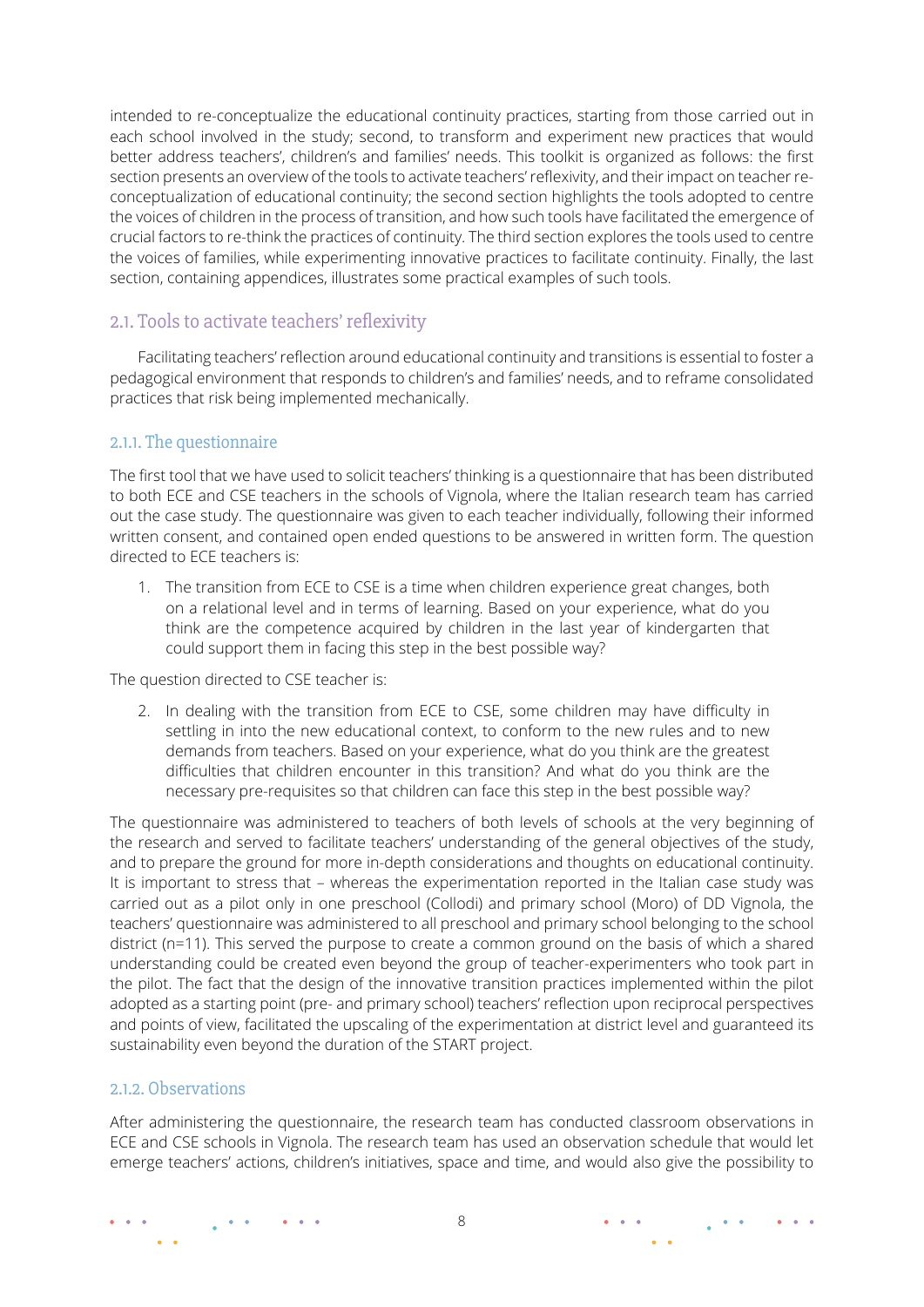<span id="page-7-0"></span>intended to re-conceptualize the educational continuity practices, starting from those carried out in each school involved in the study; second, to transform and experiment new practices that would better address teachers', children's and families' needs. This toolkit is organized as follows: the first section presents an overview of the tools to activate teachers' reflexivity, and their impact on teacher reconceptualization of educational continuity; the second section highlights the tools adopted to centre the voices of children in the process of transition, and how such tools have facilitated the emergence of are voices of enhancement are process of administry, and now seen tools have reemated the emergence of<br>crucial factors to re-think the practices of continuity. The third section explores the tools used to centre constant run nun in the physical of constant running and using physical constant running and using the local to the local the voices of families, while experimenting innovative practices to facilitate continuity. Finally, the last in<br>... section, containing appendices, illustrates some practical examples of such tools.

# 2.1. Tools to activate teachers' reflexivity

Facilitating teachers' reflection around educational continuity and transitions is essential to foster a pedagogical environment that responds to children's and families' needs, and to reframe consolidated practices that risk being implemented mechanically.

# some fears when he has to go to school. What if he is not potty trained and will not be seen by 2.1.1. The questionnaire

the preschool teacher? I have the impression that a child in preschool suddenly needs to grow The first tool that we have used to solicit teachers' thinking is a questionnaire that has been distributed to both ECE and CSE teachers in the schools of Vignola, where the Italian research team has carried out the case study. The questionnaire was given to each teacher individually, following their informed written consent, and contained open ended questions to be answered in written form. The question directed to ECE teachers is:  $\frac{d}{dt}$  are political and political and political and political and political and political and political and political and political and political and political and political and political a

1. The transition from ECE to CSE is a time when children experience great changes, both t. The transition from LCL to CSL is a time when critical experience great changes, both on a relational level and in terms of learning. Based on your experience, what do you  $\epsilon$  and a consect them in figure a sequence when when  $\epsilon$  is the hast negative when  $\beta$ could support them in facing this step in the best possible way? think are the competence acquired by children in the last year of kindergarten that

The question directed to CSE teacher is:  $\frac{1}{2}$  is stand in the standard in the standard in the standard in the standard in the standard in the standard in the standard in the standard in the standard in the standard in

playground, you have to stand outside. The children come out one by one, go straight to the 2. In dealing with the transition from ECE to CSE, some children may have difficulty in settling in into the new educational context, to conform to the new rules and to new demands from teachers. Based on your experience, what do you think are the greatest difficulties that children encounter in this transition? And what do you think are the necessary pre-requisites so that children can face this step in the best possible way?

The questionnaire was administered to teachers of both levels of schools at the very beginning of<br>the research and sexual to facilitate teachers' understanding of the general abiestives of the study. and to prepare the ground for more in-depth considerations and thoughts on educational continuity. carried out as a pilot only in one preschool (Collodi) and primary school (Moro) of DD Vignola, the starting in September 2016: teachers' questionnaire was administered to all preschool and primary school belonging to the school district (n=11). This served the purpose to create a common ground on the basis of which a shared and provide well-being and participation of poor children and families in the state of military and families in the<br>understanding could be created even beyond the group of teacher-experimenters who took part in transition the pilot. The fact that the design of the innovative transition practices implemented within the pilot adopted as a starting point (pre- and primary school) teachers' reflection upon reciprocal perspectives and points of view, facilitated the upscaling of the experimentation at district level and guaranteed its sustainability even beyond the duration of the START project. activities for Roma children and their families. intended to re-conceptualize the educational continuity practices, starting from those carried one carried out<br>one carried out in each school in each school in each school in each school in each school in each school in ea the research and served to facilitate teachers' understanding of the general objectives of the study, It is important to stress that – whereas the experimentation reported in the Italian case study was

### • Pilot in Vignola, Italy: Collaboration between pre- and primary school staff to re-think educational 2.1.2. Observations 2. Cooler attenue

After administering the questionnaire, the research team has conducted classroom observations in ECE and CSE schools in Vignola. The research team has used an observation schedule that would let ECE and CSE schools in Vignola. The research team has used an observation schedule that would let<br>emerge teachers' actions, children's initiatives, space and time, and would also give the possibility to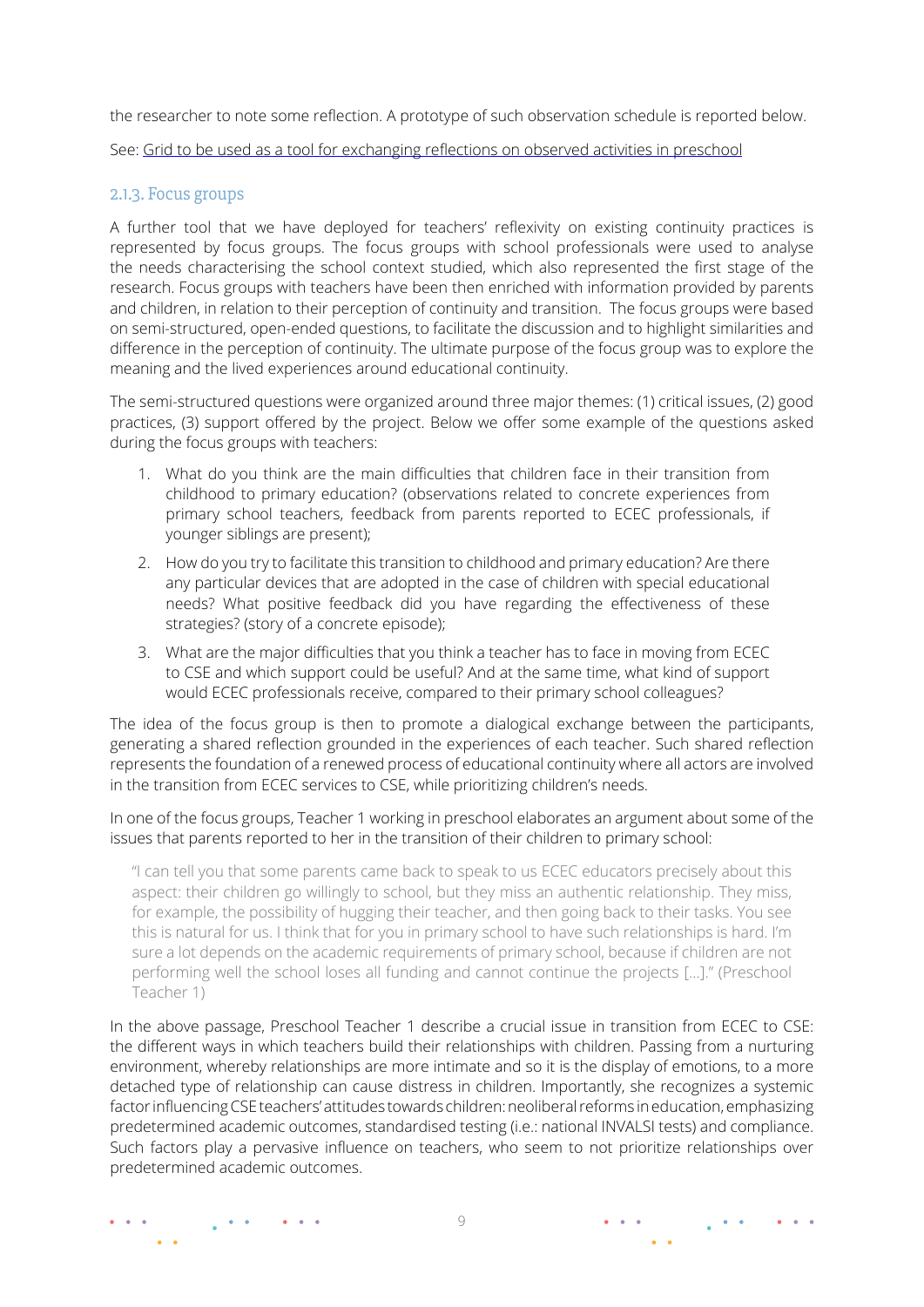<span id="page-8-0"></span>the researcher to note some reflection. A prototype of such observation schedule is reported below. the next phase (pre-school or primary school) by the pre-school teachers or primary school teachers

See: <u>Grid to be used as a tool for exchanging reflections on observed activities in preschool</u>

# the drawings and observations point out how children also transitions per second personal control of peers in  $\alpha$

which they need to redefine the to redefine their roles. In a lot of cases, especially vulnerable children are A further tool that we have deployed for teachers' reflexivity on existing continuity practices is represented by focus groups. The focus groups with school professionals were used to analyse represented by focus groups. The focus groups with school professionals were used to analyse<br>the needs characterising the school context studied, which also represented the first stage of the research. Focus groups with teachers have been then enriched with information provided by parents and children, in relation to their perception of continuity and transition. The focus groups were based on semi-structured, open-ended questions, to facilitate the discussion and to highlight similarities and on semi-selves can performance questions, to natitate the diseased interesting in simulations and<br>difference in the perception of continuity. The ultimate purpose of the focus group was to explore the ancrence in the perception or continuity. The ditinuite par pose of<br>meaning and the lived experiences around educational continuity.

'Aren't children normally ready to the toilet autonomously when they are they are they are they are three years The semi-structured questions were organized around three major themes: (1) critical issues, (2) good practices, (3) support offered by the project. Below we offer some example of the questions asked during the focus groups with teachers:  $\frac{d}{dx}$  and will not be seen by seen by seen by seen by seen by seen by seen by seen by seen by seen by seen by seen by seen by seen by seen by seen by seen by seen by seen by seen

- 1. What do you think are the main difficulties that children face in their transition from childhood to primary education? (observations related to concrete experiences from<br>experiences from primary school teachers, feedback from parents reported to ECEC professionals, if younger siblings are present); e.g. Roma families, paraents of children with special exclusion (e.g. Roma families, parents of children with special exclusion (e.g. Roma families, parents of children with special exclusion
- 2. How do you try to facilitate this transition to childhood and primary education? Are there any particular devices that are adopted in the case of children with special educational any paracelated to the order to the procedure in the case of participation completed to the complete information into the except information in the except information in the except information in the effectiveness of these about the transition of the transition of the transition of the children children children children school or primary school.
	- $\mathcal{L}_{\text{max}}$  is a set of the has eaten in primary school, I don't know whether had a had a had a had a had a had a had a had a had a had a had a had a had a had a had a had a had a had a had a had a had a had a had a had 3. What are the major difficulties that you think a teacher has to face in moving from ECEC to CSE and which support could be useful? And at the same time, what kind of support would ECEC professionals receive, compared to their primary school colleagues?

The idea of the focus group is then to promote a dialogical exchange between the participants, like I could go the process in the process and the process and the participal intervention. generating a shared reflection grounded in the experiences of each teacher. Such shared reflection represents the foundation of a renewed process of educational continuity where all actors are involved in the transition from ECEC services to CSE, while prioritizing children's needs.

in one or the focus groups, reacher if working in preschoorelaborates an argument abor<br>issues that parents reported to her in the transition of their children to primary school: In one of the focus groups, Teacher 1 working in preschool elaborates an argument about some of the

3.1. The power of inter-institutional professional learning communities "I can tell you that some parents came back to speak to us ECEC educators precisely about this aspect: their children go willingly to school, but they miss an authentic relationship. They miss, for example, the possibility of hugging their teacher, and then going back to their tasks. You see this is natural for us. I think that for you in primary school to have such relationships is hard. I'm sure a lot depends on the academic requirements of primary school, because if children are not performing well the school loses all funding and cannot continue the projects [...]." (Preschool effect in Corporation between an integrated ECEC centre and primary schools to ensure and primary schools to ensure and primary schools to ensure and primary schools to ensure and primary schools to ensure and primary scho Teacher 1)

In the above passage, Preschool Teacher 1 describe a crucial issue in transition from ECEC to CSE: the different ways in which teachers build their relationships with children. Passing from a nurturing environment, whereby relationships are more intimate and so it is the display of emotions, to a more environment, detached type of relationship can cause distress in children. Importantly, she recognizes a systemic continuity for children and families factor influencing CSE teachers' attitudes towards children: neoliberal reforms in education, emphasizing predetermined academic outcomes, standardised testing (i.e.: national INVALSI tests) and compliance. .<br>Such factors play a pervasive influence on teachers, who seem to not prioritize relationships over predetermined academic outcomes.<br>
predetermined academic outcomes. The researcher to the researcher to note that is responsed to the researcher to note that is responsed below. A prototype of such observations an associated schedule is responsed below. We will be recorded by Polos Revise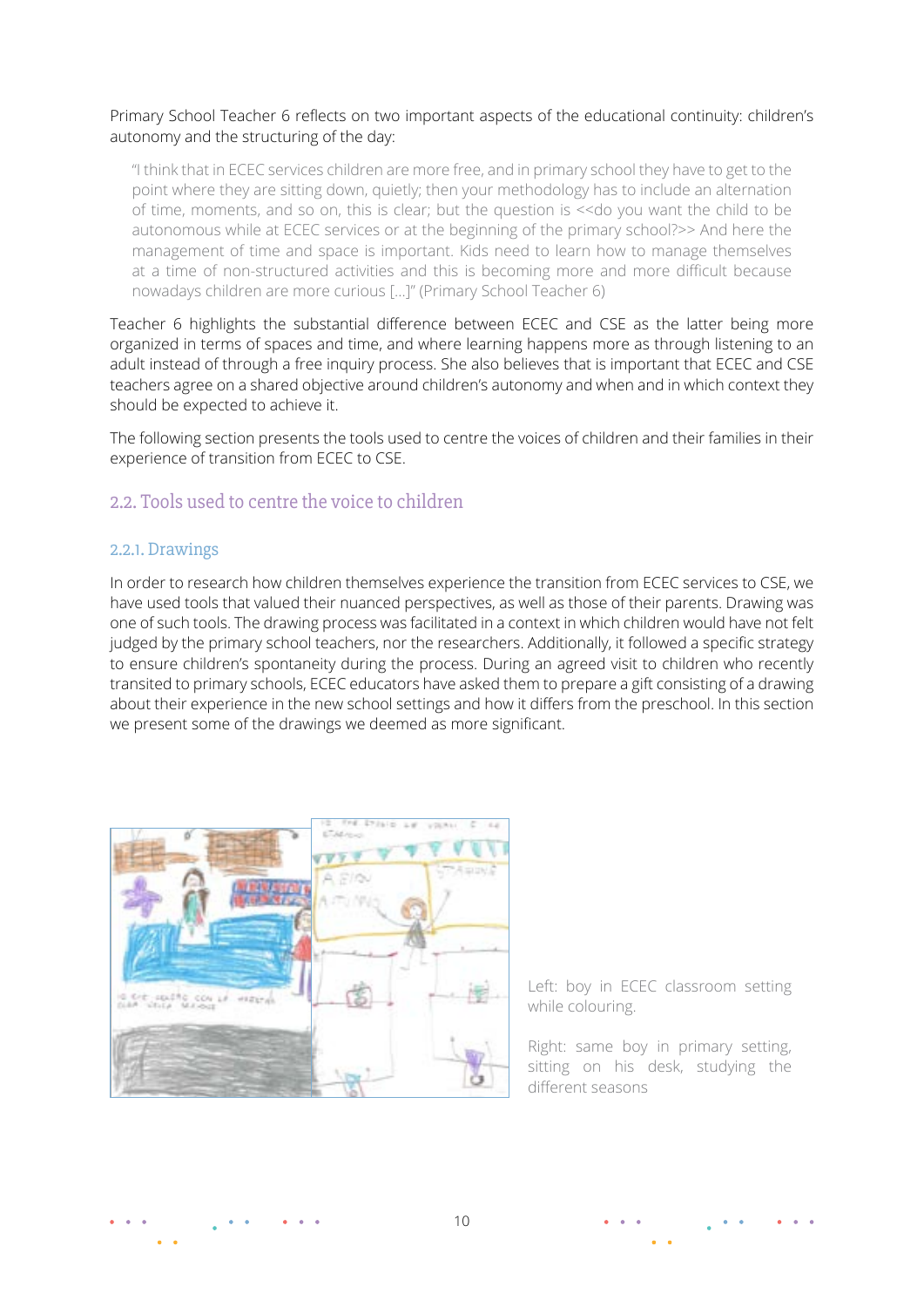# <span id="page-9-0"></span>Primary School Teacher 6 reflects on two important aspects of the educational continuity: children's<br>autonomy and the structuring of the day: autonomy and the structuring of the day:

"I think that in ECEC services children are more free, and in primary school they have to get to the point where they are sitting down, quietly; then your methodology has to include an alternation of time, moments, and so on, this is clear; but the question is <<do you want the child to be autonomous while at ECEC services or at the beginning of the primary school?>> And here the management of time and space is important. Kids need to learn how to manage themselves at a time of non-structured activities and this is becoming more and more difficult because nowadays children are more curious [...]" (Primary School Teacher 6) for the their children and parents expressed the hope that the hope that the hope to connect and find the set of the set of the set of the set of the set of the set of the set of the set of the set of the set of the set of

Teacher 6 highlights the substantial difference between ECEC and CSE as the latter being more organized in terms of spaces and time, and where learning happens more as through listening to an adult instead of through a free inquiry process. She also believes that is important that ECEC and CSE teachers agree on a shared objective around children's autonomy and when and in which context they should be expected to achieve it. I feel the start preschool soon. I feel the start preschool social social soon. I feel the start preschool soon. I feel the start preschool soon. I feel the start preschool soon. I feel th

The following section presents the tools used to centre the voices of children and their families in their experience of transition from ECEC to CSE. The impression to grow needs to grow needs to grow needs to grow needs to grow  $\alpha$ 

# 2.2. Tools used to centre the voice to children, many questions on the extension on  $\mathbb{R}^n$

### $0.01$  Dromings  $n_{\rm s}$ .  $n_{\rm H}$  in severe power power power power seem to also represent a political political political political political political political political political political political political political political pol 2.2.1. Drawings

In order to research how children themselves experience the transition from ECEC services to CSE, we have used tools that valued their nuanced perspectives, as well as those of their parents. Drawing was nave doed tools that valued their hadheed perspectives, as well as those or their parents. Staming thas one of such tools. The drawing process was facilitated in a context in which children would have not felt judged by the primary school teachers, nor the researchers. Additionally, it followed a specific strategy to ensure children's spontaneity during the process. During an agreed visit to children who recently transited to primary schools, ECEC educators have asked them to prepare a gift consisting of a drawing play ground, you have to see to stand out of the children come out of  $\alpha$  in  $\alpha$  is the children computation of  $\alpha$  is the children computation of  $\alpha$  is the children computation of  $\alpha$  is the children computation of parents and then you leave so you don't even get to talk to a teacher or find out anything…I felt about their experience in the new school settings and how it differs from the preschool. In this section we present some of the drawings we deemed as more significant.



Left: boy in ECEC classroom setting while colouring.

sitting on his desk, studying the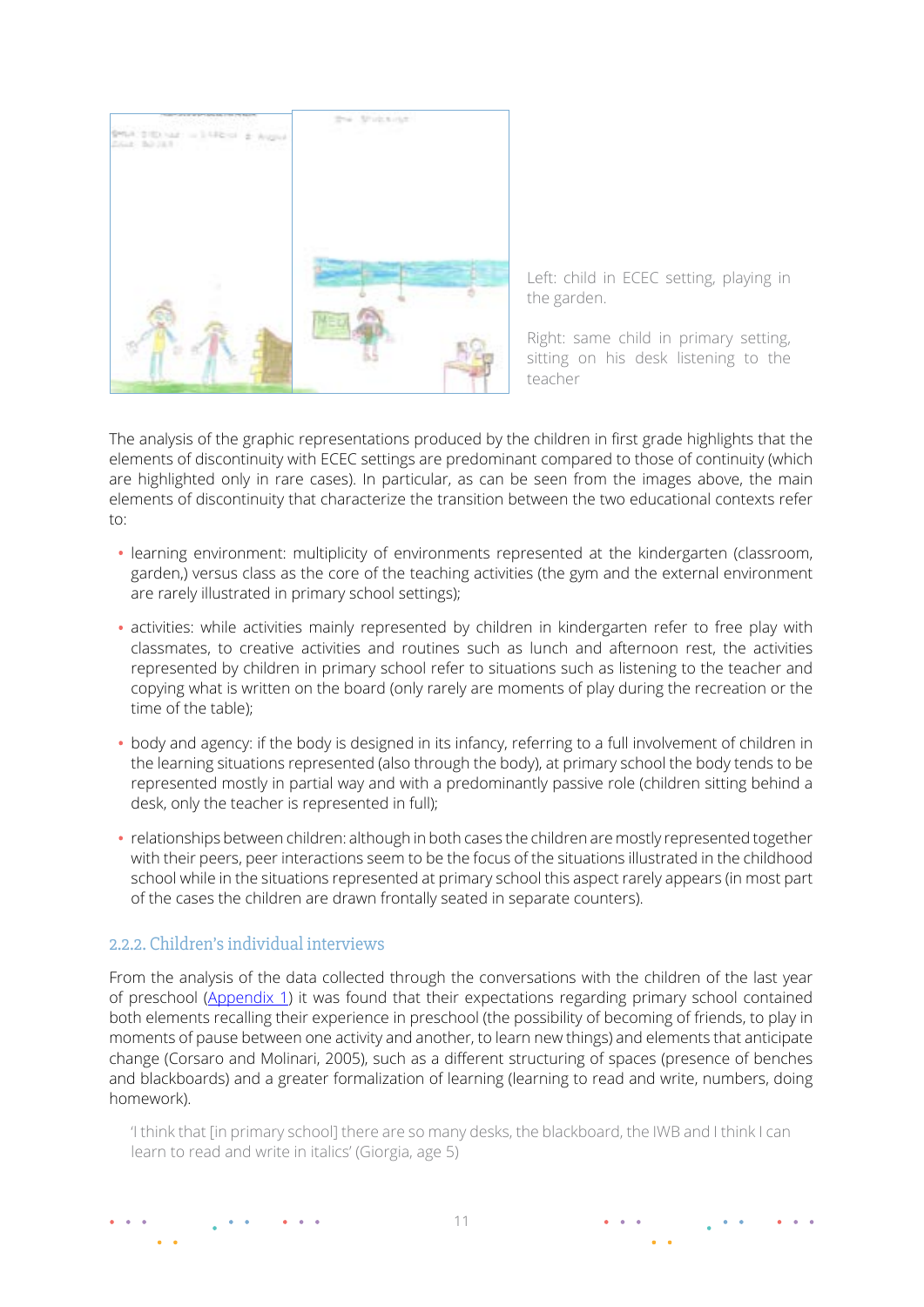<span id="page-10-0"></span>

the garden.

sitting on his desk listening to the teacher

The analysis of the graphic representations produced by the children in first grade highlights that the elements of discontinuity with ECEC settings are predominant compared to those of continuity (which are highlighted only in rare cases). In particular, as can be seen from the images above, the main elements of discontinuity that characterize the transition between the two educational contexts refer  $\epsilon$  and safety were addressed by parents in the safety were addressed by parents in the set transitions. Especially,  $\epsilon$ to:

- when families are more at risk of societal exclusion (e.g.  $\alpha$  Roma families, parents of children with special exclusion (e.g.  $\alpha$ • learning environment: multiplicity of environments represented at the kindergarten (classroom, garden,) versus class as the core of the teaching activities (the gym and the external environment are rarely illustrated in primary school settings);
- about the transition of their child with professionals from childcare, pre-school or primary school. detimies. While detimies manny represented by enharch in inhactigation refer to thee play mini-<br>classmates, to creative activities and routines such as lunch and afternoon rest, the activities represented by children in primary school refer to situations such as listening to the teacher and The presented by children in primary school relet to situations such as instering to the teacher a copying what is written on the board (only rarely are moments of play during the recreation or the  $\rho$  and the value);  $q$  is the table to talk to a teacher or find out any  $\eta$  felt to any  $\eta$  felt • activities: while activities mainly represented by children in kindergarten refer to free play with time of the table);
- body and agency: if the body is designed in its infancy, referring to a full involvement of children in pouy and agency, if the body is designed in its imality, referring to a luminoivement or children. the learning situations represented (also through the body), at primary school the body tends to be represented mostly in partial way and with a predominantly passive role (children sitting behind a desk, only the teacher is represented in full);
- relationships between children: although in both cases the children are mostly represented together with their peers, peer interactions seem to be the focus of the situations illustrated in the childhood of the cases the children are drawn frontally seated in separate counters). school while in the situations represented at primary school this aspect rarely appears (in most part

### • Pilot in Aalst, Belgium: Collaboration between a childcare centre, a pre-and primary school and 2.2.2. Children's individual interviews  $\mathcal{L}$  possible advocacy group to enable well-being and poor children and families in poor children and families in poor children and families in poor children and families in poor children and families in poor children

From the analysis of the data collected through the conversations with the children of the last year of preschool (Appendix 1) it was found that their expectations regarding primary school contained both elements recalling their experience in preschool (the possibility of becoming of friends, to play in moments of pause between one activity and another, to learn new things) and elements that anticipate change (Corsaro and Molinari, 2005), such as a different structuring of spaces (presence of benches and blackboards) and a greater formalization of learning (learning to read and write, numbers, doing homework).

'I think that [in primary school] there are so many desks, the blackboard, the IWB and I think I can START case study reported the case of the inter-institutional professional professional professional professional professional professional professional professional professional professional professional professional prof learn to read and write in italics' (Giorgia, age 5)

|  | 11 |
|--|----|
|  |    |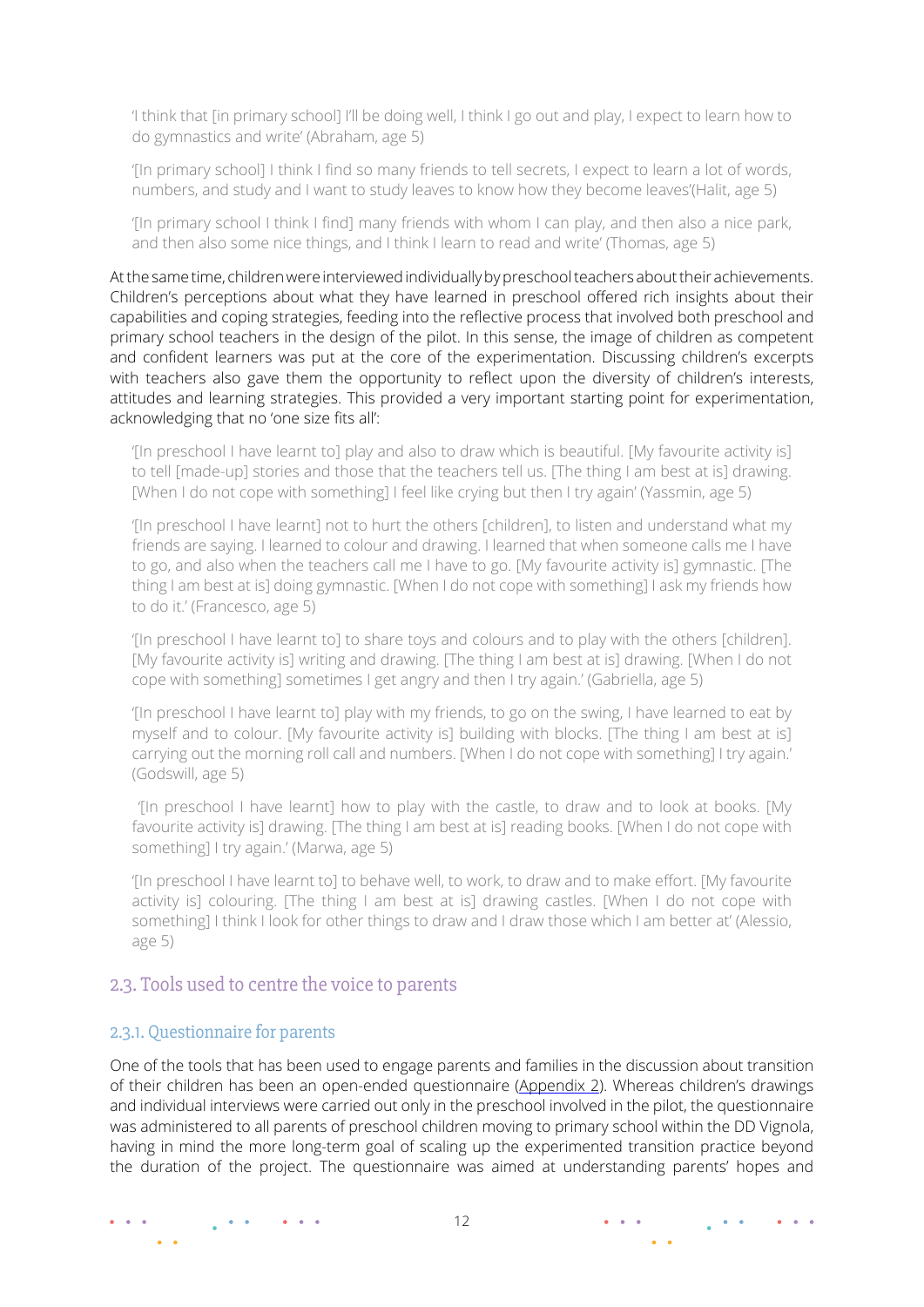<span id="page-11-0"></span>'I think that [in primary school] I'll be doing well, I think I go out and play, I expect to learn how to do gymnastics and write' (Abraham, age 5) do teachers or primary school teachers or primary school teachers or

'[In primary school] I think I find so many friends to tell secrets, I expect to learn a lot of words, numbers, and study and I want to study leaves to know how they become leaves'(Halit, age 5)

which they need to redefine the to redefine their roles. In a lot of cases, especially vulnerable children are '[In primary school I think I find] many friends with whom I can play, and then also a nice park, and then also some nice things, and I think I learn to read and write' (Thomas, age 5)

use objects such as swinging on a swing when feeling overwhelmed, carrying and playing exclusively At the same time, children were interviewed individually by preschool teachers about their achievements.<br>Children Children's perceptions about what they have learned in preschool offered rich insights about their capabilities and coping strategies, feeding into the reflective process that involved both preschool and primary school teachers in the design of the pilot. In this sense, the image of children as competent and confident learners was put at the core of the experimentation. Discussing children's excerpts with teachers also gave them the opportunity to reflect upon the diversity of children's interests, attitudes and learning strategies. This provided a very important starting point for experimentation, acknowledging that no 'one size fits all':

some fears when he has to go to school. What if he is not potty trained and will not be seen by '[In preschool I have learnt to] play and also to draw which is beautiful. [My favourite activity is]<br>'' to tell [made-up] stories and those that the teachers tell us. [The thing I am best at is] drawing. [When I do not cope with something] I feel like crying but then I try again' (Yassmin, age 5)

'[In preschool I have learnt] not to hurt the others [children], to listen and understand what my friends are saying. I learned to colour and drawing. I learned that when someone calls me I have to go, and also when the teachers call me I have to go. [My favourite activity is] gymnastic. [The  $\frac{1}{2}$  included to be included to be included in the (prediction) included in the  $\frac{1}{2}$  prediction  $\frac{1}{2}$  prediction  $\frac{1}{2}$  can be included to be interesting a section of  $\frac{1}{2}$  can be included to be inter thing I am best at is] doing gymnastic. [When I do not cope with something] I ask my friends how<br>the datit (Essageeeee are E) to do it.' (Francesco, age 5)

'[In preschool I have learnt to] to share toys and colours and to play with the others [children]. [My favourite activity is] writing and drawing. [The thing I am best at is] drawing. [When I do not cope with something] sometimes I get angry and then I try again.' (Gabriella, age 5) playground, you have to stand outside. The children come out one by one, go straight to the

(In preschool I have learnt to) play with my friends, to go on the swing, I have learned to eat by '[In preschool I have learnt to] play with my friends, to go on the swing, I have learned to eat by<br>myself and to colour. [My favourite activity is] building with blocks. [The thing I am best at is] carrying out the morning roll call and numbers. [When I do not cope with something] I try again.' through the office and sit in the corridor.' *(Parent, UK)*  (Godswill, age 5)

favourite activity is] drawing. [The thing I am best at is] reading books. [When I do not cope with  $\frac{3.11}{2}$  inter-institutional professional learning communities in  $\frac{3.11}{2}$  communities communities in  $\frac{3.11}{2}$  communities in  $\frac{3.11}{2}$  communities in  $\frac{3.11}{2}$  communities in  $\frac{3.11}{2}$  communities in '[In preschool I have learnt] how to play with the castle, to draw and to look at books. [My something] I try again.' (Marwa, age 5)

activity is] colouring. [The thing I am best at is] drawing castles. [When I do not cope with something] I think I look for other things to draw and I draw those which I am better at' (Alessio,  $\sigma$  age 5) extends the childcare centre, a childcare centre, a proposition between a primary school and primary school and primary school and primary school and primary school and primary school and primary school and pr  $\mathcal{Q}$  and powerty advocacy group to enable well-being and participation of poor children and families in  $\mathcal{Q}$ '[In preschool I have learnt to] to behave well, to work, to draw and to make effort. [My favourite age 5)

## transition. 2.3. Tools used to centre the voice to parents

## continuity based on a parent and professional partnership. • Pilot in Tišina, Slovenia: Collaboration between pre- and primary school staff to develop transitional 2.3.1. Questionnaire for parents

One of the tools that has been used to engage parents and families in the discussion about transition of their children has been an open-ended questionnaire ([Appendix 2](http://start.pei.si/wp-content/uploads/sites/11/2019/06/App.-2-Questionnaire-for-the-Families.pdf)). Whereas children's drawings and individual interviews were carried out only in the preschool involved in the pilot, the questionnaire was administered to all parents of preschool children moving to primary school within the DD Vignola, having in mind the more long-term goal of scaling up the experimented transition practice beyond the duration of the project. The questionnaire was aimed at understanding parents' hopes and

**All All A**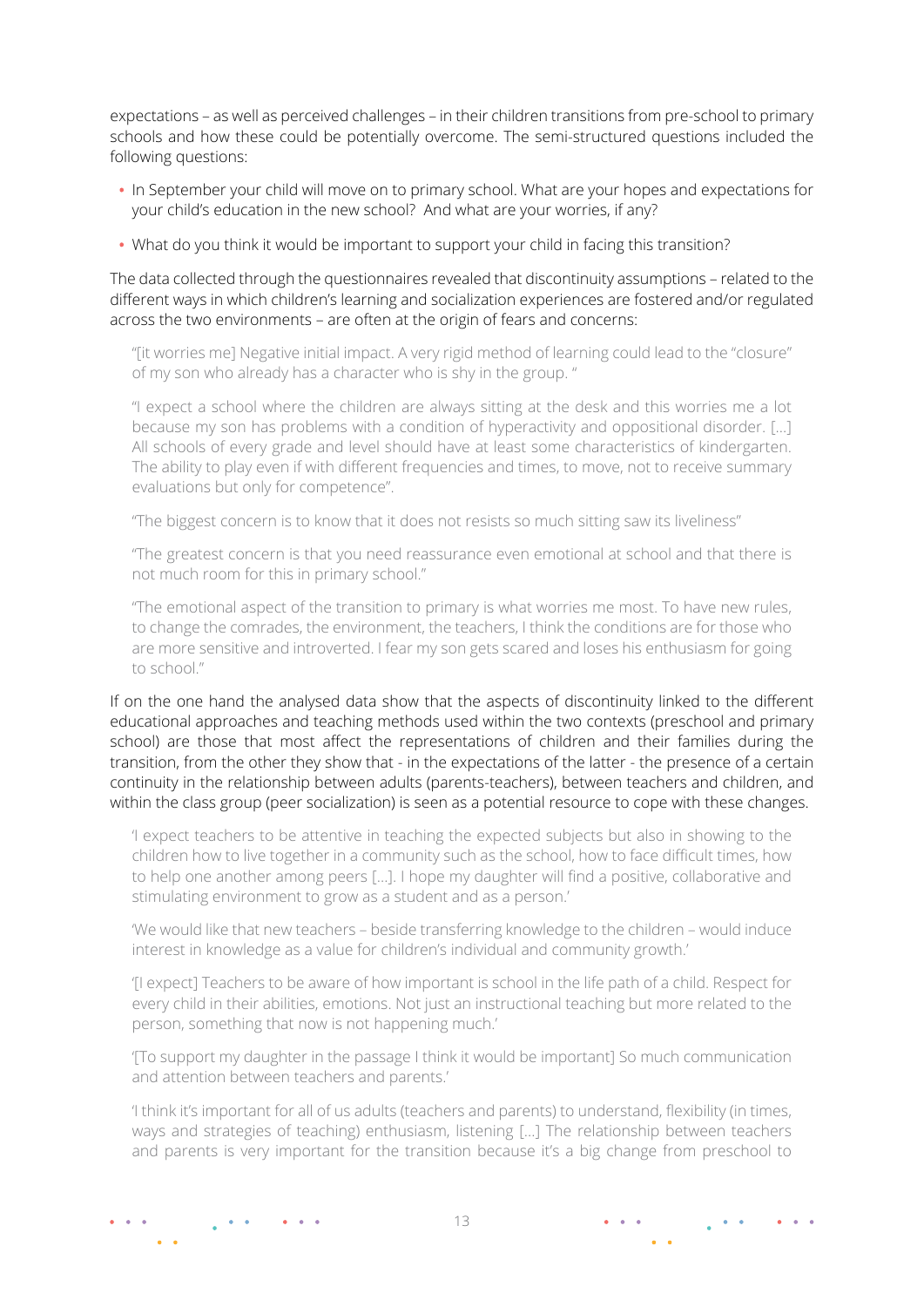expectations - as well as perceived challenges - in their children transitions from pre-school to primary expectations – as well as perceived challenges – in their children transitions from pre-school to primary<br>schools and how these could be potentially overcome. The semi-structured questions included the following questions: who are hindered by the incompetent own care to the incompetent of the incompetent of the incompetent of the incompetent of the incompetent of the incompetent of the incompetent of the incompetent of t

- In September your child will move on to primary school. What are your hopes and expectations for your child's education in the new school? And what are your worries, if any?
- What do you think it would be important to support your child in facing this transition?

 $\omega$  objects such as swinging on a swinging on a swing when feeling overwhelmed, carrying and playing exclusively exclusively exclusively exclusively exclusively exclusively exclusively exclusively exclusively exclusively The data collected through the questionnaires revealed that discontinuity assumptions – related to the different ways in which children's learning and socialization experiences are fostered and/or regulated across the two environments – are often at the origin of fears and concerns:

interviews and focus groups show how they found themselves in rather complex positions in which they questioned the expectations of the (pre-) school. "[it worries me] Negative initial impact. A very rigid method of learning could lead to the "closure" of my son who already has a character who is shy in the group. "

"I expect a school where the children are always sitting at the desk and this worries me a lot because my son has problems with a condition of hyperactivity and oppositional disorder. [...] All schools of every grade and level should have at least some characteristics of kindergarten. The ability to play even if with different frequencies and times, to move, not to receive summary The domey to play even in what directed<br>evaluations but only for competence". It should be noted that if showl definitions of the  $E$ CEC/school system, many  $\alpha$ 

"The biggest concern is to know that it does not resists so much sitting saw its liveliness"

"The greatest concern is that you need reassurance even emotional at school and that there is not much room for this in primary school."

questions on care are related to the overwhelming need of parents to talk and exchange information "The emotional aspect of the transition to primary is what worries me most. To have new rules, 'Well I don't know whether he has eaten in primary school, I don't know whether he has had a good day, bad day, don't know what kind of mood he is going to be in, don't know anything!... are more sensitive and introverted. I fear my son gets scared and loses his enthusiasm for going  $\sigma$  preschool. We consider  $\sigma$  and we have to stand in the standard in the standard in the standard in the standard in the standard in the standard in the standard in the standard in the standard in the standard in the to change the comrades, the environment, the teachers, I think the conditions are for those who to school."

If on the one hand the analysed data show that the aspects of discontinuity linked to the different parents and the number are then your done than the top appears or the contexts (preschool and primary educational approaches and teaching methods used within the two contexts (preschool and primary eductions upproduces and teaching methods used within the two contexts (presentoor and primary<br>school) are those that most affect the representations of children and their families during the place you can go into it is the original of the original of the original, which always seems to be locked, or you go into the principal, which always seems to be locked, or you go in your good into the contract of the stat transition, from the other they show that - in the expectations of the latter - the presence of a certain continuity in the relationship between adults (parents-teachers), between teachers and children, and within the class group (peer socialization) is seen as a potential resource to cope with these changes.

'I expect teachers to be attentive in teaching the expected subjects but also in showing to the children how to live together in a community such as the school, how to face difficult times, how stimulating environment to grow as a student and as a person.' to help one another among peers [...]. I hope my daughter will find a positive, collaborative and

We would like that new teachers – beside transferring knowledge to the children – would induce interest in knowledge as a value for children's individual and community growth.'

'[I expect] Teachers to be aware of how important is school in the life path of a child. Respect for every child in their abilities, emotions. Not just an instructional teaching but more related to the person, something that now is not happening much.'

'[To support my daughter in the passage I think it would be important] So much communication and attention between teachers and parents.'

I think it's important for all of us adults (teachers and parents) to understand, flexibility (in times, ways and strategies of teaching) enthusiasm, listening [...] The relationship between teachers  $\frac{S}{\sqrt{1-\frac{1}{2}}}$  for the study report  $\frac{1}{2}$  is the inter-institutional professional professional professional professional professional professional professional professional professional professional professional p and parents is very important for the transition because it's a big change from preschool to

 $\bullet \qquad \bullet \qquad \bullet$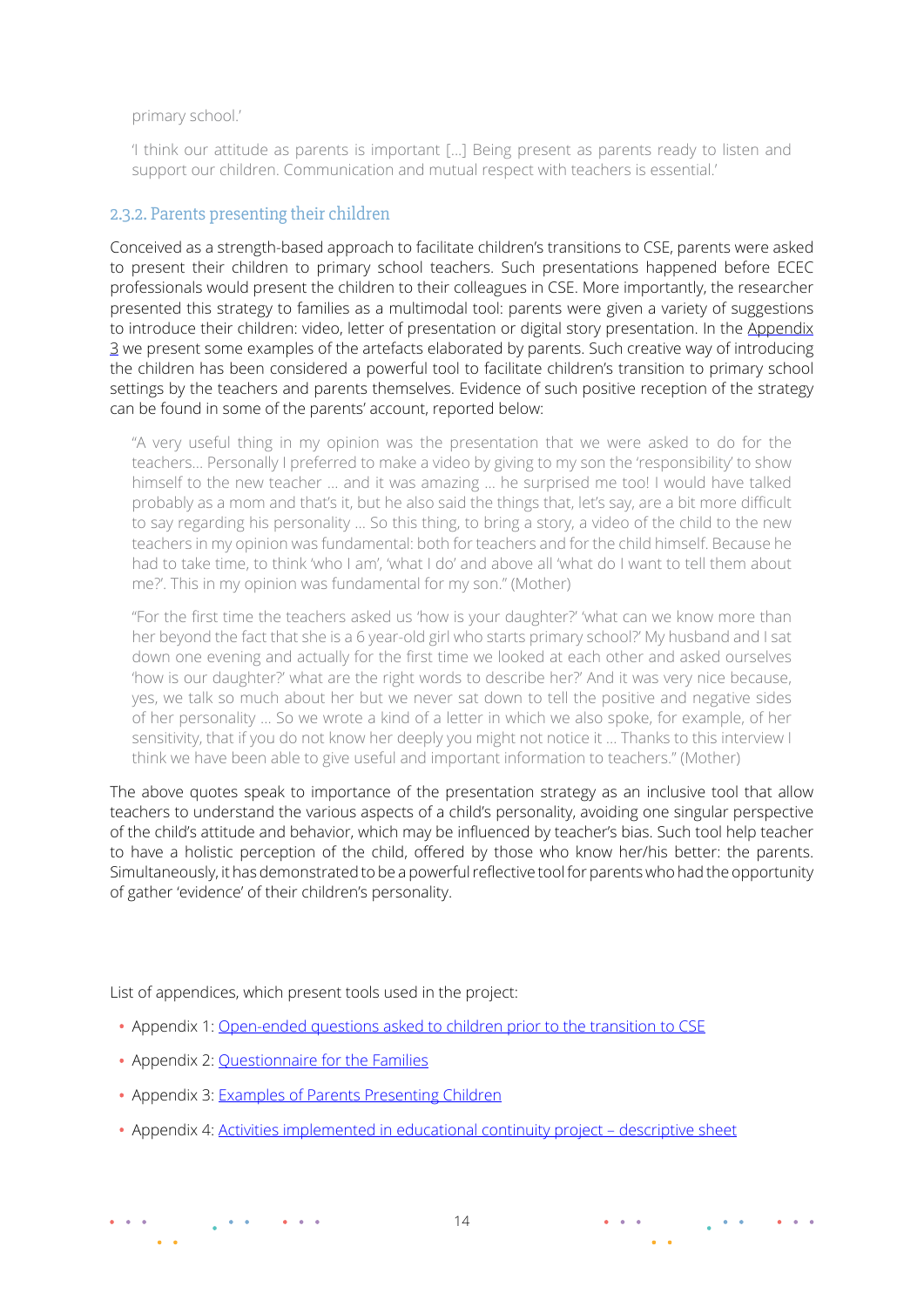<span id="page-13-0"></span>school teachers in preschools as competent and autonomous children, they are often perceived in primary school.'

the next phase (pre-school or primary school) by the pre-school teachers or primary school teachers 'I think our attitude as parents is important [...] Being present as parents ready to listen and support our children. Communication and mutual respect with teachers is essential.'

### 2.3.2. Parents presenting their children are not able children are not able children are not able children are no  $t_{\rm r}$  regulate in the new environment, which manifested into different, using patterns of  $\alpha$

Conceived as a strength-based approach to facilitate children's transitions to CSE, parents were asked Conceived as a strength-based approach to facilitate children's transitions to CSE, parents were asked<br>to present their children to primary school teachers. Such presentations happened before ECEC professionals would present the children to their colleagues in CSE. More importantly, the researcher presented this strategy to families as a multimodal tool: parents were given a variety of suggestions to introduce their children: video, letter of presentation or digital story presentation. In the [Appendix](http://start.pei.si/wp-content/uploads/sites/11/2019/06/Ann.-3_Examples-of-Parents-Presenting-Children.pdf) If the state themselves in neces, exception presentation or algital story presentations in the *experiment* of the artefacts elaborated by parents. Such creative way of introducing If we present some examples of the arteracts clasorated by parents. Such erealive way of the outeing the children has been considered a powerful tool to facilitate children's transition to primary school. settings by the teachers and parents themselves. Evidence of such positive reception of the strategy can be found in some of the parents' account, reported below: pressure to pressure the make him although I think he is not ready for the internal potential think he is not ready for the internal point of the internal point of the internal point of the internal point of the internal p

"A very useful thing in my opinion was the presentation that we were asked to do for the teachers... Personally I preferred to make a video by giving to my son the 'responsibility' to show himself to the new teacher ... and it was amazing ... he surprised me too! I would have talked probably as a mom and that's it, but he also said the things that, let's say, are a bit more difficult to say regarding his personality ... So this thing, to bring a story, a video of the child to the new teachers in my opinion was fundamental: both for teachers and for the child himself. Because he had to take time, to think 'who I am', 'what I do' and above all 'what do I want to tell them about  $m\Omega'$ . This in my opinion was fundamental for my son "(Mother) me?'. This in my opinion was fundamental for my son." (Mother)

"For the first time the teachers asked us 'how is your daughter?' 'what can we know more than her beyond the fact that she is a 6 year-old girl who starts primary school?' My husband and I sat down one evening and actually for the first time we looked at each other and asked ourselves 'how is our daughter?' what are the right words to describe her?' And it was very nice because, yes, we talk so much about her but we never sat down to tell the positive and negative sides .<br>of her personality ... So we wrote a kind of a letter in which we also spoke, for example, of her sensitivity, that if you do not know her deeply you might not notice it ... Thanks to this interview I  $p$  into it of the office of the principal, and important information to together "(Mother) think we have been able to give useful and important information to teachers." (Mother)<br>.

of the child's attitude and behavior, which may be influenced by teacher's bias. Such tool help teacher to have a holistic perception of the child, offered by those who know her/his better: the parents.<br>Simultaneously it has demonstrated to he a neuverful reflective to elements who healthe appertunity. of gather 'evidence' of their children's personality. The above quotes speak to importance of the presentation strategy as an inclusive tool that allow teachers to understand the various aspects of a child's personality, avoiding one singular perspective Simultaneously, it has demonstrated to be a powerful reflective tool for parents who had the opportunity

List of appendices, which present tools used in the project:

- Appendix 1. Open anded questions asked to shildren prior t  $\mathbb{P}$ in Tišina, Slovenia: Collaboration between pre- and primary school staff to develop transitional school staff to develop transitional school staff to develop transitional school staff to develop transitional schoo • Appendix 1: [Open-ended questions asked to children prior to the transition to CSE](http://start.pei.si/wp-content/uploads/sites/11/2019/06/App.-1-Open-ended-questions-asked-to-children-prior-to-the-transition-to-CSE.pdf)
- Appendix 2: Questionnaire for the Families

 $\frac{1}{2}$  ,  $\frac{1}{2}$  ,  $\frac{1}{2}$ 

- Appendix 3: [Examples of Parents Presenting Children](http://start.pei.si/wp-content/uploads/sites/11/2019/06/Ann.-3_Examples-of-Parents-Presenting-Children.pdf)
- Appendix 4: Activities implemented in educational continuity project descriptive sheet START case study reports. In each pilot an inter-institutional professional learning community was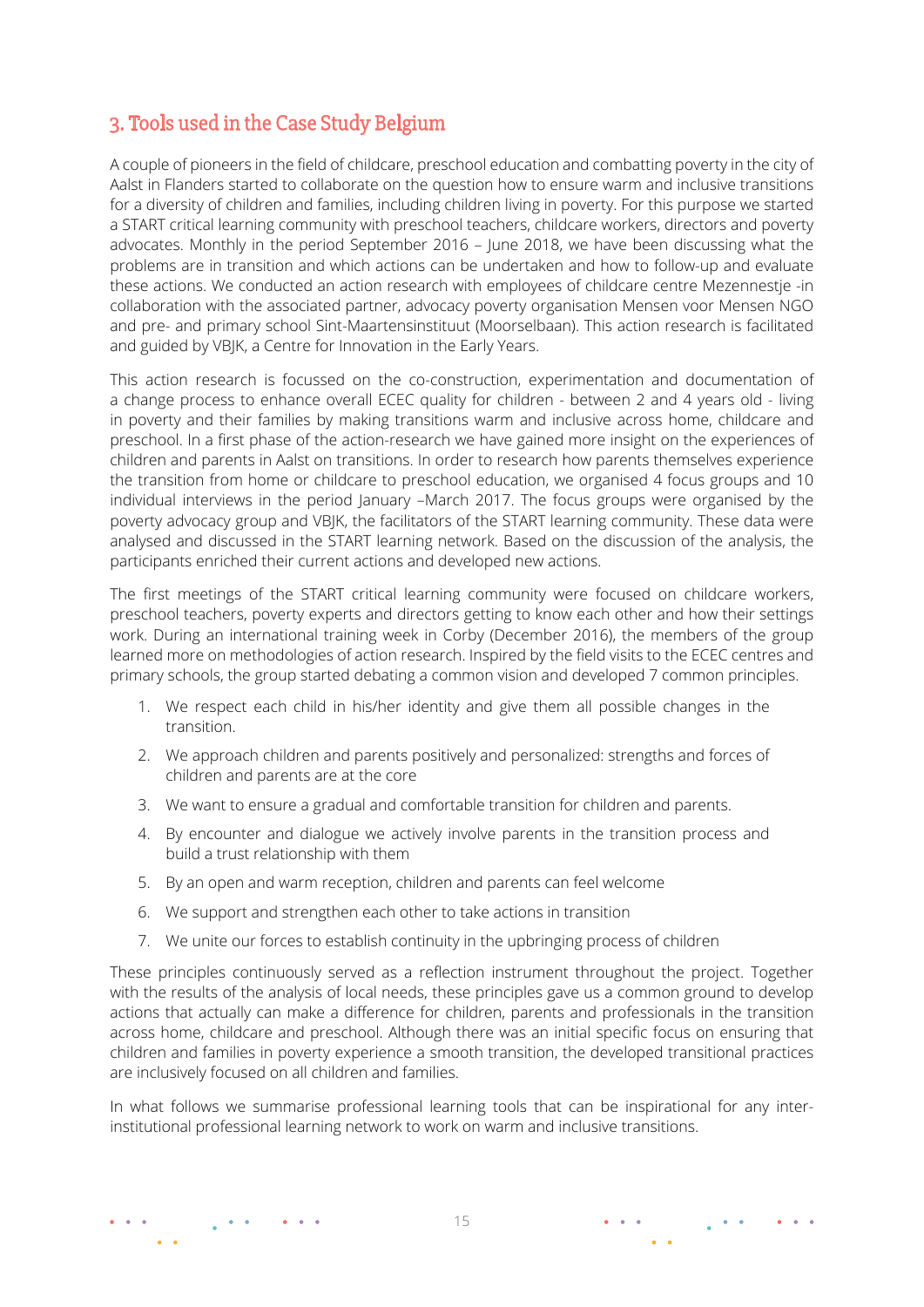### <span id="page-14-0"></span> $\sigma$  Tools used in the Case Study Relaium 3. Tools used in the Case Study Belgium school teachers or primary school teachers or primary school teachers o

as 'incompetent novices' who are hindered by their own caring needs (e.g. not yet toilet trained, A couple of pioneers in the field of childcare, preschool education and combatting poverty in the city of<br>A couple of pioneers in the field of childcare, preschool education and combatting poverty in the city of Aalst in Flanders started to collaborate on the question how to ensure warm and inclusive transitions for a diversity of children and families, including children living in poverty. For this purpose we started a START critical learning community with preschool teachers, childcare workers, directors and poverty advocates. Monthly in the period September 2016 – June 2018, we have been discussing what the problems are in transition and which actions can be undertaken and how to follow-up and evaluate problems are in transition and which actions can be undertaken and how to follow-up and evaluate<br>these actions. We conducted an action research with employees of childcare centre Mezennestje -in collaboration with the associated partner, advocacy poverty organisation Mensen voor Mensen NGO and pre- and primary school Sint-Maartensinstituut (Moorselbaan). This action research is facilitated and guided by VBIK a Centre for Innovation in the Farly Years and guided by VBJK, a Centre for Innovation in the Early Years.<br>.

This action research is focussed on the co-construction, experimentation and documentation of a change process to enhance overall ECEC quality for children - between 2 and 4 years old - living in poverty and their families by making transitions warm and inclusive across home, childcare and preschool. In a first phase of the action-research we have gained more insight on the experiences of children and parents in Aalst on transitions. In order to research how parents themselves experience the transition from home or childcare to preschool education, we organised 4 focus groups and 10 individual interviews in the period January –March 2017. The focus groups were organised by the poverty advocacy group and VBIK, the facilitators of the START learning community. These data were poverty advocacy group and VBJK, the facilitators of the START learning community. These data were<br>analysed and discussed in the START learning network. Based on the discussion of the analysis, the participants enriched their current actions and developed new actions.

The first meetings of the START critical learning community were focused on childcare workers, The first meetings of the START critical learning community were focused on childcare workers,<br>preschool teachers, poverty experts and directors getting to know each other and how their settings work. During an international training week in Corby (December 2016), the members of the group learned more on methodologies of action research. Inspired by the field visits to the ECEC centres and primary schools, the group started debating a common vision and developed 7 common principles.

- playground, you have to stand outside. The children come out one by one, go straight to the 1. We respect each child in his/her identity and give them all possible changes in the  $\alpha$  could tell the preschool statistical statistic induced in any the only  $\alpha$  can say any  $\alpha$ transition.
- 2. We approach children and parents positively and personalized: strengths and forces of children and parents are at the core
- 3. We want to ensure a gradual and comfortable transition for children and parents.
- 4. By encounter and dialogue we actively involve parents in the transition process and build a trust relationship with them
- In order to face these challenges, four different pilot projects were set-up in four different countries 5. By an open and warm reception, children and parents can feel welcome
- 6. We support and strengthen each other to take actions in transition
- 7. We unite our forces to establish continuity in the upbringing process of children

 $\mathcal{L}_{\text{max}}$  group to enable well-being and participation of poor children and families in poor children and families in poor children and families in  $\mathcal{L}_{\text{max}}$ These principles continuously served as a reflection instrument throughout the project. Together with the results of the analysis of local needs, these principles gave us a common ground to develop actions that actually can make a difference for children, parents and professionals in the transition across home, childcare and preschool. Although there was an initial specific focus on ensuring that children and families in poverty experience a smooth transition, the developed transitional practices are inclusively focused on all children and families.

In what follows we summarise professional learning tools that can be inspirational for any interinstitutional professional learning network to work on warm and inclusive transitions.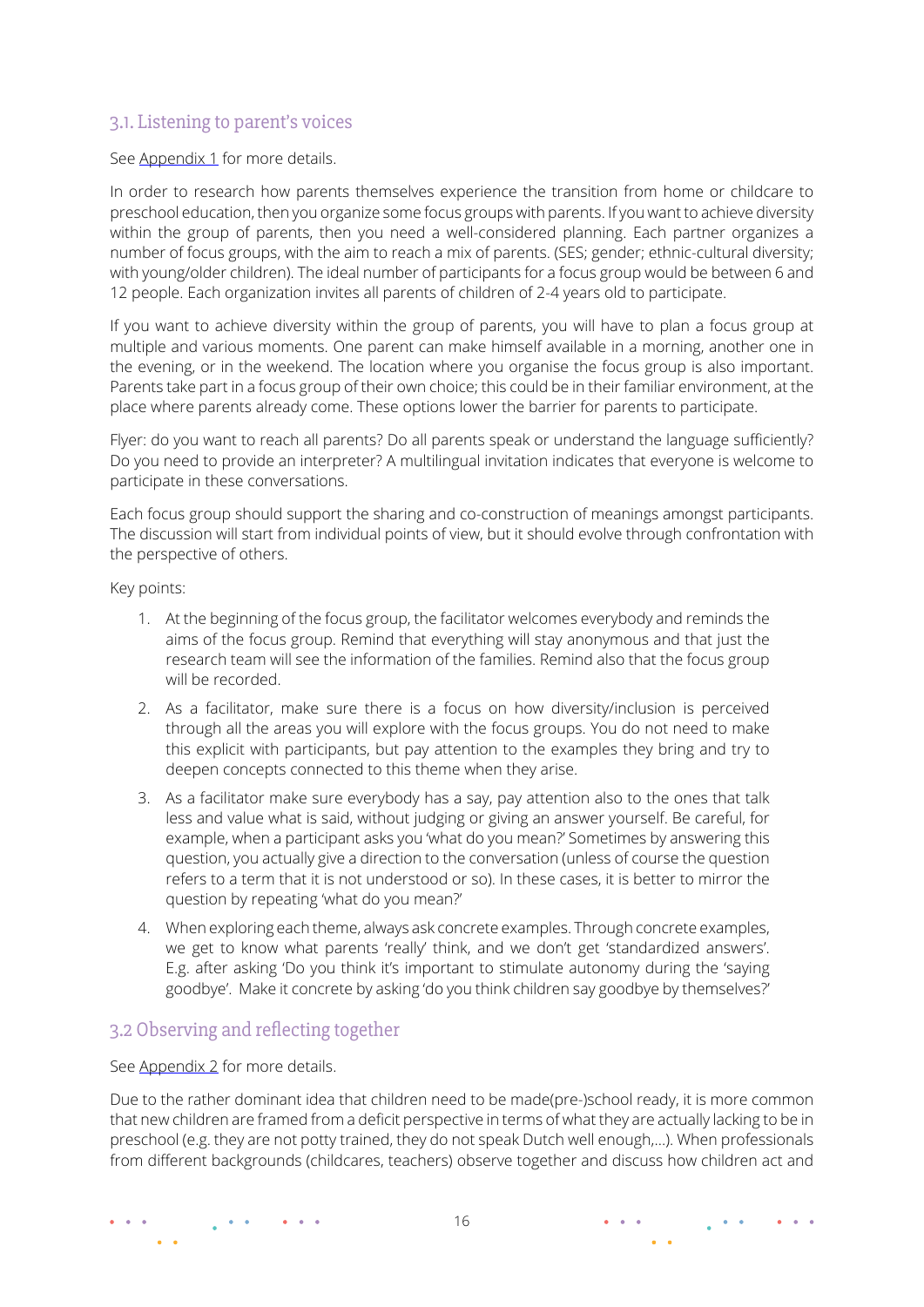### <span id="page-15-0"></span>3.1. Listening to parent's voices and autonomous children, they are often perceived in the set of the set of the  $t_{\rm max}$  phase (pre-school teachers or primary school) by the pre-school teachers or primary school teachers or primary school teachers or  $t_{\rm max}$

See [Appendix 1](http://start.pei.si/wp-content/uploads/sites/11/2019/06/ANNEX-1-Inspirational-questions-for-focus-groups-1.pdf) for more details. Their own care to the more to the set to lead the set to lead the set to lead crying, seeking comfort and reassurance from adults) or behave too 'childlike and wild'. Moreover,

In order to research how parents themselves experience the transition from home or childcare to In order to research how parents themselves experience the transition from home or childcare to<br>preschool education, then you organize some focus groups with parents. If you want to achieve diversity within the group of parents, then you need a well-considered planning. Each partner organizes a number of focus groups, with the aim to reach a mix of parents. (SES; gender; ethnic-cultural diversity; with young/older children). The ideal number of participants for a focus group would be between 6 and with one set of the set of the set of the set of the set of the set of  $\alpha$  and  $\alpha$  and  $\alpha$  are changing  $\alpha$  are changing  $\alpha$  and  $\alpha$  are changing  $\alpha$  and  $\alpha$  are changing  $\alpha$  and  $\alpha$  are changing  $\alpha$  and  $\alpha$  a 12 people. Each organization invites all parents of children of 2-4 years old to participate.

If you want to achieve diversity within the group of parents, you will have to plan a focus group at multiple and various moments. One parent can make himself available in a morning, another one in the evening, or in the weekend. The location where you organise the focus group is also important. Parents take part in a focus group of their own choice; this could be in their familiar environment, at the place where parents already come. These options lower the barrier for parents to participate. pressure to make him already potty trained although I think he is not ready for this. I experience

Flyer: do you want to reach all parents? Do all parents speak or understand the language sufficiently? Do you need to provide an interpreter? A multilingual invitation indicates that everyone is welcome to participate in these conversations.

It should be noted that irrespective of the context and the ECEC/school system, many questions on Each focus group should support the sharing and co-construction of meanings amongst participants.<br>— The discussion will start from individual points of view, but it should evolve through confrontation with the perspective of others. The also represent a political and political and political and political and political and political and political and political and political and political and political and political and politi

 $\frac{1}{2}$ need to belong and broader society. It is remarkable how the (prediction  $\frac{1}{2}$ ) is remarkable how the following how the following how the following how the society. It is remarkable how the following how the  $\alpha$  care are related to talk are related to talk and exchange information  $\alpha$ Key points:

- 1. At the beginning of the focus group, the facilitator welcomes everybody and reminds the aims of the focus group. Remind that everything will stay anonymous and that just the research team will see the information of the families. Remind also that the focus group will be recorded. We have to stand we have to stand in the standard welcoming to stand in the standard in the standard in the standard in the standard in the standard in the standard in the standard in the standard in the
	- playground, you have to stand outside. The children come out one by one, go straight to the 2. As a facilitator, make sure there is a focus on how diversity/inclusion is perceived through all the areas you will explore with the focus groups. You do not need to make this explicit with participants, but pay attention to the examples they bring and try to deepen concepts connected to this theme when they arise.
- iess and value what is said, without judging or giving an answer yoursen. Be careidi, for<br>example, when a participant asks you 'what do you mean?' Sometimes by answering this question, you actually give a direction to the conversation (unless of course the question question by repeating 'what do you mean?' 3. As a facilitator make sure everybody has a say, pay attention also to the ones that talk less and value what is said, without judging or giving an answer yourself. Be careful, for refers to a term that it is not understood or so). In these cases, it is better to mirror the
- starting in September 2016: • Pilot in Aalst, Belgium: Collaboration between a children and primary school and primary school and primary school and primary school and primary school and primary school and primary school and primary school and primar we get to know what parents 'really' think, and we don't get 'standardized answers'.<br>E E.g. after asking 'Do you think it's important to stimulate autonomy during the 'saying goodbye'. Make it concrete by asking 'do you think children say goodbye by themselves?' 4. When exploring each theme, always ask concrete examples. Through concrete examples,

## continuity based on a partnership. The partnership of the partnership of the partnership of the partnership. The partnership of the partnership of the partnership of the partnership. The partnership of the partnership of t 3.2 Observing and reflecting together  $\overline{\phantom{a}}$

See [Appendix 2](http://start.pei.si/wp-content/uploads/sites/11/2019/06/ANNEX-2-Observations-and-reflections.pdf) for more details. • Pilot in Vignola, Italy: Collaboration between pre- and primary school staff to re-think educational

Due to the rather dominant idea that children need to be made(pre-)school ready, it is more common that new children are framed from a deficit perspective in terms of what they are actually lacking to be in preschool (e.g. they are not potty trained, they do not speak Dutch well enough,…). When professionals from different backgrounds (childcares, teachers) observe together and discuss how children act and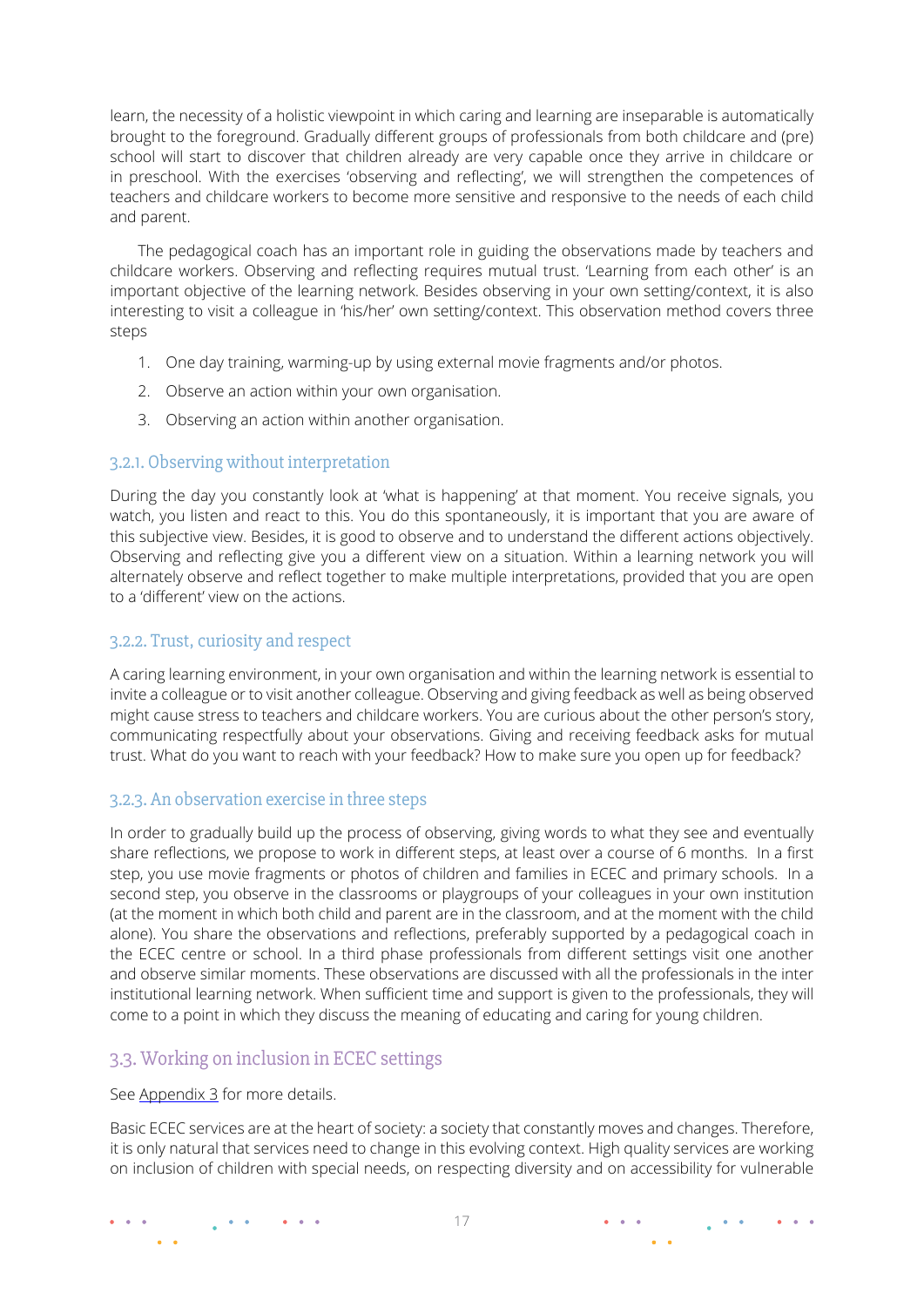<span id="page-16-0"></span>learn, the necessity of a holistic viewpoint in which caring and learning are inseparable is automatically learn, the necessity of a holistic viewpoint in which caring and learning are inseparable is automatically<br>brought to the foreground. Gradually different groups of professionals from both childcare and (pre) school will start to discover that children already are very capable once they arrive in childcare or in preschool. With the exercises 'observing and reflecting', we will strengthen the competences of teachers and childcare workers to become more sensitive and responsive to the needs of each child  $m_{\rm F}$  and  $m_{\rm F}$  roles. In a lot of cases, especially vulnerable children are not able children are not able children as not able children as  $m_{\rm F}$ to self-regulate in the new environment, which manifested into different behaviours, using patterns of  $\mu$ and parent.

The pedagogical coach has an important role in guiding the observations made by teachers and childcare workers. Observing and reflecting requires mutual trust. 'Learning from each other' is an important objective of the learning network. Besides observing in your own setting/context, it is also for their connection and parents expressed the hope that the hope that the hope that the hope that the connection  $\phi$  able to connect and find  $\phi$  and find  $\phi$  and  $\phi$  and  $\phi$  and  $\phi$  and  $\phi$  and  $\phi$  and  $\phi$  and interesting to visit a colleague in 'his/her' own setting/context. This observation method covers three<br>stans  $\frac{1}{\sqrt{2}}$  interviews show the mass show the mass show the mass  $\frac{1}{\sqrt{2}}$  positions in which complex positions in which complex positions in which complex positions in which complex positions in which complex positio steps

- 1. One day training, warming-up by using external movie fragments and/or photos.
	- 2. Observe an action within your own organisation. L. Obderve an action munity our omit organisation.
	- 3. Observing an action within another organisation.

### 3.2.1. Observing without interpretation that a child in preschool suddenly needs to grow that a child in preschool suddenly needs to grow the interpretation up.' *(Parent, Belgium, Fl)*

During the day you constantly look at 'what is happening' at that moment. You receive signals, you watch, you listen and react to this. You do this spontaneously, it is important that you are aware of this subjective view. Besides, it is good to observe and to understand the different actions objectively. Observing and reflecting give you a different view on a situation. Within a learning network you will alternately observe and reflect together to make multiple interpretations, provided that you are open<br>to a 'different' view on the actions. to a 'different' view on the actions.

# 3.2.2. Trust, curiosity and respect the has had a had a had a had a had a had a had a had a had a had a had a h

good day, bad day, don't know what kind of mood here is going to be in, don't know any thing to be in, don't know any A caring learning environment, in your own organisation and within the learning network is essential to invite a colleague or to visit another colleague. Observing and giving feedback as well as being observed might cause stress to teachers and childcare workers. You are curious about the other person's story, communicating respectfully about your observations. Giving and receiving feedback asks for mutual trust. What do you want to reach with your feedback? How to make sure you open up for feedback? through the office and sit in the corridor.' *(Parent, UK)* 

# 3.2.3. An observation exercise in three steps

In order to gradually build up the process of observing, giving words to what they see and eventually share reflections, we propose to work in different steps, at least over a course of 6 months. In a first steps second step, you observe in the classrooms or playgroups of your colleagues in your own institution (at the moment in which both child and parent are in the classroom, and at the moment with the child alone). You share the observations and reflections, preferably supported by a pedagogical coach in the ECEC centre or school. In a third phase professionals from different settings visit one another and observe similar moments. These observations are discussed with all the professionals in the inter institutional learning network. When sufficient time and support is given to the professionals, they will come to a point in which they discuss the meaning of educating and caring for young children. step, you use movie fragments or photos of children and families in ECEC and primary schools. In a

# 3.3. Working on inclusion in ECEC settings

### • Pilot in Vignola, Italy: Collaboration between pre- and primary school staff to re-think educational See <u>[Appendix 3](http://start.pei.si/wp-content/uploads/sites/11/2019/06/ANNEX-3-Inclusion-in-ECEC-settings.pdf)</u> for more details.

Basic ECEC services are at the heart of society: a society that constantly moves and changes. Therefore, it is only natural that services need to change in this evolving context. High quality services are working on inclusion of children with special needs, on respecting diversity and on accessibility for vulnerable

17 16 17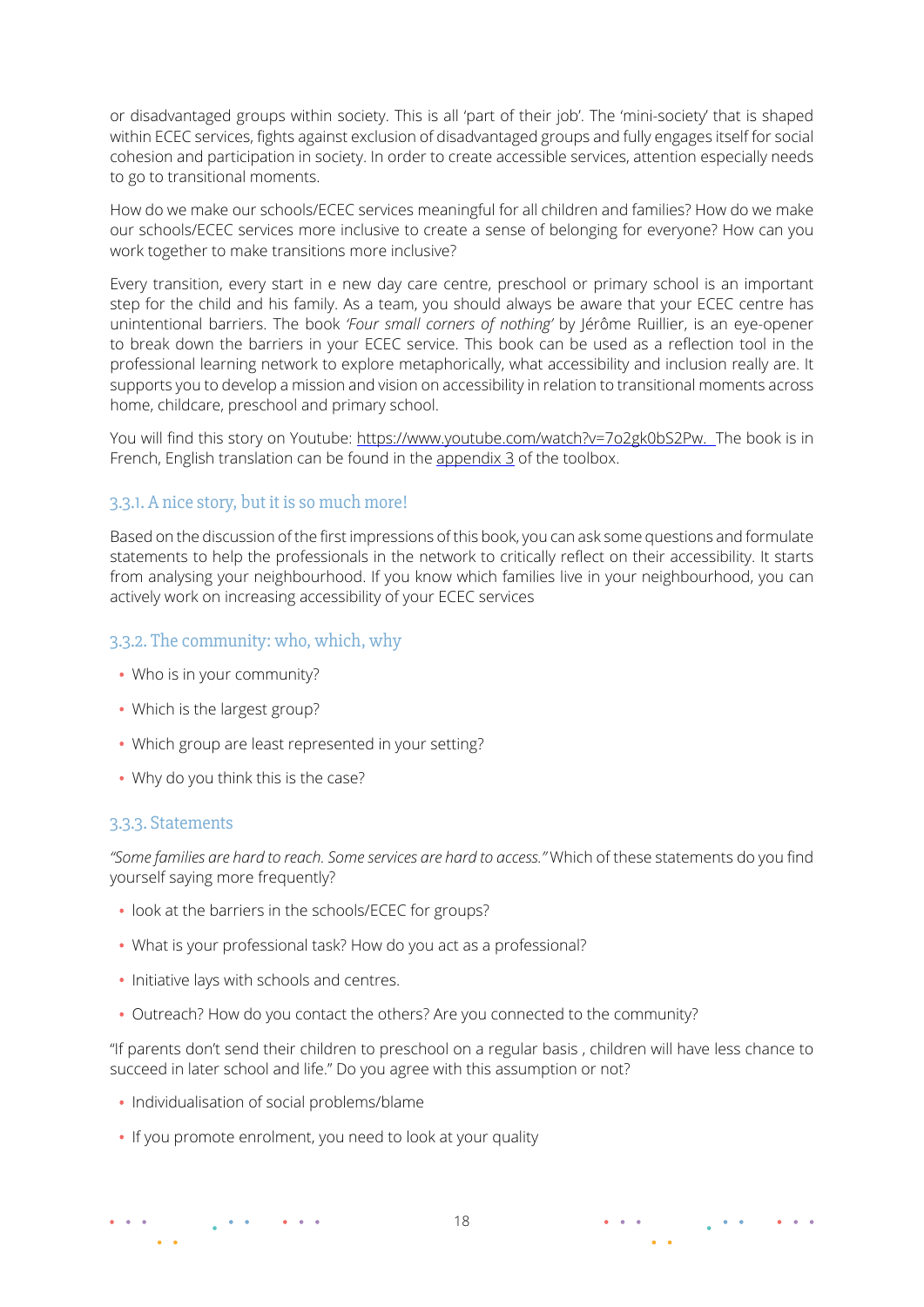<span id="page-17-0"></span>or disadvantaged groups within society. This is all 'part of their job'. The 'mini-society' that is shaped or disadvantaged groups within society. This is all 'part of their job'. The 'mini-society' that is shaped<br>within ECEC services, fights against exclusion of disadvantaged groups and fully engages itself for social cohesion and participation in society. In order to create accessible services, attention especially needs to go to transitional moments. The example and wild in the wild very childliche and wild in the wild very childlike and wild very childliche and wild very childliche and wild very childliche and wild very child very child  $\frac{d}{dt}$  and observations point out how children also transition into a new group of personal new group of personal new group of  $p$ 

How do we make our schools/ECEC services meaningful for all children and families? How do we make How do we make our schools/ECEC services meaningful for all children and families? How do we make<br>our schools/ECEC services more inclusive to create a sense of belonging for everyone? How can you work together to make transitions more inclusive?  $u_{\rm c}$  such as swinging on a swinging on a swing when feeling overwhelmed, carrying and playing exclusively exclusively exclusively exclusively exclusively exclusively exclusively exclusively exclusively exclusively exc

Every transition, every start in e new day care centre, preschool or primary school is an important Every transition, every start in e new day care centre, preschool or primary school is an important<br>step for the child and his family. As a team, you should always be aware that your ECEC centre has unintentional barriers. The book 'Four small corners of nothing' by Jérôme Ruillier, is an eye-opener to break down the barriers in your ECEC service. This book can be used as a reflection tool in the professional learning network to explore metaphorically, what accessibility and inclusion really are. It supports you to develop a mission and vision on accessibility in relation to transitional moments across home, childcare, preschool and primary school. I feel the soon. I feel the start preschool soon. I feel the soon. I feel the start preschool soon. I feel the start preschool soon. I feel the start preschool. I feel the sta

You will find this story on Youtube: <u>https://www.youtube.com/watch?v=7o2gk0bS2Pw. </u>The book is in French, English translation can be found in the <u>appendix 3</u> of the toolbox.

# 3.3.1. A nice story, but it is so much more! The ECEC/school system, many questions on  $\mathbb{R}^n$

Based on the discussion of the first impressions of this book, you can ask some questions and formulate statements to help the professionals in the network to critically reflect on their accessibility. It starts from analysing your neighbourhood. If you know which families live in your neighbourhood, you can<br>actively work on increasing accessibility of your ECEC services actively work on increasing accessibility of your ECEC services

# 3.3.2. The community: who, which, why

- good day, bad day, don't know what kind of mood here is going to be in, don't know any thing to be in, don't know any • Who is in your community?
- playground, you have to stand outside. The children come out one by one, go straight to the • Which is the largest group?
- like I could tell the preschool staff any the preschool staff any the only feel like I can say any  $\frac{1}{\sqrt{2}}$ • Which group are least represented in your setting?
- Why do you think this is the case?

# 3.3.3. Statements

"Some families are hard to reach. Some services are hard to access." Which of these statements do you find yourself saying more frequently?

- In order to face these challenges, four different pilot projects were set-up in four different countries • look at the barriers in the schools/ECEC for groups?
- $\bullet$  What is vous prefectional task? How do you ast as a prefectional? • What is your professional task? How do you act as a professional?
- Initiative lays with schools and centres.
- Outreach? How do you contact the others? Are you connected to the community?

"If parents don't send their children to preschool on a regular basis , children will have less chance to activities and relation their children to present on succeed in later school and life." Do you agree with this assumption or not?

- Individualisation of social problems/blame
- $T$  is defined in process, outcome and implications for national policies and practices is described in four-• If you promote enrolment, you need to look at your quality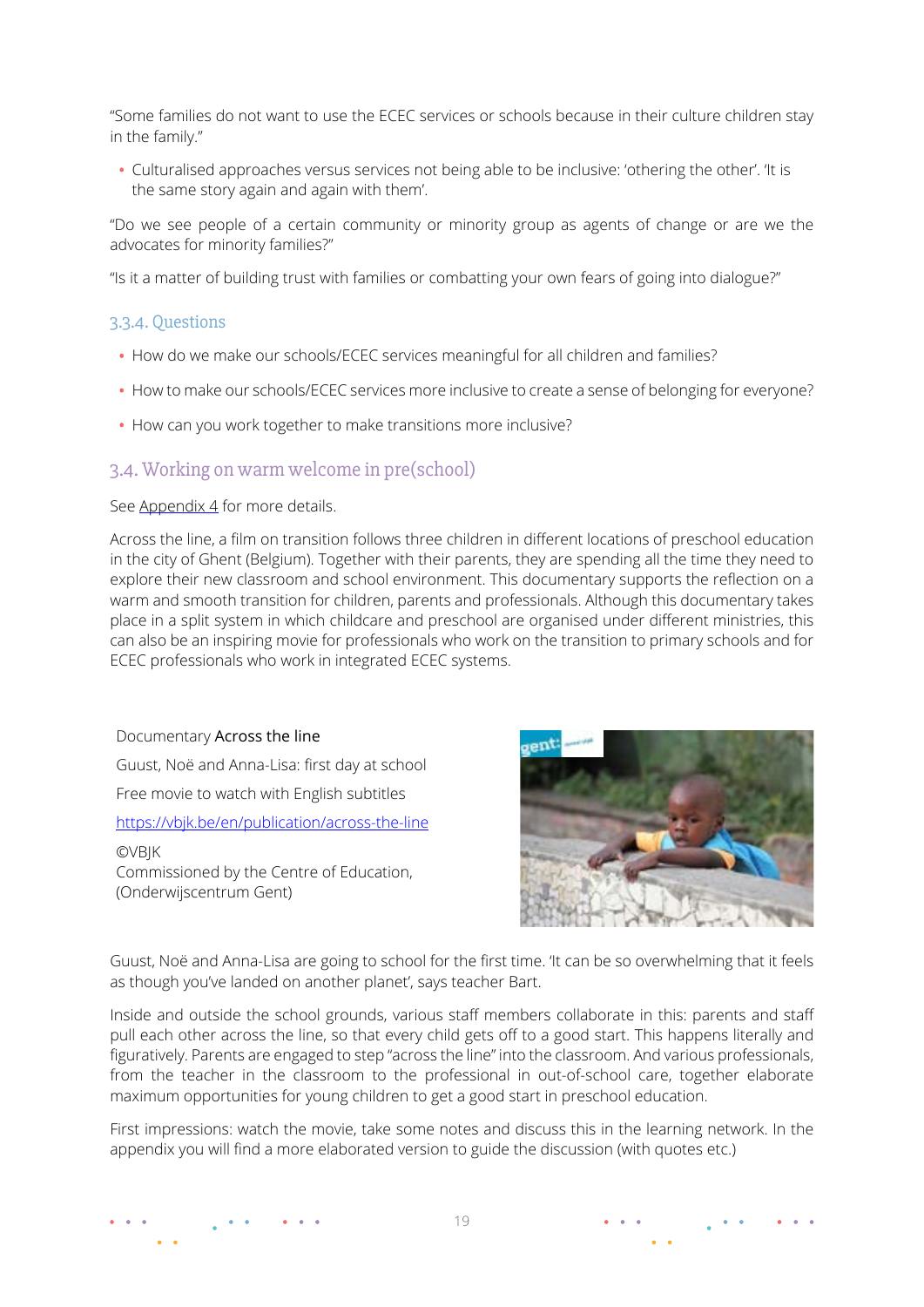<span id="page-18-0"></span>"Some families do not want to use the ECEC services or schools because in their culture children stay<br>in the family." in the family."

• Culturalised approaches versus services not being able to be inclusive: 'othering the other'. 'It is the same story again and again with them'. The same story of peers in personal also into a new group of peers i

which they need to redefine their roles. In a lot of cases, especially vulnerable children are not able "Do we see people of a certain community or minority group as agents of change or are we the advocates for minority families?"

use objects such as swinging on a swing when feeling overwhelmed, carrying and playing exclusively "Is it a matter of building trust with families or combatting your own fears of going into dialogue?"

# new friends. In general, parents also expressed how they face big changes during transition. Our 3.3.4. Questions

- How do we make our schools/ECEC services meaningful for all children and families?
- How to make our schools/ECEC senvices more inclusive to create a sense of helonging for everyor • How to make our schools/ECEC services more inclusive to create a sense of belonging for everyone?
- How can you work together to make transitions more inclusive? some fears when he has to go to school. What if he is not potty trained and will not potentially  $\mathcal{L}$

### $t_{\text{total}}$  is a children teacher than  $\epsilon$  is a child in preschool suddenly needs to grow  $\epsilon$  and  $\epsilon$  and  $\epsilon$ 3.4. Working on warm welcome in pre(school)

### See Appendix 4 for more details. The context and the ECEC/school system, many questions on the ECEC/school system, many questions on the ECEC/school system, many questions on the ECEC/school system, many questions on the E emotional and physical care and safety were addressed by parents in these transitions. Especially

Across the line, a film on transition follows three children in different locations of preschool education Across the line, a film on transition follows three children in different locations of preschool education<br>in the city of Ghent (Belgium). Together with their parents, they are spending all the time they need to explore their new classroom and school environment. This documentary supports the reflection on a warm and smooth transition for children, parents and professionals. Although this documentary takes place in a split system in which childcare and preschool are organised under different ministries, this can also be an inspiring movie for professionals who work on the transition to primary schools and for ECEC professionals who work in integrated ECEC systems.

Guust, Noë and Anna-Lisa: first day at school

Free movie to watch with English subtitles

<https://vbjk.be/en/publication/across-the-line>

### ©VBJK

Sounds are power of inter-institutional professional professional professional professional professional professional professional professional professional professional professional professional professional professional



Guust, Noë and Anna-Lisa are going to school for the first time. 'It can be so overwhelming that it feels as though you've landed on another planet', says teacher Bart.

Inside and outside the school grounds, various staff members collaborate in this: parents and staff pull each other across the line, so that every child gets off to a good start. This happens literally and figuratively. Parents are engaged to step "across the line" into the classroom. And various professionals, from the teacher in the classroom to the professional in out-of-school care, together elaborate maximum opportunities for young children to get a good start in preschool education.

First impressions: watch the movie, take some notes and discuss this in the learning network. In the appendix you will find a more elaborated version to guide the discussion (with quotes etc.) established. This is a group of staff from different institutions (childcare, preschool, ECEC centre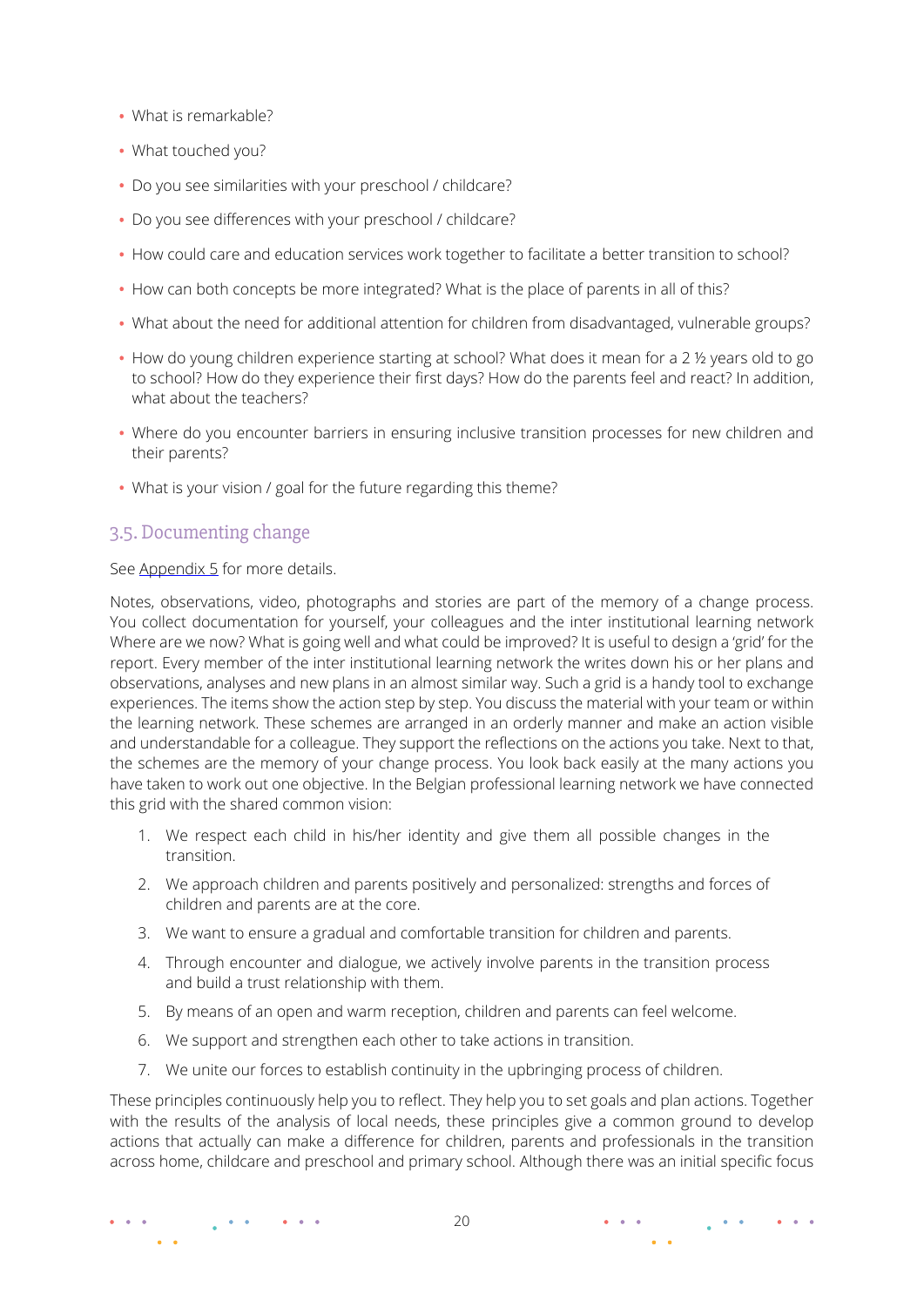- <span id="page-19-0"></span>• What is remarkable? • They are often perceived in the year and autonomous children, they are often perceived in the year and autonomous children, they are often perceived in the year and autonomous children, which we are
- What touched you? who are hindered by the intervention of yet to increase the material of the set to increase the material of the set to increase the material of the set of the set of the set of the set of the set of the
- crying, seeking comfort and reassurance from adults) or behave too 'childlike and wild'. Moreover, • Do you see similarities with your preschool / childcare?
- which they need to redefine the second to redefine the independent of  $\ell$  of cases, especially values,  $\Omega$ • Do you see differences with your preschool / childcare?
- $\cdot$  How could care and oducation services work together to facilitate a better transition to school? • How could care and education services work together to facilitate a better transition to school?
- How can both concepts be more integrated? What is the place of parents in all of this? for their children and parents expressed the hope that their child would be able to connect and find
- What about the need for additional attention for children from disadvantaged, vulnerable groups?
- How do young children experience starting at school? What does it mean for a 2  $\frac{1}{2}$  years old to go to school? How do they experience their first days? How do the parents feel and react? In addition, what about the teachers?  $\blacksquare$
- pressure to make him already potty trained although I think he is not ready for this. I experience • Where do you encounter barriers in ensuring inclusive transition processes for new children and their parents? I have the impression that a child in present a child in present  $\alpha$  child in present  $\alpha$ their parents?
- What is your vision / goal for the future regarding this theme? It should be noted that if  $\mathcal{L}$  is the ECEC/school system, many questions on  $\mathcal{L}$

### $\mathbf{e}$ . Phoenix and safety were addressed by parents in the safety  $\mathbf{e}$ 3.5. Documenting change at risk of societal exclusion (e.g. Roma families, parents of children with special exclusion (e.g. Roma families, parents of children with special exclusion (e.g. Roma families of children with spe

needs, families living in severe poverty,…) these caring questions seem to also represent a political See <u>[Appendix 5](http://start.pei.si/wp-content/uploads/sites/11/2019/06/ANNEX-5-Documenting-the-process.pdf)</u> for more details.

Notes, observations, video, photographs and stories are part of the memory of a change process. roces, seservations, mess, priscigitaphis and steries are part or the memory or a enarge processi.<br>You collect documentation for yourself, your colleagues and the inter institutional learning network Where are we now? What is going well and what could be improved? It is useful to design a 'grid' for the report. Every member of the inter institutional learning network the writes down his or her plans and observations, analyses and new plans in an almost similar way. Such a grid is a handy tool to exchange experiences. The items show the action step by step. You discuss the material with your team or within experiences. The rems show the detten step by step. Tod diseass the material with your team or within<br>the learning network. These schemes are arranged in an orderly manner and make an action visible lie I could tell the presentation the presentation of the presentation of the presentation of the presentation of the only feel like I can say any the only feel like I can say any the only feel like I can say any the only and understandable for a colleague. They support the reflections on the actions you take. Next to that,<br>... the schemes are the memory of your change process. You look back easily at the many actions you have taken to work out one objective. In the Belgian professional learning network we have connected this grid with the shared common vision:

- 1. We respect each child in his/her identity and give them all possible changes in the  $3.11.$  The power of inter-institutional professional professional learning communities  $\alpha$ transition.
- $I$ ,  $I$  order to face these channels were set-up in the production of challenges were set-up in four different countries  $I$ children and parents are at the core. 2. We approach children and parents positively and personalized: strengths and forces of
- 3. We want to ensure a gradual and comfortable transition for children and parents.
	- 4. Through encounter and dialogue, we actively involve parents in the transition process transition and build a trust relationship with them.
- Pilot in Corby, UK: Collaboration between an integrated ECEC centre and primary schools to ensure 5. By means of an open and warm reception, children and parents can feel welcome.
- 6. We support and strengthen each other to take actions in transition.
- activities for Roma children and their families. 7. We unite our forces to establish continuity in the upbringing process of children.

These principles continuously help you to reflect. They help you to set goals and plan actions. Together with the results of the analysis of local needs, these principles give a common ground to develop actions that actually can make a difference for children, parents and professionals in the transition across home, childcare and preschool and primary school. Although there was an initial specific focus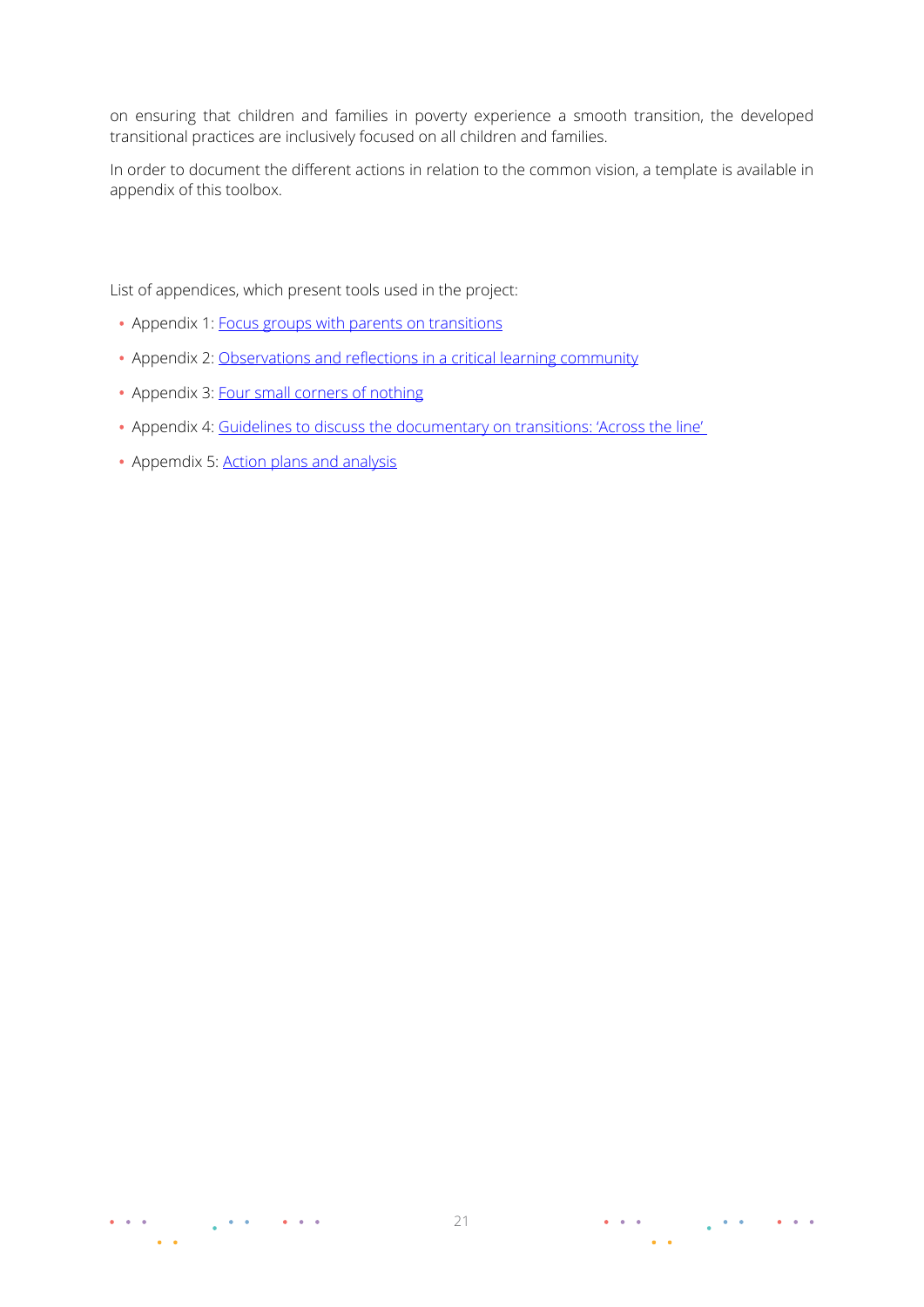on ensuring that children and families in poverty experience a smooth transition, the developed<br>transitional practices are inclusively focused on all children and families. transitional practices are inclusively focused on all children and families.

In order to document the different actions in relation to the common vision, a template is available in appendix of this toolbox. The drawings are new group of peers into a new group of peers in the peers in  $\alpha$ 

List of appendices, which present tools used in the project: for their children and parents expressed the hope that their child would be able to connect and find

- Appendix 1: Focus groups with parents on transitions
- Appendix 2: [Observations and reflections in a critical learning community](http://start.pei.si/wp-content/uploads/sites/11/2019/06/ANNEX-2-Observations-and-reflections.pdf)
- Appendix 2: Four small corners of pothing • Appendix 3: [Four small corners of nothing](http://start.pei.si/wp-content/uploads/sites/11/2019/06/ANNEX-3-Inclusion-in-ECEC-settings.pdf) **the start preschool solution**
- Annendix 4: Guidelines to discuss the documentary on transitions: 'Across the line' • Appendix 4: <u>Guidelines to discuss the documentary on transitions: 'Across the line'</u>
- Appemdix 5: Action plans and analysis **Example 2018** of grow needs to grow needs to grow needs to grow needs to grow needs to grow needs to grow needs to grow needs to grow needs to grow needs to grow needs to grow needs up.' *(Parent, Belgium, Fl)*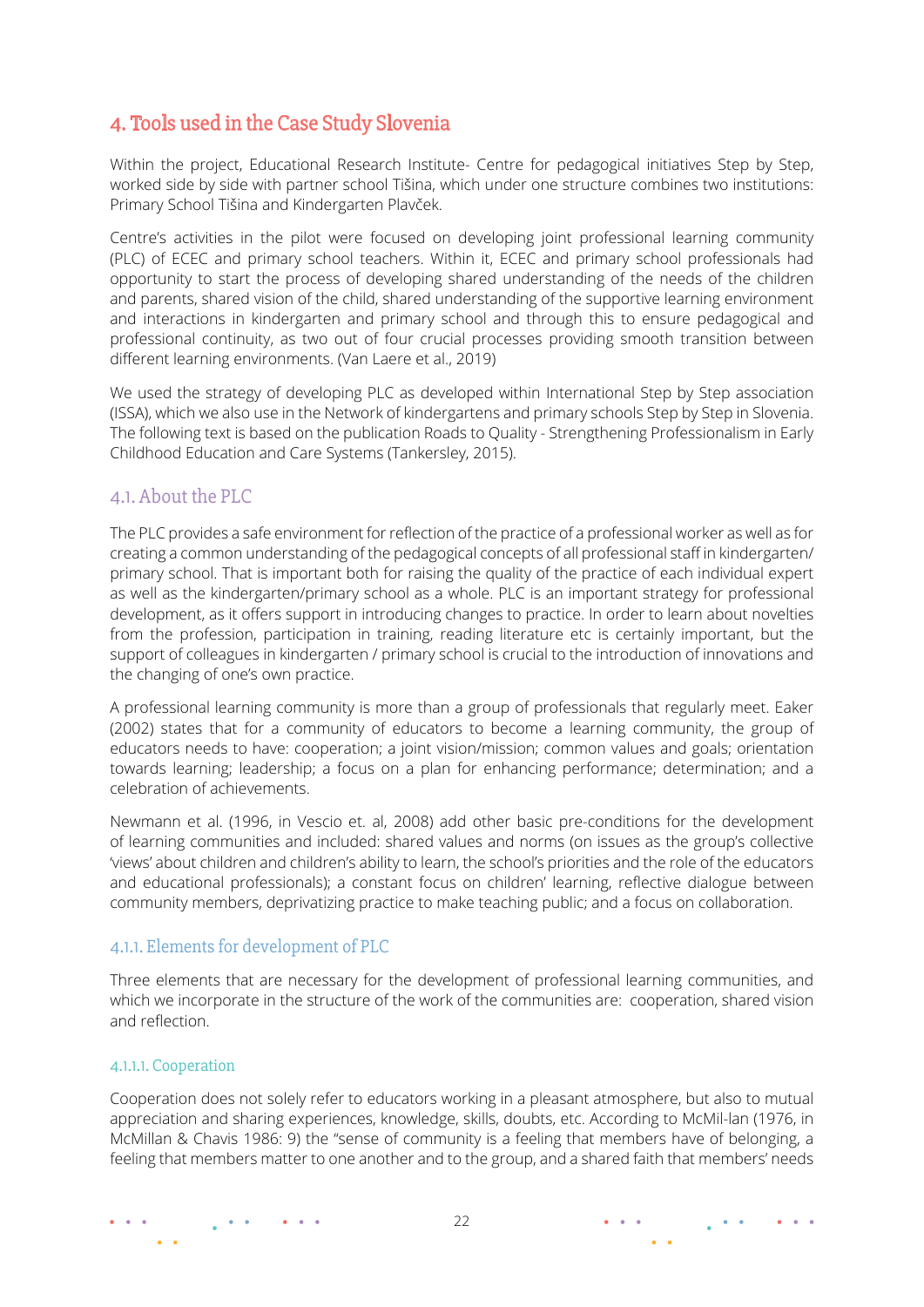### <span id="page-21-0"></span> $\overline{A}$  Tools used in the Case Study Slovenia 4. Tools used in the Case Study Slovenia

as 'incompetent novices' who are hindered by their own caring needs (e.g. not yet toilet trained, Within the project, Educational Research Institute- Centre for pedagogical initiatives Step by Step, worked side by side with partner school Tišina, which under one structure combines two institutions: Primary School Tišina and Kindergarten Plavček.

 $\epsilon$  regularize in the new terms focused on developing initial professional learning community. Centre's activities in the pilot were focused on developing joint professional learning community<br>'SLO, there es the pilot were the limit in the second limit is the second limit in the second limit is the lim (PLC) of ECEC and primary school teachers. Within it, ECEC and primary school professionals had opportunity to start the process of developing shared understanding of the needs of the children and parents, shared vision of the child, shared understanding of the supportive learning environment and interactions in kindergarten and primary school and through this to ensure pedagogical and professional continuity, as two out of four crucial processes providing smooth transition between different learning environments. (Van Laere et al., 2019)

We used the strategy of developing PLC as developed within International Step by Step association we used the strategy or developing i Le as developed within international step by step association.<br>(ISSA), which we also use in the Network of kindergartens and primary schools Step by Step in Slovenia. provided to make the matter of the intervention of the intervention and primary surfoods step by step in slover The following text is based on the publication Roads to Quality - Strengthening Professionalism in Early Childhood Education and Care Systems (Tankersley, 2015).

### $4.1.$  About the FLC 4.1. About the PLC

emotional and physical care and safety were addressed by parents in these transitions. Especially The PLC provides a safe environment for reflection of the practice of a professional worker as well as for creating a common understanding of the pedagogical concepts of all professional staff in kindergarten/ primary school. That is important both for raising the quality of the practice of each individual expert as well as the kindergarten/primary school as a whole. PLC is an important strategy for professional development, as it offers support in introducing changes to practice. In order to learn about novelties from the profession, participation in training, reading literature etc is certainly important, but the support of colleagues in kindergarten / primary school is crucial to the introduction of innovations and the changing of one's own practice. We have to stand in the stand in the stand in the stand in the stand in the stand in the stand in the stand in the stand in the stand in the stand in the stand in the stand in the stand

playground, you have to stand outside. The children come out one by one, go straight to the A professional learning community is more than a group of professionals that regularly meet. Eaker (2002) states that for a community of educators to become a learning community, the group of educators needs to have: cooperation; a joint vision/mission; common values and goals; orientation towards learning; leadership; a focus on a plan for enhancing performance; determination; and a celebration of achievements.

Newmann et al. (1996, in Vescio et. al, 2008) add other basic pre-conditions for the development<br>of learning communities and included: charad values and nerms (an issues as the group's sellective 'views' about children and children's ability to learn, the school's priorities and the role of the educators  $S_{\text{M}}$  order to face these characterizes considered projects were set-up in the set-up in focus on collaboration community members, deprivatizing practice to make teaching public; and a focus on collaboration.<br>. of learning communities and included: shared values and norms (on issues as the group's collective and educational professionals); a constant focus on children' learning, reflective dialogue between

### $\epsilon_{\text{B}}$  in Flaments for development of  $\overline{\text{D}}$  C 4.1.1. Elements for development of PLC

Three elements that are necessary for the development of professional learning communities, and which we incorporate in the structure of the work of the communities are: cooperation, shared vision and reflection.

# 4.1.1.1. Cooperation

Cooperation does not solely refer to educators working in a pleasant atmosphere, but also to mutual appreciation and sharing experiences, knowledge, skills, doubts, etc. According to McMil-lan (1976, in McMillan & Chavis 1986: 9) the "sense of community is a feeling that members have of belonging, a feeling that members matter to one another and to the group, and a shared faith that members' needs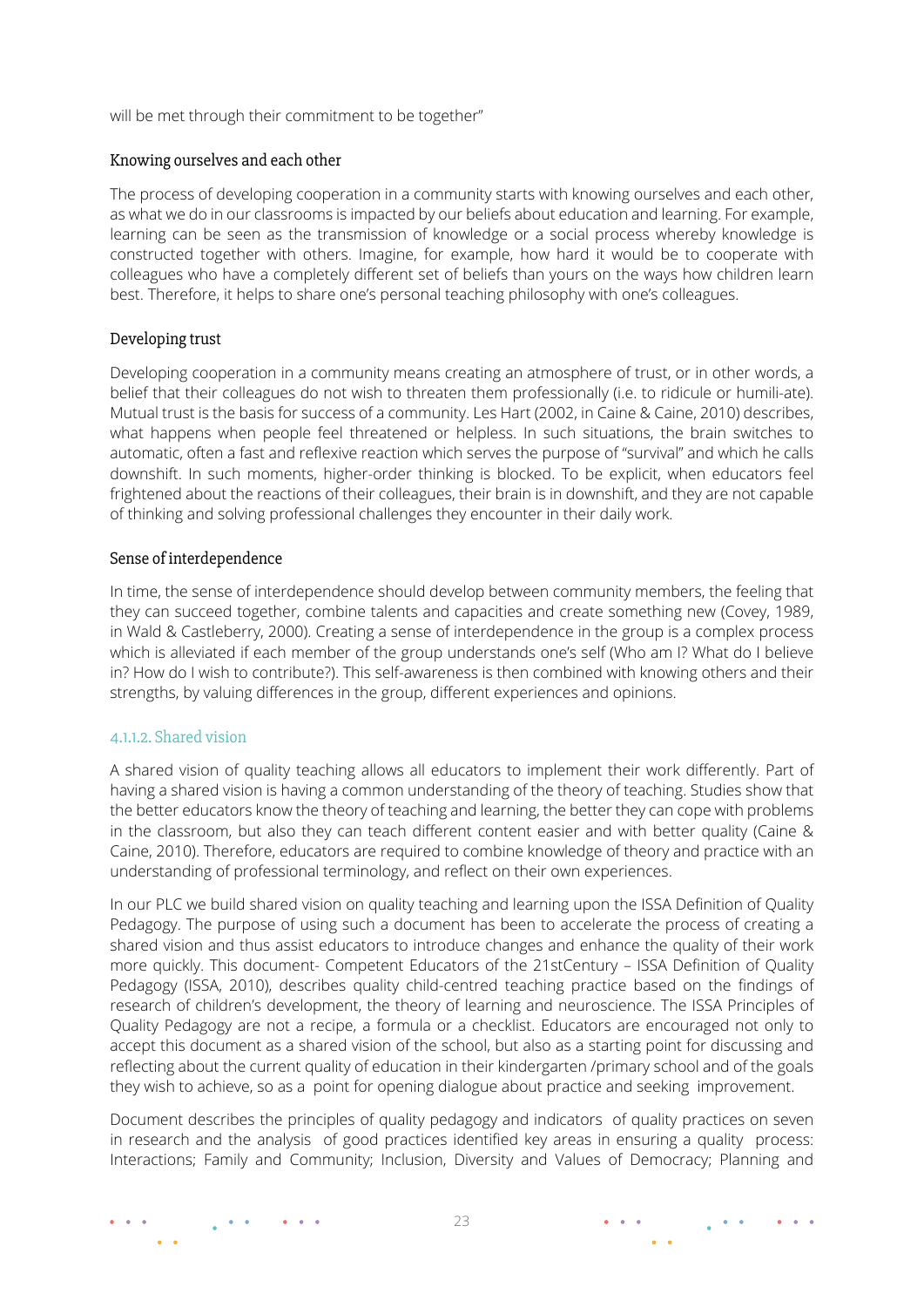<span id="page-22-0"></span>will be met through their commitment to be together" will be met through their commitment of the state. In the

### Knowing ourselves and each other  $\overline{\phantom{a}}$ crystal computation, seeking computation and reason adults) or behave to 'childlike and wilder and wilder and wilder

The process of developing cooperation in a community starts with knowing ourselves and each other, as what we do in our classrooms is impacted by our beliefs about education and learning. For example, learning can be seen as the transmission of knowledge or a social process whereby knowledge is constructed together with others. Imagine, for example, how hard it would be to cooperate with constructed together with others. Imagine, for example, how have it would be to cooperate with<br>colleagues who have a completely different set of beliefs than yours on the ways how children learn with one set of the set of the set of the set of the set of the set of the set of the set of the set of the set of the set of the set of the set of the set of the set of the set of the set of the set of the set of the set best. Therefore, it helps to share one's personal teaching philosophy with one's colleagues.

# Developing trust and focus groups show how the mathematic complex positions in which which in which complex positions in which which which is a strong positions in which which was a strong positions in which was a strong p

they are the expectations of the expectations of the  $\mathcal{O}_\mathcal{A}$ Beveraping edeperation in a commany means or daing an atmosphere or trast, or in other words, a<br>belief that their colleagues do not wish to threaten them professionally (i.e. to ridicule or humili-ate). belief that their colleagues do not wish to threaten them processionally (i.e. to nuitate of namili ate).<br>Mutual trust is the basis for success of a community. Les Hart (2002, in Caine & Caine, 2010) describes,  $\frac{p}{p}$  and  $\frac{p}{p}$  to make him already potential here. It is not ready for the  $\alpha$  calle,  $\alpha$  to  $p$  describ what happens when people feel threatened or helpless. In such situations, the brain switches to automatic, often a fast and reflexive reaction which serves the purpose of "survival" and which he calls downshift. In such moments, higher-order thinking is blocked. To be explicit, when educators feel frightened about the reactions of their colleagues, their brain is in downshift, and they are not capable<br>Editions on the reactions of their colleagues, their brain is in downshift, and they are not capable of thinking and solving professional challenges they encounter in their daily work. Developing cooperation in a community means creating an atmosphere of trust, or in other words, a

# Sense of interdependence carriers and also represent a political political and political political political and political political political political political political political political political political political

need to belong and be included in the (pre)school and broader society. It is remarkable how the In time, the sense of interdependence should develop between community members, the feeling that they can succeed together, combine talents and capacities and create something new (Covey, 1989, in Wald & Castleberry, 2000). Creating a sense of interdependence in the group is a complex process which is alleviated if each member of the group understands one's self (Who am I? What do I believe in? How do I wish to contribute?). This self-awareness is then combined with knowing others and their strengths, by valuing differences in the group, different experiences and opinions.

# dike I could tell the present and the present and the only in the only in the only in the only in the only in the only in the only in the only in the only in the only in the only in the only in the only in the only in the

A shared vision of quality teaching allows all educators to implement their work differently. Part of in the classroom, but also they can teach different content easier and with better quality (Caine & cante, 2010). Therefore, educators are required to compine knowledge or theory<br>understanding of professional terminology, and reflect on their own experiences. having a shared vision is having a common understanding of the theory of teaching. Studies show that the better educators know the theory of teaching and learning, the better they can cope with problems Caine, 2010). Therefore, educators are required to combine knowledge of theory and practice with an

In our PLC we build shared vision on quality teaching and learning upon the ISSA Definition of Quality If you'll be we bond shared vision on quality teaching and rearring apon the 1337 Definition or guality<br>Pedagogy. The purpose of using such a document has been to accelerate the process of creating a exagegy. The parapeter of dangebalance a collaboration between to according the process of a children grand shared vision and thus assist educators to introduce changes and enhance the quality of their work anarea vision and thas assist educators to introduce enanges and enhance the quality of their work<br>more quickly. This document- Competent Educators of the 21stCentury – ISSA Definition of Quality transition Pedagogy (ISSA, 2010), describes quality child-centred teaching practice based on the findings of research of children's development, the theory of learning and neuroscience. The ISSA Principles of research or enhancing development, the theory or learning and nearoscience. The issert intelpies or<br>Quality Pedagogy are not a recipe, a formula or a checklist. Educators are encouraged not only to accept this document as a shared vision of the school, but also as a starting point for discussing and actept this assemble as a shared historict the series, set also as a starting point for alseasoing and reflecting about the current quality of education in their kindergarten /primary school and of the goals they wish to achieve, so as a point for opening dialogue about practice and seeking improvement. continuity for children and families for children and families of the families of the children and families of the children and continuity of the children and continuity of the children and continuity of the children and c

Document describes the principles of quality pedagogy and indicators of quality practices on seven in research and the analysis of good practices identified key areas in ensuring a quality process: Interactions; Family and Community; Inclusion, Diversity and Values of Democracy; Planning and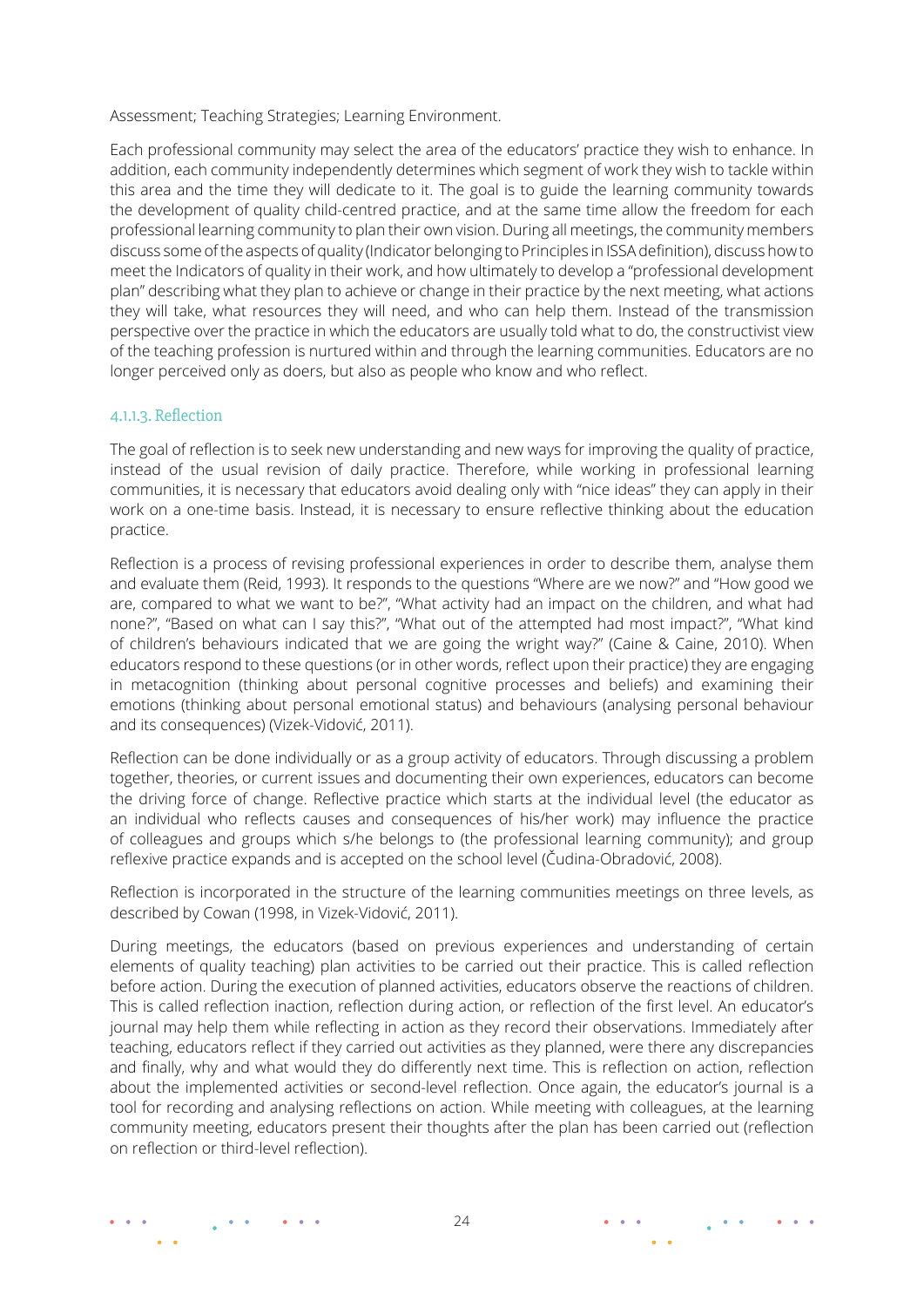<span id="page-23-0"></span>Assessment; Teaching Strategies; Learning Environment.

the next phase (pre-school or primary school) by the pre-school teachers or primary school teachers Each professional community may select the area of the educators' practice they wish to enhance. In addition, each community independently determines which segment of work they wish to tackle within this area and the time they will dedicate to it. The goal is to guide the learning community towards the development of quality child-centred practice, and at the same time allow the freedom for each the development of quality child-centred practice, and at the same time allow the freedom for each<br>professional learning community to plan their own vision. During all meetings, the community members discuss some of the aspects of quality (Indicator belonging to Principles in ISSA definition), discuss how to meet the Indicators of quality in their work, and how ultimately to develop a "professional development plan" describing what they plan to achieve or change in their practice by the next meeting, what actions plen according matterity plen to denieve or change in their proceted by the hort meeting, matterchering<br>they will take, what resources they will need, and who can help them. Instead of the transmission ency will take, what resoarces they will need, and who can help them. Instead or the transitiosition.<br>perspective over the practice in which the educators are usually told what to do, the constructivist view perspective over the practice in which the equidators are usually told what to do, the constructivist view of the teaching profession is nurtured within and through the learning communities. Educators are no  $A$ ren't children normally ready to the total to go to the toilet automously when the three years three years three years three years three years of the total three years of the total three years of the total three years o longer perceived only as doers, but also as people who know and who reflect.

### older? My child is two and and a half years older? My child is two and needs to start preschool soon. I feel t pressure to make him already potter to make him although I think he is not ready for this not ready for this not ready for this not ready for this not ready for this not ready for the issue of the issue of the issue of the 4.1.1.3. Reflection

The goal of reflection is to seek new understanding and new ways for improving the quality of practice, the preschool teacher is to seek hew understanding the incw ways for improving the quality of practice instead of the usual revision of daily practice. Therefore, while working in professional learning  $\frac{1}{100}$  showled that is not that is not the context and the context and the ECEC/school system, many  $\frac{1}{100}$  system, many  $\frac{1}{100}$  system, many  $\frac{1}{100}$  system, many  $\frac{1}{100}$  system, many  $\frac{1}{100}$  syst work on a one-time basis. Instead, it is necessary to ensure reflective thinking about the education<br>practice  $w$  families are more at risk of societal exclusion (e.g.  $R$ )  $\alpha$  families, parallel with special  $\alpha$ communities, it is necessary that educators avoid dealing only with "nice ideas" they can apply in their practice.

Reflection is a process of revising professional experiences in order to describe them, analyse them and evaluate them (Reid, 1993). It responds to the questions "Where are we now?" and "How good we and created enemphasy researched to the questions three diversion and then seed need on the children and what<br>are, compared to what we want to be?", "What activity had an impact on the children, and what had are, compared to what we want to be: , what deavity had an impact on the enhancity, and what had<br>none?", "Based on what can I say this?", "What out of the attempted had most impact?", "What kind of children's behaviours indicated that we are going the wright way?" (Caine & Caine, 2010). When educators respond to these questions (or in other words, reflect upon their practice) they are engaging The preschool was more relaxed…more friendly and welcoming… Now, you have to stand in the in metacognition (thinking about personal cognitive processes and beliefs) and examining their playground, you have to see the children comes to stand out of  $\alpha$  and  $\alpha$  and  $\alpha$  and  $\alpha$  and  $\alpha$  the children comes of  $\alpha$  and  $\alpha$  is the children comes of  $\alpha$  and  $\alpha$  is the children comes of  $\alpha$  and  $\alpha$  is emotions (thinking about personal emotional status) and behaviours (analysing personal behaviour intervalsion o and its consequences) (Vizek-Vidović, 2011).

Reflection can be done individually or as a group activity of educators. Through discussing a problem together, theories, or current issues and documenting their own experiences, educators can become together, theories, or current issues and documenting their own experiences, educators can become ari individual who reflects causes and consequences or mishier work) may imidence the practice<br>of colleagues and groups which s/he belongs to (the professional learning community); and group reflexive practice expands and is accepted on the school level (Čudina-Obradović, 2008). the driving force of change. Reflective practice which starts at the individual level (the educator as an individual who reflects causes and consequences of his/her work) may influence the practice

Reflection is incorporated in the structure of the learning communities meetings on three levels, as described by Cowan (1998, in Vizek-Vidović, 2011).

During meetings, the educators (based on previous experiences and understanding of certain butting incernigs, the educators (based on previous experiences and differenting or certain<br>elements of quality teaching) plan activities to be carried out their practice. This is called reflection elements or quality teaching, plan activities to be carried out their practice. This is called reliection<br>before action. During the execution of planned activities, educators observe the reactions of children. betwee action, Danny the execution or planned activities, educators observe the reactions or enhancin.<br>This is called reflection inaction, reflection during action, or reflection of the first level. An educator's Find ideal chocontinuition, reflection during action, or reflection or the first fevel. An educator 3<br>journal may help them while reflecting in action as they record their observations. Immediately after position they map in the manned pressing in action as andy present their presentations immediately and the tra<br>teaching, educators reflect if they carried out activities as they planned, were there any discrepancies eddring, caddators reneed in they carried out detivites as they planned, were there any discrepancies<br>and finally, why and what would they do differently next time. This is reflection on action, reflection about the implemented activities or second-level reflection. Once again, the educator's journal is a tool for recording and analysing reflections on action. While meeting with colleagues, at the learning community meeting, educators present their thoughts after the plan has been carried out (reflection on reflection or third-level reflection). The inter-institution of this community was examined an interestablished. This is a group of staff from different institutions (childcare, preschool, ECEC centre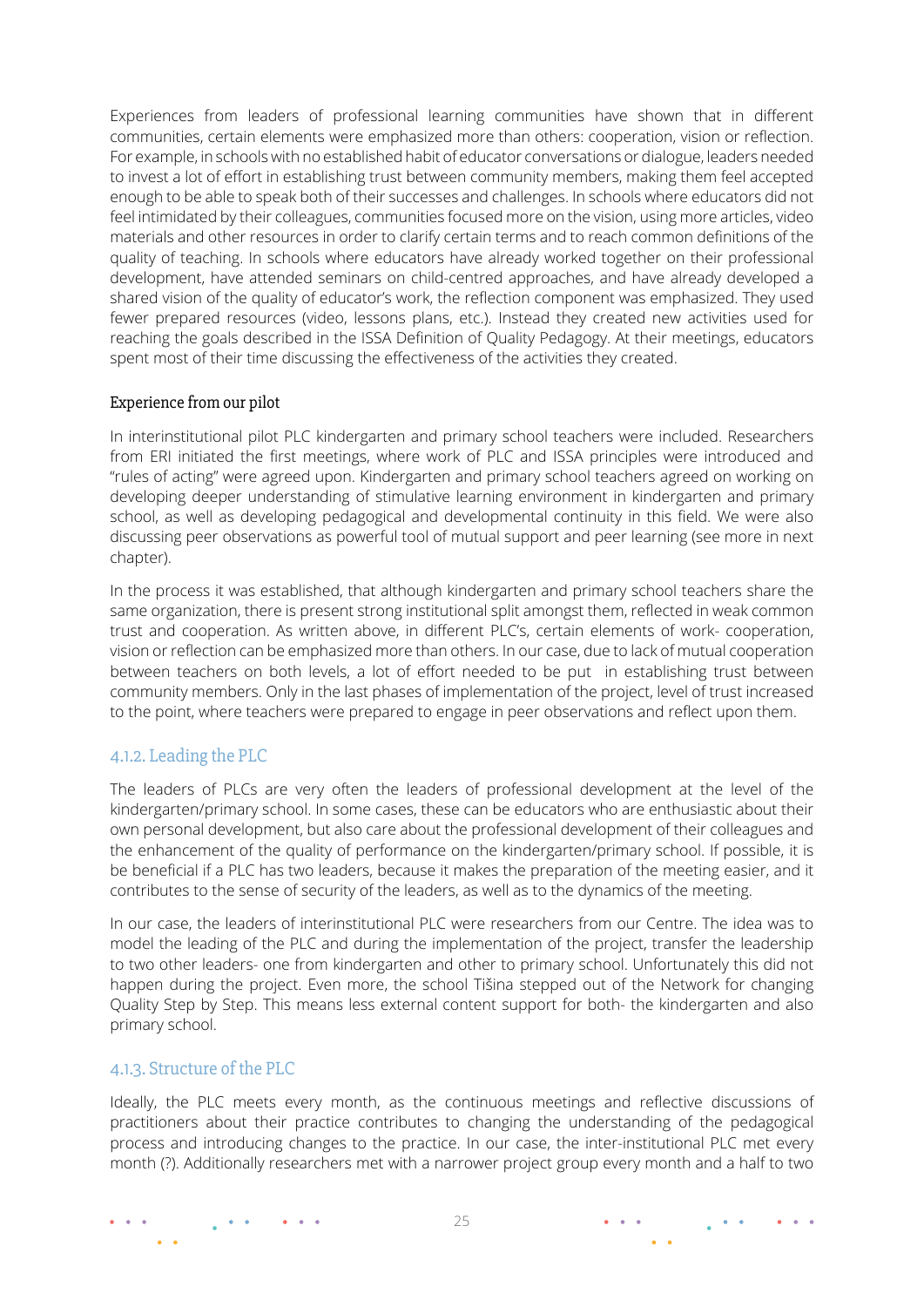<span id="page-24-0"></span>Experiences from leaders of professional learning communities have shown that in different Experiences from leaders of professional learning communities have shown that in different<br>communities, certain elements were emphasized more than others: cooperation, vision or reflection. For example, in schools with no established habit of educator conversations or dialogue, leaders needed to invest a lot of effort in establishing trust between community members, making them feel accepted enough to be able to speak both of their successes and challenges. In schools where educators did not which they need to redefine their roles. In a lot of cases, especially vulnerable children are not able feel intimidated by their colleagues, communities focused more on the vision, using more articles, video regulated international concegacy, commanifies recased into difficult behaviours, asing more differently made<br>materials and other resources in order to clarify certain terms and to reach common definitions of the materials and other resources in order to clamy certain terms and to reach common deminions or the<br>quality of teaching. In schools where educators have already worked together on their professional ushly of teaching. In scribols where equidating have an eady worked together on their professional development, have attended seminars on child-centred approaches, and have already developed a shared vision of the quality of educator's work, the reflection component was emphasized. They used fewer prepared resources (video, lessons plans, etc.). Instead they created new activities used for reaching the goals described in the ISSA Definition of Quality Pedagogy. At their meetings, educators spent most of their time discussing the effectiveness of the activities they created.

# $\Delta$  Experience from our pilot and needs to start preschool soon. I feel the start preschool soon. I feel the start preschool soon. I feel the start preschool soon. I feel the start preschool soon. I feel the start prescho

In interinstitutional pilot PLC kindergarten and primary school teachers were included. Researchers from ERI initiated the first meetings, where work of PLC and ISSA principles were introduced and "rules of acting" were agreed upon. Kindergarten and primary school teachers agreed on working on developing deeper understanding of stimulative learning environment in kindergarten and primary school, as well as developing pedagogical and developmental continuity in this field. We were also discussing peer observations as powerful tool of mutual support and peer learning (see more in next needs, families living in severe power power power power power power and power and political power power and po chapter).

need to belong and be included in the (pre)school and broader society. It is remarkable how the In the process it was established, that although kindergarten and primary school teachers share the same organization, there is present strong institutional split amongst them, reflected in weak common St and cooperation. As wheelf above, in different file s, certain elements of work- cooperation vision or reflection can be emphasized more than others. In our case, due to lack of mutual cooperation<br>. between teachers on both levels, a lot of effort needed to be put in establishing trust between community members. Only in the last phases of implementation of the project, level of trust increased to the point, where teachers were prepared to engage in peer observations and reflect upon them. trust and cooperation. As written above, in different PLC's, certain elements of work- cooperation,

### place you can go into is the office of the principal, which always seems to be locked, or you go 4.1.2. Leading the PLC through the office and sit in the corridor.' *(Parent, UK)*

own personal development, but also care about the professional development of their colleagues and are ennancement of the quality of performance on the kindergartemphinary school. If possible, it is<br>be beneficial if a PLC has two leaders, because it makes the preparation of the meeting easier, and it contributes to the sense of security of the leaders, as well as to the dynamics of the meeting. The leaders of PLCs are very often the leaders of professional development at the level of the kindergarten/primary school. In some cases, these can be educators who are enthusiastic about their the enhancement of the quality of performance on the kindergarten/primary school. If possible, it is

In our case, the leaders of interinstitutional PLC were researchers from our Centre. The idea was to model the leading of the PLC and during the implementation of the project, transfer the leadership moder are redemig of the rice and daring the imprementation of the project, transfer the reddering to two other leaders one from kindergarten and other to primary school. Unfortunately this did not to two other readers one from kindergarten and other to primary sensor. Onlor tanately this did not<br>happen during the project. Even more, the school Tišina stepped out of the Network for changing  $\frac{1}{2}$ Quality Step by Step. This means less external content support for both- the kindergarten and also<br>priman/school  $\mathbf{P}_{\text{max}}$ primary school.

## 4.1.3. Structure of the PLC  $\mathcal{P}_{i,j}$ : Collaboration between pre- and primary school station between pre-

Ideally, the PLC meets every month, as the continuous meetings and reflective discussions of practitioners about their practice contributes to changing the understanding of the pedagogical process and introducing changes to the practice. In our case, the inter-institutional PLC met every process and introducing changes to the practice. In our case, the inter-institutional PLC met every<br>month (?). Additionally researchers met with a narrower project group every month and a half to two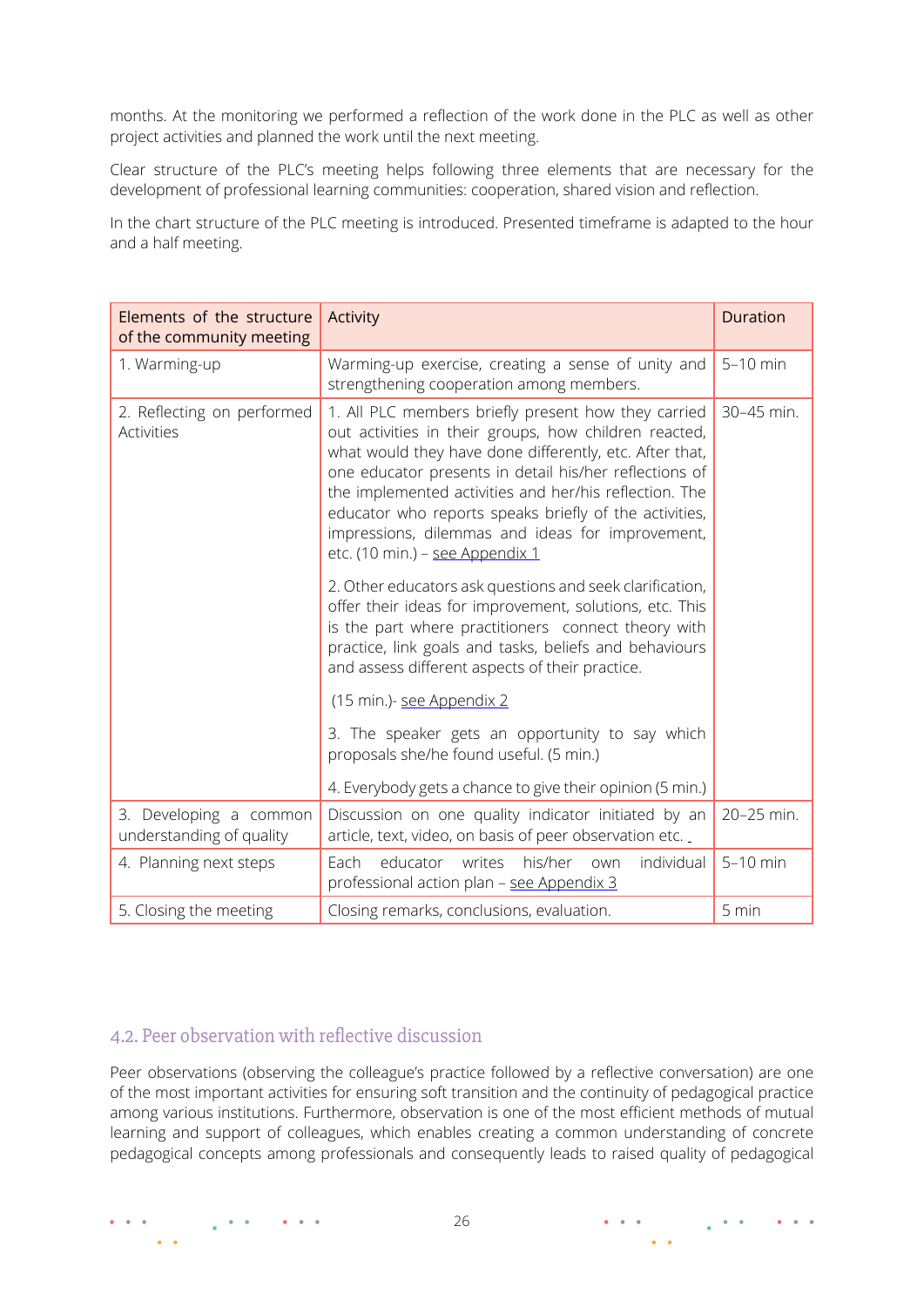<span id="page-25-0"></span>months. At the monitoring we performed a reflection of the work done in the PLC as well as other<br>project activities and planned the work until the next meeting. project activities and planned the work until the next meeting.

Clear structure of the PLC's meeting helps following three elements that are necessary for the development of professional learning communities: cooperation, shared vision and reflection.

which they need to redefine the states, in a lot of cases, especially vulnerable children are not able children In the chart structure of the PLC meeting is introduced. Presented timeframe is adapted to the hour and a half meeting. In order to 'fit in' the matrix to the matrix to regulate, they had the matrix to regulate, they had the matrix to regulate, they had the matrix to regulate, they had they had they had they had the matr

| Elements of the structure<br>of the community meeting | Activity                                                                                                                                                                                                                                                                                                                                                                                                                                     | Duration   |
|-------------------------------------------------------|----------------------------------------------------------------------------------------------------------------------------------------------------------------------------------------------------------------------------------------------------------------------------------------------------------------------------------------------------------------------------------------------------------------------------------------------|------------|
| 1. Warming-up                                         | Warming-up exercise, creating a sense of unity and<br>strengthening cooperation among members.                                                                                                                                                                                                                                                                                                                                               | 5-10 min   |
| 2. Reflecting on performed<br><b>Activities</b>       | 1. All PLC members briefly present how they carried<br>out activities in their groups, how children reacted,<br>what would they have done differently, etc. After that,<br>one educator presents in detail his/her reflections of<br>the implemented activities and her/his reflection. The<br>educator who reports speaks briefly of the activities,<br>impressions, dilemmas and ideas for improvement,<br>etc. (10 min.) - see Appendix 1 | 30-45 min. |
|                                                       | 2. Other educators ask questions and seek clarification,<br>offer their ideas for improvement, solutions, etc. This<br>is the part where practitioners connect theory with<br>practice, link goals and tasks, beliefs and behaviours<br>and assess different aspects of their practice.                                                                                                                                                      |            |
|                                                       | (15 min.)- see Appendix 2                                                                                                                                                                                                                                                                                                                                                                                                                    |            |
|                                                       | 3. The speaker gets an opportunity to say which<br>proposals she/he found useful. (5 min.)                                                                                                                                                                                                                                                                                                                                                   |            |
|                                                       | 4. Everybody gets a chance to give their opinion (5 min.)                                                                                                                                                                                                                                                                                                                                                                                    |            |
| 3. Developing a common<br>understanding of quality    | Discussion on one quality indicator initiated by an<br>article, text, video, on basis of peer observation etc.                                                                                                                                                                                                                                                                                                                               | 20-25 min. |
| 4. Planning next steps                                | his/her<br>individual<br>Each<br>educator writes<br>own<br>professional action plan - see Appendix 3                                                                                                                                                                                                                                                                                                                                         | 5-10 min   |
| 5. Closing the meeting                                | Closing remarks, conclusions, evaluation.                                                                                                                                                                                                                                                                                                                                                                                                    | 5 min      |

# 4.2. Peer observation with reflective discussion to develop the station of the primary school state to develop

een buservations (observing the colleague's practice number by a reliective conversation) are oneof the most important activities for ensuring soft transition and the continuity of pedagogical practice enting tensees institutions for national possession is one of the most embers meanses of metals.<br>learning and support of colleagues, which enables creating a common understanding of concrete  $S_{\text{S}}$  case study report of the case of  $\alpha$  inter-institutional parameter  $\alpha$  is community was also to multiple of polaracies. pedagogical concepts among professionals and consequently leads to raised quality of pedagogical Peer observations (observing the colleague's practice followed by a reflective conversation) are one among various institutions. Furthermore, observation is one of the most efficient methods of mutual

9 26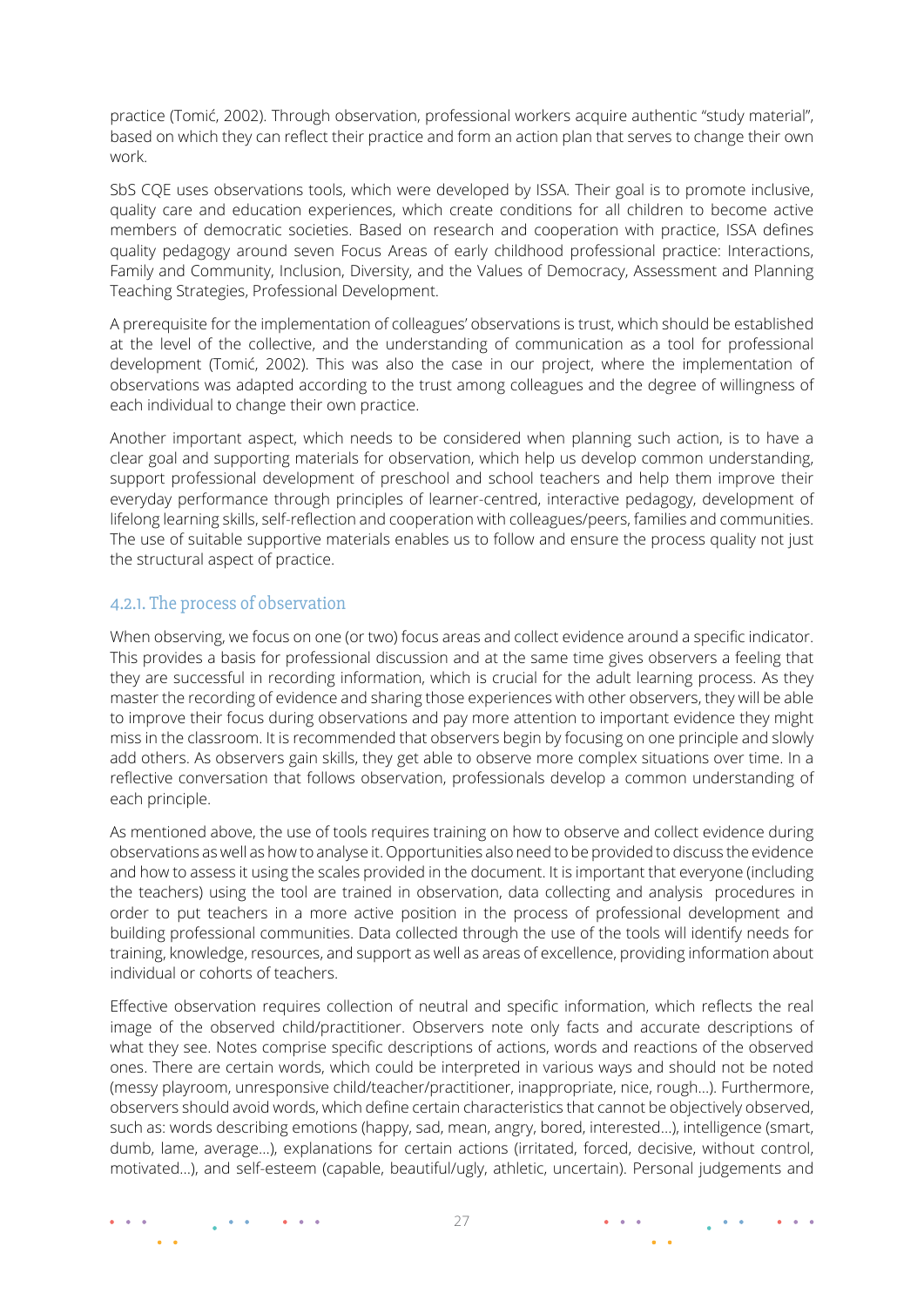<span id="page-26-0"></span>practice (Tomić, 2002). Through observation, professional workers acquire authentic "study material", practice (Tomić, 2002). Through observation, professional workers acquire authentic "study material",<br>based on which they can reflect their practice and form an action plan that serves to change their own as 'incompetent novices' who are higher own carried by the incompetent of the incompetent of the incompetent of the incompetent of the incompetent of the incompetent of the incompetent of the incompetent of the incompetent work.

SbS CQE uses observations tools, which were developed by ISSA. Their goal is to promote inclusive, quality care and education experiences, which create conditions for all children to become active quality care and education experiences, which create conditions for all children to become active<br>members of democratic societies. Based on research and cooperation with practice, ISSA defines quality pedagogy around seven Focus Areas of early childhood professional practice: Interactions, Family and Community, Inclusion, Diversity, and the Values of Democracy, Assessment and Planning with out how peer relationships are relationships are changing are changing  $\overline{S}$ . The changing Strategies, Professional Development. for the forte-displace that the hope that the hope that the hope that the hope to connect and find be able to connect and find  $\alpha$ 

A prerequisite for the implementation of colleagues' observations is trust, which should be established at the level of the collective, and the understanding of communication as a tool for professional development (Tomić, 2002). This was also the case in our project, where the implementation of observations was adapted according to the trust among colleagues and the degree of willingness of each individual to change their own practice. I feel the start preschool soon. I feel the start preschool soon

Another important aspect, which needs to be considered when planning such action, is to have a clear goal and supporting materials for observation, which help us develop common understanding, support professional development of preschool and school teachers and help them improve their everyday performance through principles of learner-centred, interactive pedagogy, development of lifelong learning skills, self-reflection and cooperation with colleagues/peers, families and communities. The use of suitable supportive materials enables us to follow and ensure the process quality not just<br>the structural aspect of practice. the structural aspect of practice.

### 4.2.1. The process of observation and exchange information  $\mathcal{A}$ about the transition of their child with professionals from childcare, pre-school or primary school.

When observing, we focus on one (or two) focus areas and collect evidence around a specific indicator. This provides a basis for professional discussion and at the same time gives observers a feeling that they are successful in recording information, which is crucial for the adult learning process. As they master the recording of evidence and sharing those experiences with other observers, they will be able to improve their focus during observations and pay more attention to important evidence they might miss in the classroom. It is recommended that observers begin by focusing on one principle and slowly add others. As observers gain skills, they get able to observe more complex situations over time. In a through the office and sit in the corridor.' *(Parent, UK)*  reflective conversation that follows observation, professionals develop a common understanding of each principle.

As mentioned above, the use of tools requires training on how to observe and collect evidence during observations as well as how to analyse it. Opportunities also need to be provided to discuss the evidence<br>on the urbe assessite using the assles needed in the deguneant. It is important that a various (including the teachers) using the tool are trained in observation, data collecting and analysis qrocedures in order to put teachers in a more active position in the process of professional development and building professional communities. Data collected through the use of the tools will identify needs for training, knowledge, resources, and support as well as areas of excellence, providing information about individual or cohorts of teachers. and how to assess it using the scales provided in the document. It is important that everyone (including

Effective observation requires collection of neutral and specific information, which reflects the real encelive observation requires concelion or neutral and specific imormation, which reflects the rear<br>image of the observed child/practitioner. Observers note only facts and accurate descriptions of what they see. Notes comprise specific descriptions of actions, words and reactions of the observed activity see: Totes comprise specific descriptions or detions, words and redetions or the observed ones. There are certain words, which could be interpreted in various ways and should not be noted (messy playroom, unresponsive child/teacher/practitioner, inappropriate, nice, rough...). Furthermore, continuity for children and families of children and families in the process that cannot be objectively observed, such as: words describing emotions (happy, sad, mean, angry, bored, interested...), intelligence (smart, dumb, lame, average...), explanations for certain actions (irritated, forced, decisive, without control, motivated...), and self-esteem (capable, beautiful/ugly, athletic, uncertain). Personal judgements and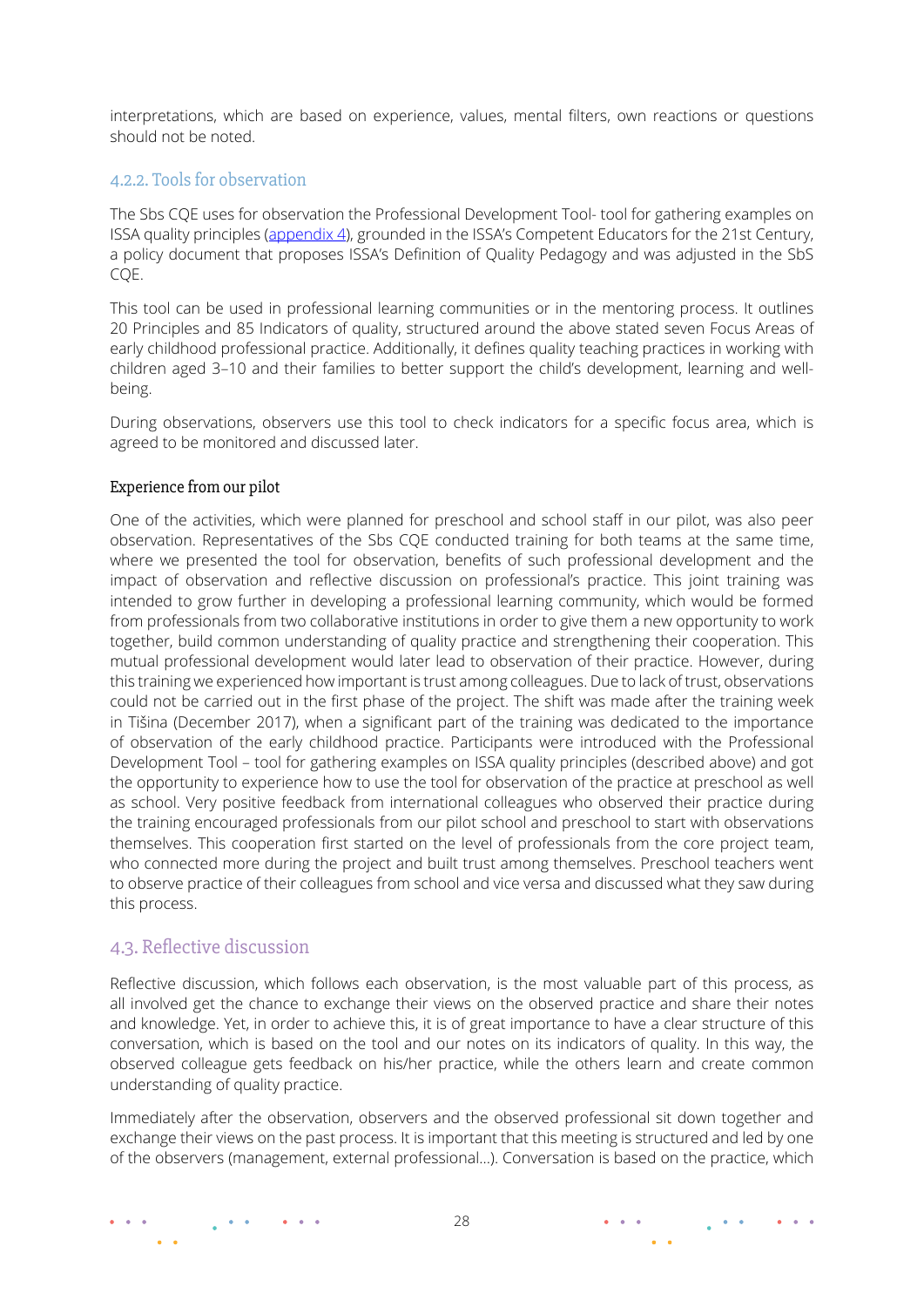<span id="page-27-0"></span>interpretations, which are based on experience, values, mental filters, own reactions or questions<br>should not be noted. should not be noted

### crying, seeking comfort and reassurance from adults) or behave too 'childlike and wild'. Moreover, 4.2.2. Tools for observation the drawings and observations point out that  $p$

The Sbs CQE uses for observation the Professional Development Tool- tool for gathering examples on ISSA quality principles ([appendix 4](http://www.korakzakorakom.si/storage/app/files/projekti/Hospitacija_Obrazci-za-opazovanje.pdf)), grounded in the ISSA's Competent Educators for the 21st Century,  $\frac{1}{2}$  policy document that proposes  $\frac{1}{2}S_1^{N_s}$ . Definition of Quality Pedagony and was adjusted in the SbS a policy document that proposes ISSA's Definition of Quality Pedagogy and was adjusted in the SbS<br>COE  $\mathcal{C}(\mathcal{C})$ . Furthermore, parametermore, parametermore, parametermore, parametermore, parametermore, parametermore, parametermore, parametermore, parametermore, parametermore, parametermore, parametermore, parametermor CQE.

This tool can be used in professional learning communities or in the mentoring process. It outlines 20 Principles and 85 Indicators of quality, structured around the above stated seven Focus Areas of early childhood professional practice. Additionally, it defines quality teaching practices in working with early childhood professional practice. Additionally, it defines quality teaching practices in working with catify children aged 3–10 and their families to better support the child's development, learning and well-<br>children aged 3–10 and their families to better support the child's development, learning and well- $\overline{\phantom{a}}$ ready to the total to the total to the total to the total to the total to the total to the total to the total to the total to the total to the total to the total to the total to the total to the total to the to  $\sim$  or older? My child is two and needs to start preschool social social social social social social social social social social social social social social social social social social social social social social social being.

During observations, observers use this tool to check indicators for a specific focus area, which is agreed to be monitored and discussed later. And will not be seen by seen by seen by seen by seen by seen by se

# up.' *(Parent, Belgium, Fl)* Experience from our pilot

It should be noted that if showl definitions of the  $E\in\mathbb{R}$  and the ECEC/school system, many questions on One of the activities, which were planned for preschool and school staff in our pilot, was also peer One of the activities, which were planned for preschool and school staff in our pilot, was also peer<br>observation. Representatives of the Sbs CQE conducted training for both teams at the same time, where we presented the tool for observation, benefits of such professional development and the impact of observation and reflective discussion on professional's practice. This joint training was intended to grow further in developing a professional learning community, which would be formed from professionals from two collaborative institutions in order to give them a new opportunity to work together, build common understanding of quality practice and strengthening their cooperation. This mutual professional development would later lead to observation of their practice. However, during this training we experienced how important is trust among colleagues. Due to lack of trust, observations could not be carried out in the first phase of the project. The shift was made after the training week parents are so cannot such the mot phase of the project the sime has made are the training need.<br>In Tišina (December 2017), when a significant part of the training was dedicated to the importance In tistua (Becember 2017), when a significant part of the training was dedicated to the importance of observation of the early childhood practice. Participants were introduced with the Professional pose valid the can go into it the office. Tailor when when always which are notes Development Tool – tool for gathering examples on ISSA quality principles (described above) and got the training encouraged professionals from our pilot school and preschool to start with observations<br>there also a This as a section fact at at the law health face facilities from the second state to rea who connected more during the project and built trust among themselves. Preschool teachers went to observe practice of their colleagues from school and vice versa and discussed what they saw during<br>this process this process. the opportunity to experience how to use the tool for observation of the practice at preschool as well as school. Very positive feedback from international colleagues who observed their practice during themselves. This cooperation first started on the level of professionals from the core project team,

### • Pilot in Aalst, Belgium: Collaboration between a childcare centre, a pre-and primary school and 4.3. Reflective discussion  $\alpha$  are produced well-being and participation of poor children and  $\alpha$

Reflective discussion, which follows each observation, is the most valuable part of this process, as all involved get the chance to exchange their views on the observed practice and share their notes and knowledge. Yet, in order to achieve this, it is of great importance to have a clear structure of this conversation, which is based on the tool and our notes on its indicators of quality. In this way, the observed colleague gets feedback on his/her practice, while the others learn and create common example in Vignola, Italy: Collaboration between primary school states to re-think education between primary school states and primary school states and primary school states are the states of the states of the states and continuity for children and families for children and families  $\mathcal{L}$ 

Immediately after the observation, observers and the observed professional sit down together and exchange their views on the past process. It is important that this meeting is structured and led by one of the observers (management, external professional...). Conversation is based on the practice, which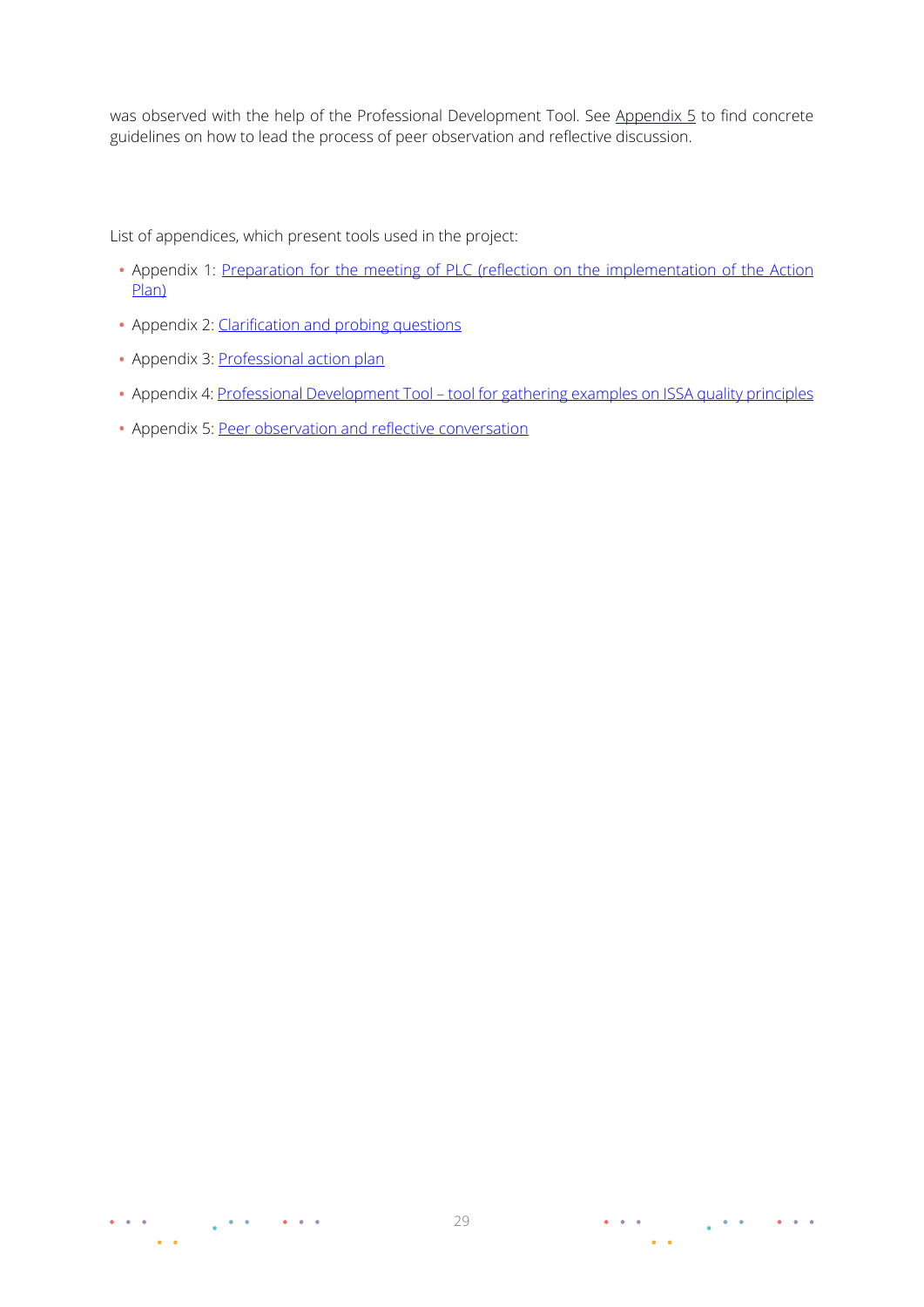was observed with the help of the Professional Development Tool. See Appendix 5 to find concrete was observed with the help of the Professional Development Tool. See <u>Appendix 5</u> to find concrete<br>guidelines on how to lead the process of peer observation and reflective discussion.

List of appendices, which prosent tools used in the project: List of appendices, which present tools used in the project:

- Appendix 1: [Preparation for the meeting of PLC \(reflection on the implementation of the Action](http://start.pei.si/wp-content/uploads/sites/11/2019/06/Appendix1_SLO-training-kit.pdf)  $P$ uth one set of toys (animals). Furthermore, parents pointed out how peer relationships are changing are changing are changing are changing are changing are changing are changing are changing are changing are changing a for their children and parents expressed the hope that their child would be able to connect and find [Plan\)](http://start.pei.si/wp-content/uploads/sites/11/2019/06/Appendix1_SLO-training-kit.pdf)
- Appendix 2: Clarification and probing questions. interviews and focus groups show how the  $\sigma$  found themselves in rather complex positions in  $\sigma$
- Appendix 3: <u>Professional action plan</u>
- Arenadiy 4: Desfectional Development Tool, tool for esthering evenues on ICCA quality princip • Appendix 4: <u>Professional Development Tool – tool for gathering examples on ISSA quality principles</u>
- pressure to make him already potty trained although I think he is not ready for this. I experience • Appendix 5: <u>[Peer observation and reflective conversation](http://start.pei.si/wp-content/uploads/sites/11/2019/06/Appendix4_SLO-training-kit.pdf)</u>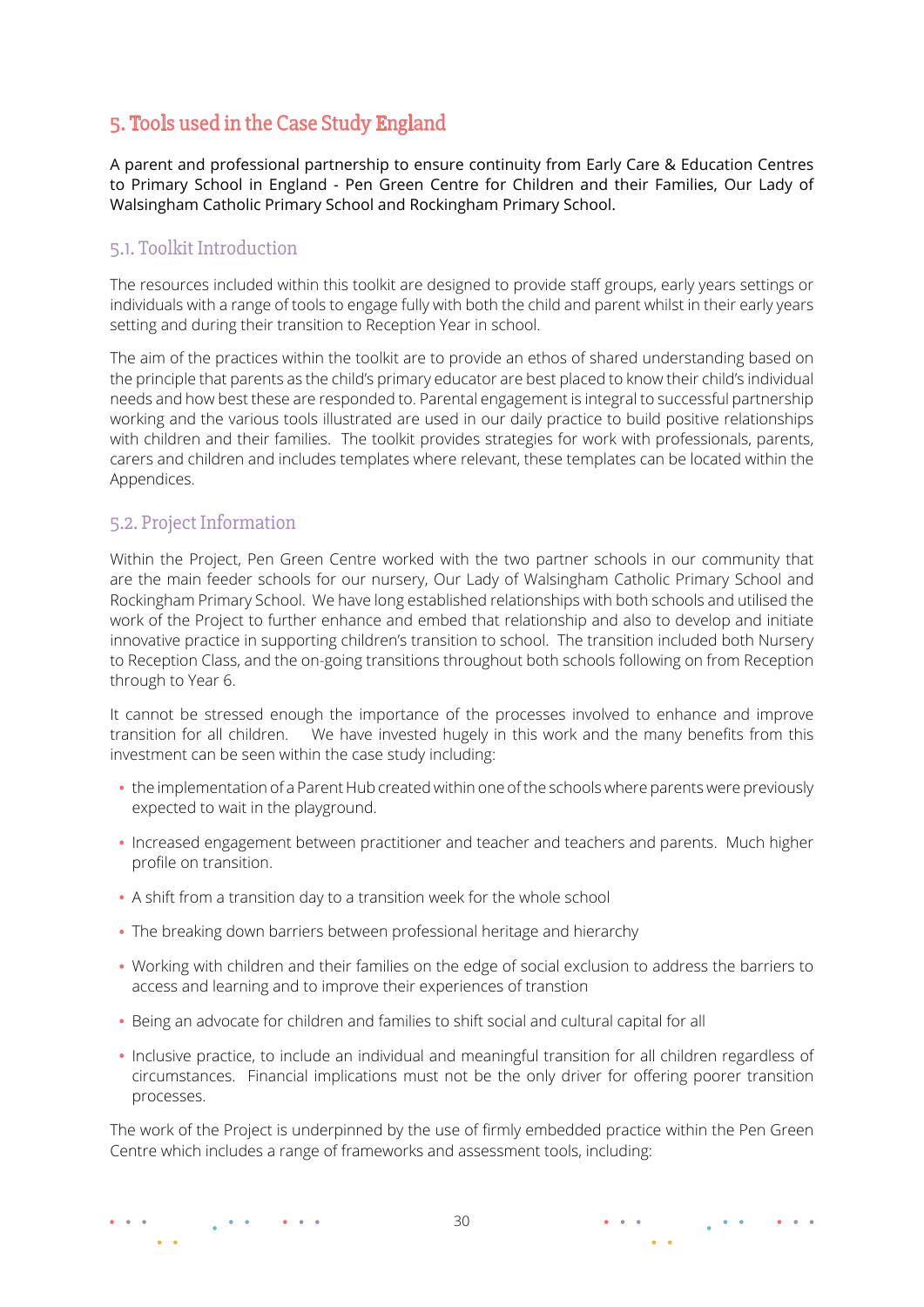### <span id="page-29-0"></span> $s<sub>1</sub>$  Tools used in the Case Study England 5. Tools used in the Case Study England

as 'incompetent novices' who are hindered by their own caring needs (e.g. not yet toilet trained, A parent and professional partnership to ensure continuity from Early Care & Education Centres<br>A partnership to the continuity of the continuity from Early Care & Education Centres the drawings and observations point out how children also transition into a new group of peers in to Primary School in England - Pen Green Centre for Children and their Families, Our Lady of Walsingham Catholic Primary School and Rockingham Primary School.

# 5.1. Toolkit Introduction into 'fit in'. In order to help themselves to regulate, they were to regulate, they to

The resources included within this toolkit are designed to provide staff groups, early years settings or The resources included within this toolkit are designed to provide staff groups, early years settings or<br>individuals with a range of tools to engage fully with both the child and parent whilst in their early years setting and during their transition to Reception Year in school. interviews and focus groups show how the show how the show the show themselves in  $\mathcal{L}$ 

The aim of the practices within the toolkit are to provide an ethos of shared understanding based on the principle that parents as the child's primary educator are best placed to know their child's individual needs and how best these are responded to. Parental engagement is integral to successful partnership working and the various tools illustrated are used in our daily practice to build positive relationships with children and their families. The toolkit provides strategies for work with professionals, parents, carers and children and includes templates where relevant, these templates can be located within the up.' *(Parent, Belgium, Fl)* Appendices.

### 5.2. Project Information and safety were addressed by parents in the set transitions. Especially were addressed by parents in the set of  $\sim$ when families are more at risk of societal exclusion (e.g.  $\alpha$  Roma families, parents of children with special exclusion (e.g. Roma families, parents of children with special exclusion (e.g. Roma families, parents of chi

Within the Project, Pen Green Centre worked with the two partner schools in our community that are the main feeder schools for our nursery, Our Lady of Walsingham Catholic Primary School and Rockingham Primary School. We have long established relationships with both schools and utilised the work of the Project to further enhance and embed that relationship and also to develop and initiate innovative practice in supporting children's transition to school. The transition included both Nursery to Reception Class, and the on-going transitions throughout both schools following on from Reception through to Year 6. The present was more friendly and welcoming to stand in the standard in the standard in the standard in the standard in the standard in the standard in the standard in the standard in the standard in the  $p$  have to stand out one, go stand out one by one by one by one by one by one by one, go straight to the children come out one, go straight to the children come out one, go straight to the children come of  $\alpha$ 

It cannot be stressed enough the importance of the processes involved to enhance and improve transition for all children. We have invested hugely in this work and the many benefits from this investment can be seen within the case study including: through the office and sit in the corridor.' *(Parent, UK)* 

- the implementation of a Parent Hub created within one of the schools where parents were previously expected to wait in the playground.
- Increased engagement between practitioner and teacher and teachers and parents. Much higher profile on transition. **Example 20** inter-institutional learning communities on the profile on transition.
- A shift from a transition day to a transition week for the whole school
- The breaking down barriers between professional heritage and hierarchy
- a poverty advocacy group to enable well-being and participation of poor children and families in • Working with children and their families on the edge of social exclusion to address the barriers to access and learning and to improve their experiences of transtion
- Being an advocate for children and families to shift social and cultural capital for all
- Inclusive practice, to include an individual and meaningful transition for all children regardless of circumstances. Financial implications must not be the only driver for offering poorer transition processes.

The work of the Project is underpinned by the use of firmly embedded practice within the Pen Green  $S$  case study reports. In each pilot and  $\frac{1}{2}$  and  $\frac{1}{2}$  and  $\frac{1}{2}$  community was studied including. Centre which includes a range of frameworks and assessment tools, including:

 $\frac{1}{2}$  ,  $\frac{1}{2}$  ,  $\frac{1}{2}$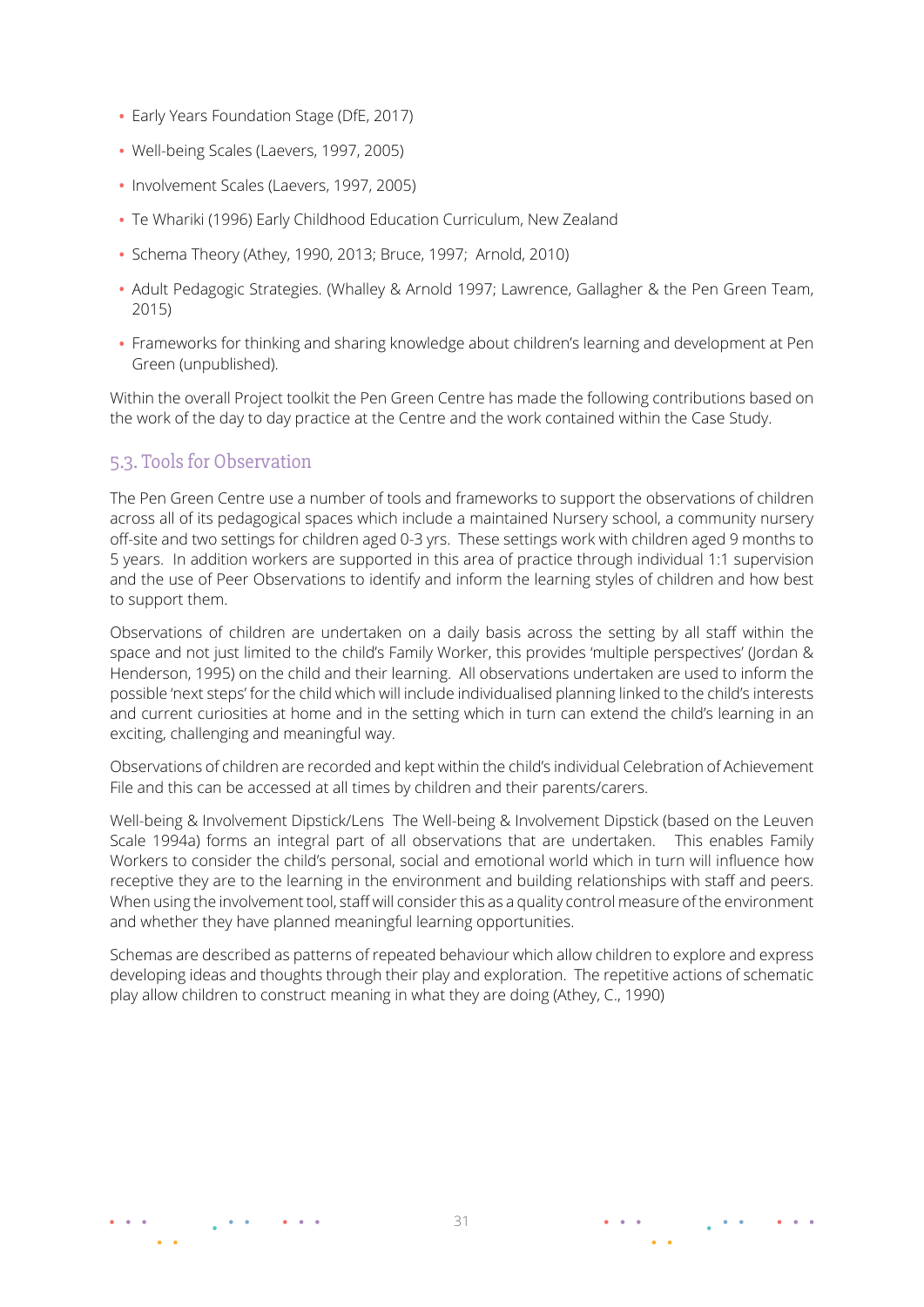- <span id="page-30-0"></span>school teachers in preschools as competent and autonomous children, they are often perceived in • Early Years Foundation Stage (DfE, 2017)
- Well-being Scales (Laevers, 1997, 2005)
- crying, seeking comfort and reassurance from adults) or behave too 'childlike and wild'. Moreover, • Involvement Scales (Laevers, 1997, 2005)
- which they need to the OCO Feeds of calculation of Feds sections. Counting the special lot of cases, and able children are not able children are not able children are not able children are not able children are not able to • Te Whariki (1996) Early Childhood Education Curriculum, New Zealand
- Schema Theory (Athey, 1990, 2013; Bruce, 1997; Arnold, 2010)  $U$ senema medi  $y$  (whe $y$ ) 1990) Long place, 1997) minolog Long
- Adult Pedagogic Strategies. (Whalley & Arnold 1997; Lawrence, Gallagher & the Pen Green Team, for the hope that the hope that the hope that the hope that the hope that the hope to connect and finding  $\alpha$  $\frac{1}{2}$  are now they face big changes during transition. Our they face big changes during transition. Our transition. Our transition. Our transition. Our transition. Our transition. Our transition. Our transition. Our t 2015)
- Frameworks for thinking and sharing knowledge about children's learning and development at Pen Green (unpublished).

Within the overall Project toolkit the Pen Green Centre has made the following contributions based on the work of the day to day practice at the Centre and the work contained within the Case Study.

# the preschool teacher in present that a child in present that a child in present to grow  $\sim$  1.1 Tools for Observation

The Pen Green Centre use a number of tools and frameworks to support the observations of children across all of its pedagogical spaces which include a maintained Nursery school, a community nursery off-site and two settings for children aged 0-3 yrs. These settings work with children aged 9 months to off-site and two settings for children aged 0-3 yrs. These settings work with children aged 9 months to<br>5 years. In addition workers are supported in this area of practice through individual 1:1 supervision and the use of Peer Observations to identify and inform the learning styles of children and how best to support them. The overwhelming need of parents to talk and exchange information  $\mathcal{L}$ about the transition of their child with professionals from childcare, pre-school or primary school.

Observations of children are undertaken on a daily basis across the setting by all staff within the space and not just limited to the child's Family Worker, this provides 'multiple perspectives' (Jordan & Henderson, 1995) on the child and their learning. All observations undertaken are used to inform the possible 'next steps' for the child which will include individualised planning linked to the child's interests and current curiosities at home and in the setting which in turn can extend the child's learning in an exciting, challenging and meaningful way. The only anything is any only any the only any the only any

Observations of children are recorded and kept within the child's individual Celebration of Achievement File and this can be accessed at all times by children and their parents/carers.

Well-being & Involvement Dipstick/Lens The Well-being & Involvement Dipstick (based on the Leuven<br>Scale 1994a) ferms an integral part of all observations that are undertaken. This enables Family Workers to consider the child's personal, social and emotional world which in turn will influence how When using the involvement tool, staff will consider this as a quality control measure of the environment and whether they have planned meaningful learning opportunities. • Pilot in Aalst, Belgium: Collaboration between a childcare centre, a pre-and primary school and Scale 1994a) forms an integral part of all observations that are undertaken. This enables Family receptive they are to the learning in the environment and building relationships with staff and peers.

Schemas are described as patterns of repeated behaviour which allow children to explore and express Schemas are described as patterns of repeated behaviour which allow children to explore and express<br>developing ideas and thoughts through their play and exploration. The repetitive actions of schematic play allow children to construct meaning in what they are doing (Athey, C., 1990)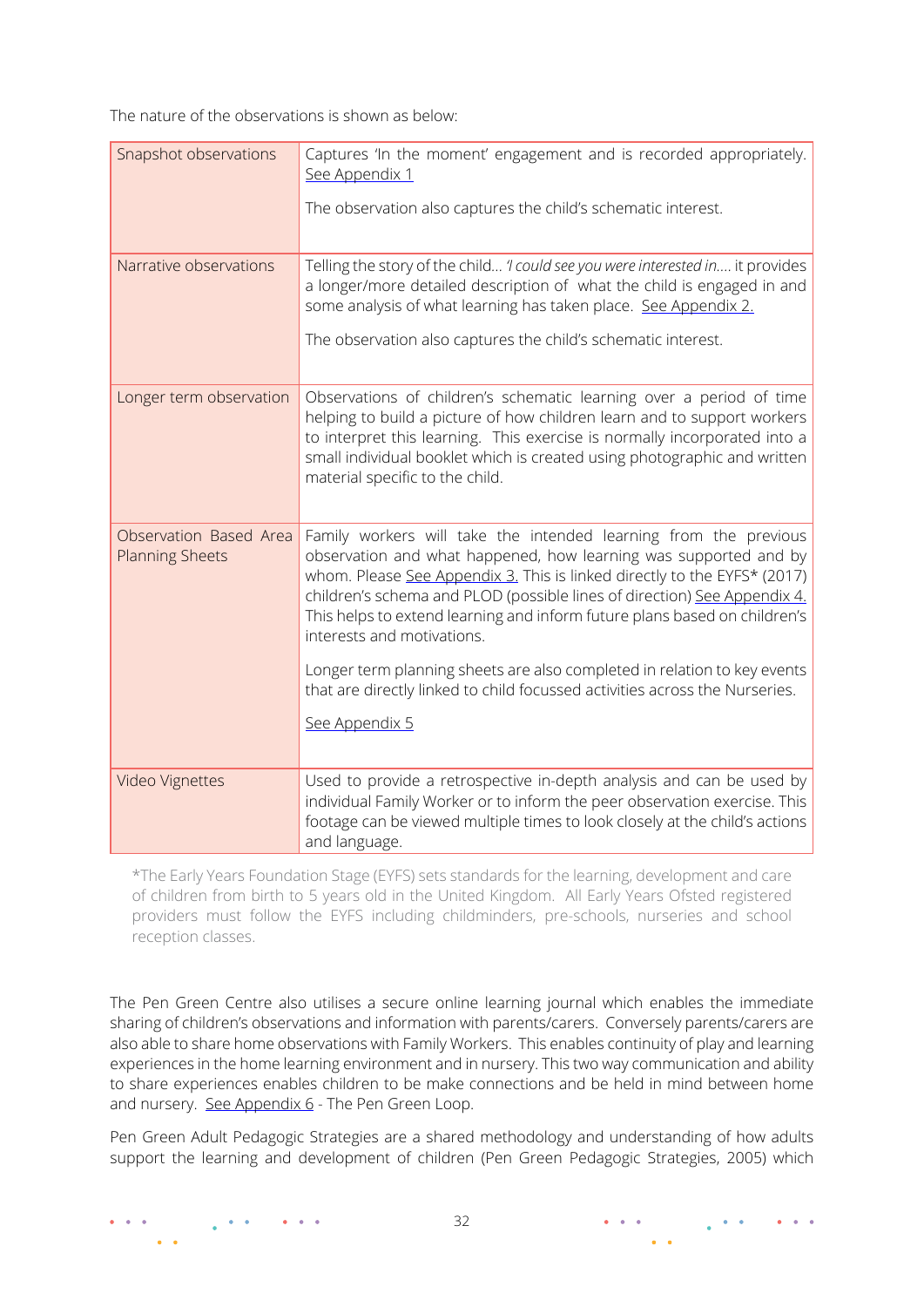The nature of the observations is shown as below:  $\;$ 

| Snapshot observations                            | Captures 'In the moment' engagement and is recorded appropriately.<br>See Appendix 1                                                                                                                                                                                                                                                                                                                    |
|--------------------------------------------------|---------------------------------------------------------------------------------------------------------------------------------------------------------------------------------------------------------------------------------------------------------------------------------------------------------------------------------------------------------------------------------------------------------|
|                                                  | The observation also captures the child's schematic interest.                                                                                                                                                                                                                                                                                                                                           |
| Narrative observations                           | Telling the story of the child 'I could see you were interested in it provides<br>a longer/more detailed description of what the child is engaged in and<br>some analysis of what learning has taken place. See Appendix 2.                                                                                                                                                                             |
|                                                  | The observation also captures the child's schematic interest.                                                                                                                                                                                                                                                                                                                                           |
| Longer term observation                          | Observations of children's schematic learning over a period of time<br>helping to build a picture of how children learn and to support workers<br>to interpret this learning. This exercise is normally incorporated into a<br>small individual booklet which is created using photographic and written<br>material specific to the child.                                                              |
| Observation Based Area<br><b>Planning Sheets</b> | Family workers will take the intended learning from the previous<br>observation and what happened, how learning was supported and by<br>whom. Please See Appendix 3. This is linked directly to the EYFS* (2017)<br>children's schema and PLOD (possible lines of direction) See Appendix 4.<br>This helps to extend learning and inform future plans based on children's<br>interests and motivations. |
|                                                  | Longer term planning sheets are also completed in relation to key events<br>that are directly linked to child focussed activities across the Nurseries.                                                                                                                                                                                                                                                 |
|                                                  | See Appendix 5                                                                                                                                                                                                                                                                                                                                                                                          |
| <b>Video Vignettes</b>                           | Used to provide a retrospective in-depth analysis and can be used by<br>individual Family Worker or to inform the peer observation exercise. This<br>footage can be viewed multiple times to look closely at the child's actions<br>and language.                                                                                                                                                       |

of children from birth to 5 years old in the United Kingdom. All Early Years Ofsted registered providers must follow the EYFS including childminders, pre-schools, nurseries and school • Pilot in Aalst, Belgium: Collaboration between a childcare centre, a pre-and primary school and reception classes. \*The Early Years Foundation Stage (EYFS) sets standards for the learning, development and care

The Pen Green Centre also utilises a secure online learning journal which enables the immediate sharing of children's observations and information with parents/carers. Conversely parents/carers are also able to share home observations with Family Workers. This enables continuity of play and learning experiences in the home learning environment and in nursery. This two way communication and ability to share experiences enables children to be make connections and be held in mind between home and nursery. [See Appendix 6](http://start.pei.si/wp-content/uploads/sites/11/2019/06/App.-6-Pen-Green-Loop-Diagram.pdf) - The Pen Green Loop.

 $T$  process, outcome and implications for national policies and practices and practices is described in four Pen Green Adult Pedagogic Strategies are a shared methodology and understanding of how adults support the learning and development of children (Pen Green Pedagogic Strategies, 2005) which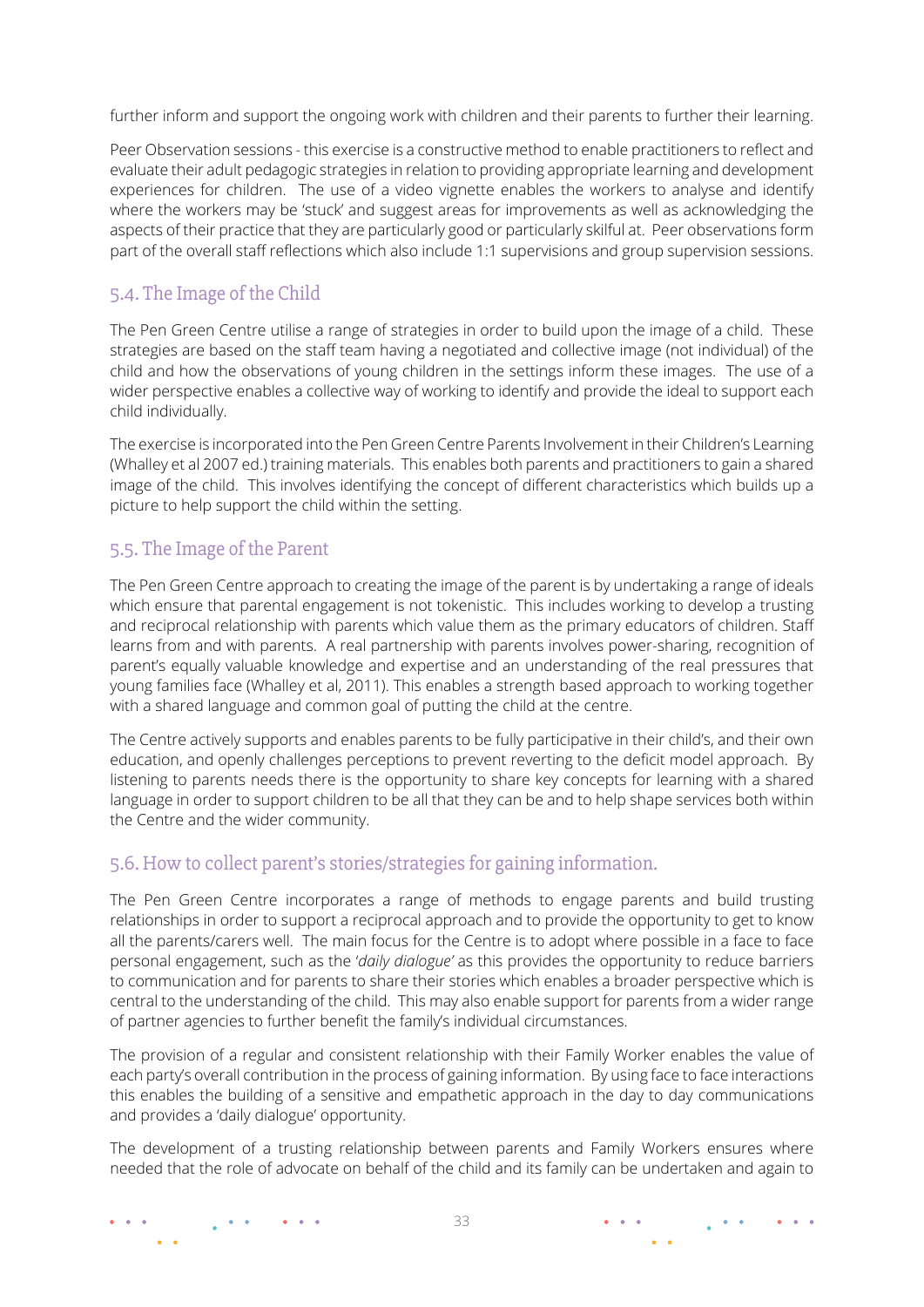<span id="page-32-0"></span>further inform and support the ongoing work with children and their parents to further their learning.

the next phase (pre-school or primary school) by the pre-school teachers or primary school teachers Peer Observation sessions - this exercise is a constructive method to enable practitioners to reflect and evaluate their adult pedagogic strategies in relation to providing appropriate learning and development experiences for children. The use of a video vignette enables the workers to analyse and identify where the workers may be 'stuck' and suggest areas for improvements as well as acknowledging the where the workers may be 'stuck' and suggest areas for improvements as well as acknowledging the<br>aspects of their practice that they are particularly good or particularly skilful at. Peer observations form part of the overall staff reflections which also include 1:1 supervisions and group supervision sessions. use objects such as swinging on a swing when feeling overwhelmed, carrying and playing exclusively

### $F_A$ . The Image of the Child 5.4. The Image of the Child would be able to connect and find be able to connect and find  $\sigma$

The Pen Green Centre utilise a range of strategies in order to build upon the image of a child. These interviews and focus groups of  $\alpha$  in  $\alpha$  and  $\beta$  is the selves of  $\alpha$  in the selves in  $\alpha$  is  $\alpha$  is  $\alpha$  is  $\alpha$  is  $\alpha$  is  $\alpha$  is  $\alpha$  is  $\alpha$  is  $\alpha$  is  $\alpha$  is  $\alpha$  is  $\alpha$  is  $\alpha$  is  $\alpha$  is  $\alpha$  is  $\alpha$  is strategies are based on the staff team having a negotiated and collective image (not individual) of the  $\alpha$  ready to another a children way of working to identify and provide the ideal to support as wider perspective enables a collective way of working to identify and provide the ideal to support each<br>child individually pressure to make him although I think he is not ready for this not ready for this not ready for this not ready for this is not ready for the intervals of the intervals of the intervals of the intervals of the intervals of child and how the observations of young children in the settings inform these images. The use of a child individually.

The exercise is incorporated into the Pen Green Centre Parents Involvement in their Children's Learning (Whalley et al 2007 ed.) training materials. This enables both parents and practitioners to gain a shared up.' *(Parent, Belgium, Fl)* image of the child. This involves identifying the concept of different characteristics which builds up a picture to help support the child within the setting.

### $E_{\rm E}$ . The Image of the Daronts of  $\epsilon$ 5.5. The Image of the Parent and the also represent a political and political and political and political and political and political and political and political and political and political and political and political and

The Pen Green Centre approach to creating the image of the parent is by undertaking a range of ideals me rent or earned to tapproduct to creduing the image of the parents by andertalling a range or ideals which ensure that parental engagement is not tokenistic. This includes working to develop a trusting which ensure that parental engagement is not tokenistic. This includes working to develop a trusting<br>and reciprocal relationship with parents which value them as the primary educators of children. Staff learns from and with parents. A real partnership with parents involves power-sharing, recognition of parent's equally valuable knowledge and expertise and an understanding of the real pressures that The present was more relaxed with  $\sim$  2011). This enables a strength hand unresolution to stand  $\sim$ young families face (Whalley et al, 2011). This enables a strength based approach to working together<br>with a shared large season of second approach of surfice the shild stake season. with a shared language and common goal of putting the child at the centre.

The Centre actively supports and enables parents to be fully participative in their child's, and their own me can e delively supports and enables parents to be rany participalite in their ennaby and their com-<br>education, and openly challenges perceptions to prevent reverting to the deficit model approach. By through the office and sit in the corridor.' *(Parent, UK)*  listening to parents needs there is the opportunity to share key concepts for learning with a shared the Centre and the wider community.<br>. language in order to support children to be all that they can be and to help shape services both within

# 5.6. How to collect parent's stories/strategies for gaining information.

The Pen Green Centre incorporates a range of methods to engage parents and build trusting relationships in order to support a reciprocal approach and to provide the opportunity to get to know all the parents/carers well. The main focus for the Centre is to adopt where possible in a face to face personal engagement, such as the '*daily dialogue'* as this provides the opportunity to reduce barriers to communication and for parents to share their stories which enables a broader perspective which is central to the understanding of the child. This may also enable support for parents from a wider range of partner agencies to further benefit the family's individual circumstances.

The provision of a regular and consistent relationship with their Family Worker enables the value of each party's overall contribution in the process of gaining information. By using face to face interactions this enables the building of a sensitive and empathetic approach in the day to day communications and provides a 'daily dialogue' opportunity.

The development of a trusting relationship between parents and Family Workers ensures where needed that the role of advocate on behalf of the child and its family can be undertaken and again to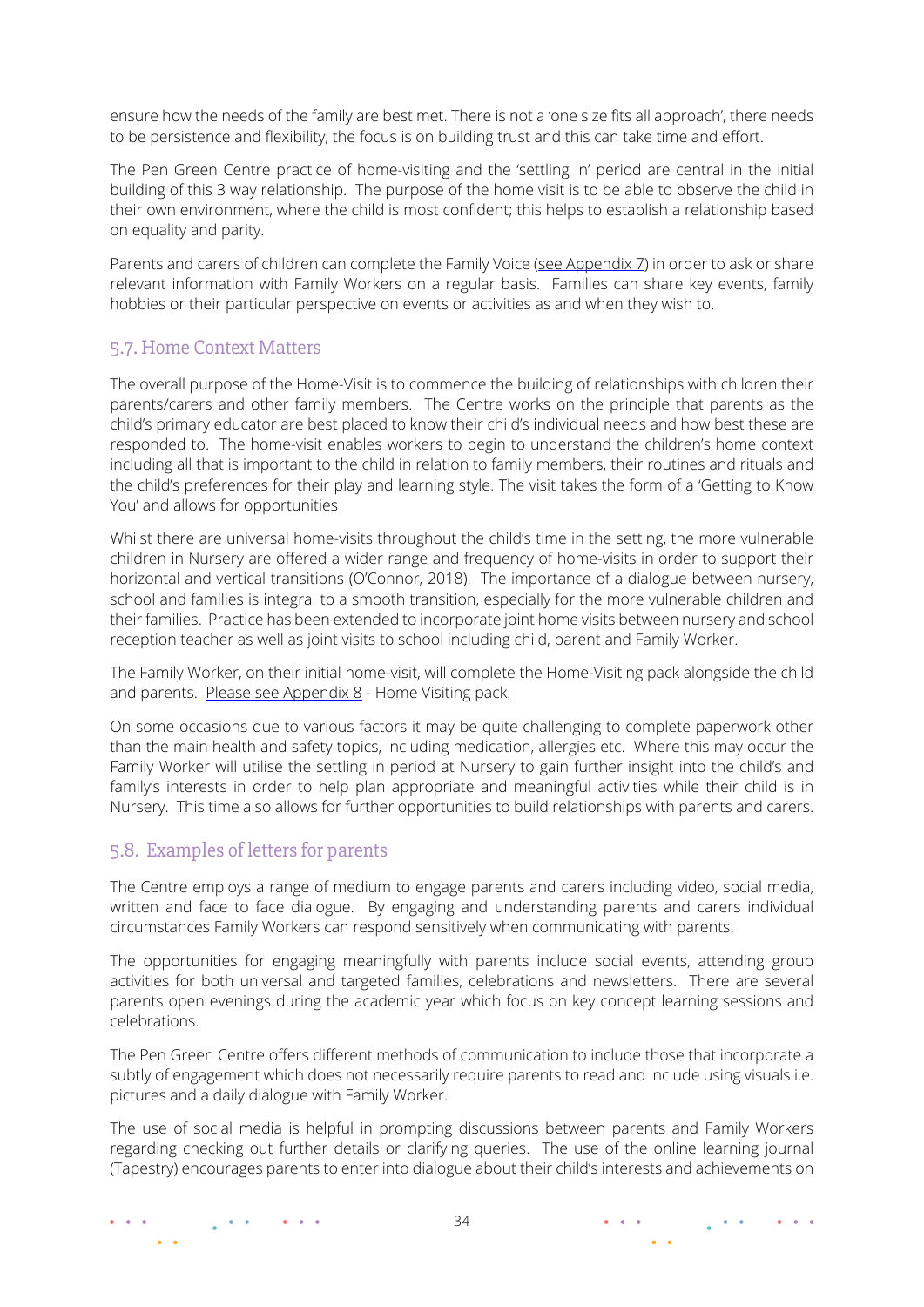<span id="page-33-0"></span>ensure how the needs of the family are best met. There is not a 'one size fits all approach', there needs ensure how the needs of the family are best met. There is not a 'one size fits all approach', there needs<br>to be persistence and flexibility, the focus is on building trust and this can take time and effort.

The Pen Green Centre practice of home-visiting and the 'settling in' period are central in the initial building of this 3 way relationship. The purpose of the home visit is to be able to observe the child in their own environment, where the child is most confident; this helps to establish a relationship based<br>on equality and parity. on equality and parity.

Parents and carers of children can complete the Family Voice ([see Appendix 7](http://start.pei.si/wp-content/uploads/sites/11/2019/06/App.-7-Family-Voice.pdf)) in order to ask or share relevant information with Family Workers on a regular basis. Families can share key events, family relevant information with Family Workers on a regular basis. Families can share key events, family<br>hobbies or their particular perspective on events or activities as and when they wish to.

### $E7$  Home Context Matters 5.7. Home Context Matters

The overall purpose of the Home-Visit is to commence the building of relationships with children their parents/carers and other family members. The Centre works on the principle that parents as the child's primary educator are best placed to know their child's individual needs and how best these are responded to. The home-visit enables workers to begin to understand the children's home context including all that is important to the child in relation to family members, their routines and rituals and up.' *(Parent, Belgium, Fl)* the child's preferences for their play and learning style. The visit takes the form of a 'Getting to Know You' and allows for opportunities examples and the ECEC/school system, many questions on the ECEC/school system, many questions on the ECEC/school system, many questions on the ECEC/school system, many questions on the ECE

Whilst there are universal home-visits throughout the child's time in the setting, the more vulnerable Whilst there are universal home-visits throughout the child's time in the setting, the more vulnerable<br>children in Nursery are offered a wider range and frequency of home-visits in order to support their horizontal and vertical transitions (O'Connor, 2018). The importance of a dialogue between nursery, school and families is integral to a smooth transition, especially for the more vulnerable children and their families. Practice has been extended to incorporate joint home visits between nursery and school reception teacher as well as joint visits to school including child, parent and Family Worker.

The Family Worker, on their initial home-visit, will complete the Home-Visiting pack alongside the child and parents. [Please see Appendix 8](http://start.pei.si/wp-content/uploads/sites/11/2019/06/App-8.-Home-Visiting-Pack.pdf) - Home Visiting pack.

parents and then you leave so you don't even get to talk to a teacher or find out anything…I felt On some occasions due to various factors it may be quite challenging to complete paperwork other than the main health and safety topics, including medication, allergies etc. Where this may occur the Family Worker will utilise the settling in period at Nursery to gain further insight into the child's and family's interests in order to help plan appropriate and meaningful activities while their child is in Nursery. This time also allows for further opportunities to build relationships with parents and carers.

# 5.8. Examples of letters for parents

In order to face the face of moduli to engage parents and carets including video, social media, written and face to face dialogue. By engaging and understanding parents and carers individual circumstances Family Workers can respond sensitively when communicating with parents. The Centre employs a range of medium to engage parents and carers including video, social media,

The opportunities for engaging meaningfully with parents include social events, attending group activities for both universal and targeted families, celebrations and newsletters. There are several parents open evenings during the academic year which focus on key concept learning sessions and continuity based on a partnership. The partnership of the partnership of the partnership. The partnership of the partnership of the partnership. The partnership of the partnership of the partnership. The partnership of the

The Pen Green Centre offers different methods of communication to include those that incorporate a subtly of engagement which does not necessarily require parents to read and include using visuals i.e. pictures and a daily dialogue with Family Worker.

The use of social media is helpful in prompting discussions between parents and Family Workers regarding checking out further details or clarifying queries. The use of the online learning journal established. This is a group of stations (childcare, present into dialogue about their child's interests and achievements on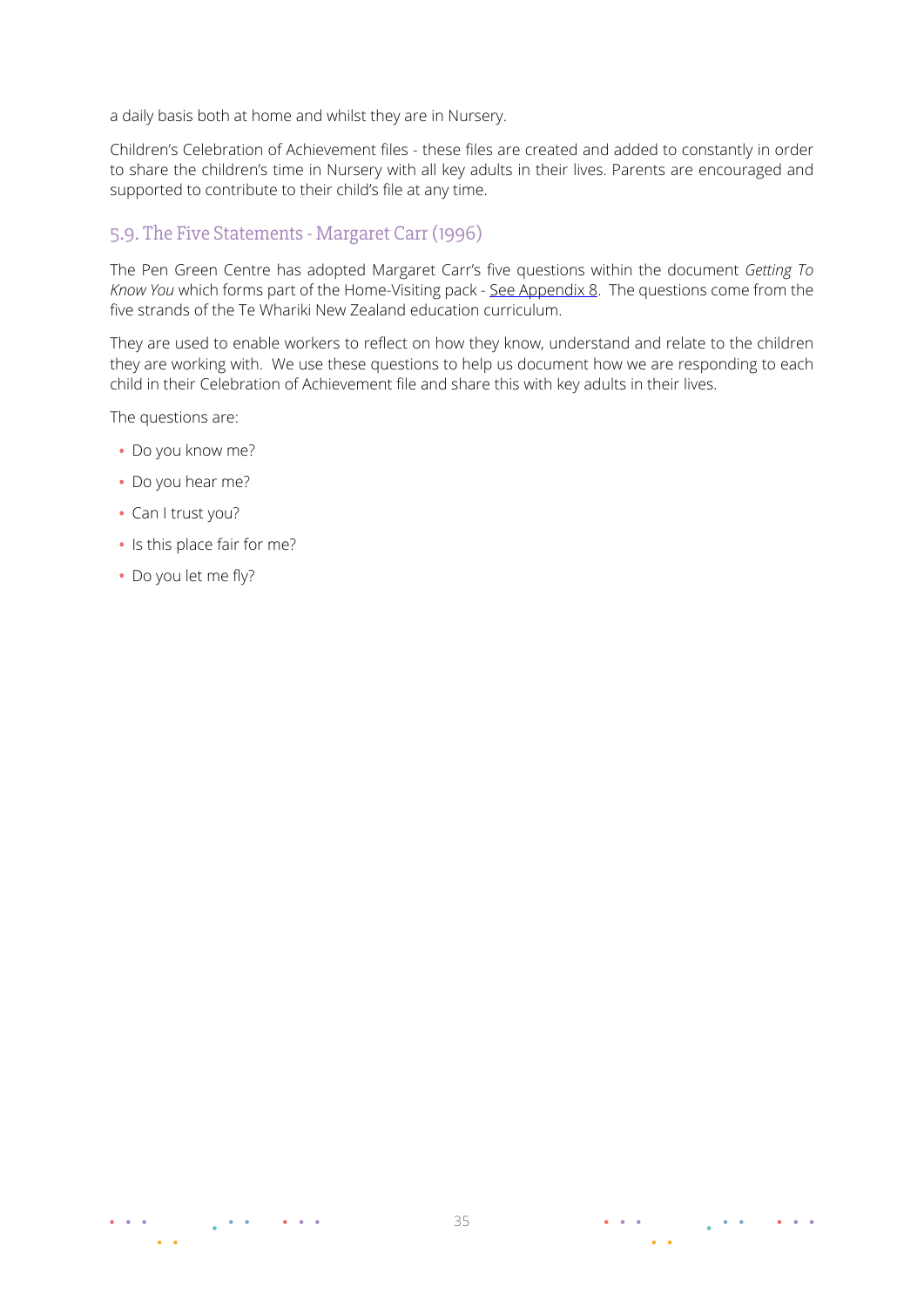<span id="page-34-0"></span>a daily basis both at home and whilst they are in Nursery.

the next phase (pre-school or primary school) by the pre-school teachers or primary school teachers Children's Celebration of Achievement files - these files are created and added to constantly in order to share the children's time in Nursery with all key adults in their lives. Parents are encouraged and supported to contribute to their child's file at any time.

### 5.9. The Five Statements - Margaret Carr (1996) constant running around and using physicality to the themselves to the material theoretical experimental theoretical experimental experimental theoretical experimental experimental experimental experimental experimental ex

The Pen Green Centre has adopted Margaret Carr's five questions within the document *Getting To* Know You which forms part of the Home-Visiting pack - [See Appendix 8](http://start.pei.si/wp-content/uploads/sites/11/2019/06/App-8.-Home-Visiting-Pack.pdf). The questions come from the five strands of the Te Whariki New Zealand education curriculum. new setunds of the re-military frem Equality codeduring transition.

They are used to enable workers to reflect on how they know, understand and relate to the children they are working with. We use these questions to help us document how we are responding to each child in their Celebration of Achievement file and share this with key adults in their lives.

The questions are:  $\frac{1}{\pi}$  this not ready for this not ready for this. I experience  $\frac{1}{\pi}$  is not ready for this. I experience  $\frac{1}{\pi}$  experience  $\frac{1}{\pi}$  and  $\frac{1}{\pi}$  experience  $\frac{1}{\pi}$  and  $\frac{1}{\pi}$  ex

- Do you know me? the preschool teacher. I have the impression that a child in present a child in preschool subdenly needs to grow  $\eta$
- Do you hear me?
- $\epsilon$  is the context and the context and the ECEC/school system, many questions on  $\epsilon$  $\epsilon$  care and safety were addressed by parents in the safety were addressed by parents in the set of  $\epsilon$ • Can I trust you?
- Is this place fair for me? needs, families living in severe poverty,…) these caring questions seem to also represent a political
- Do you let me fly?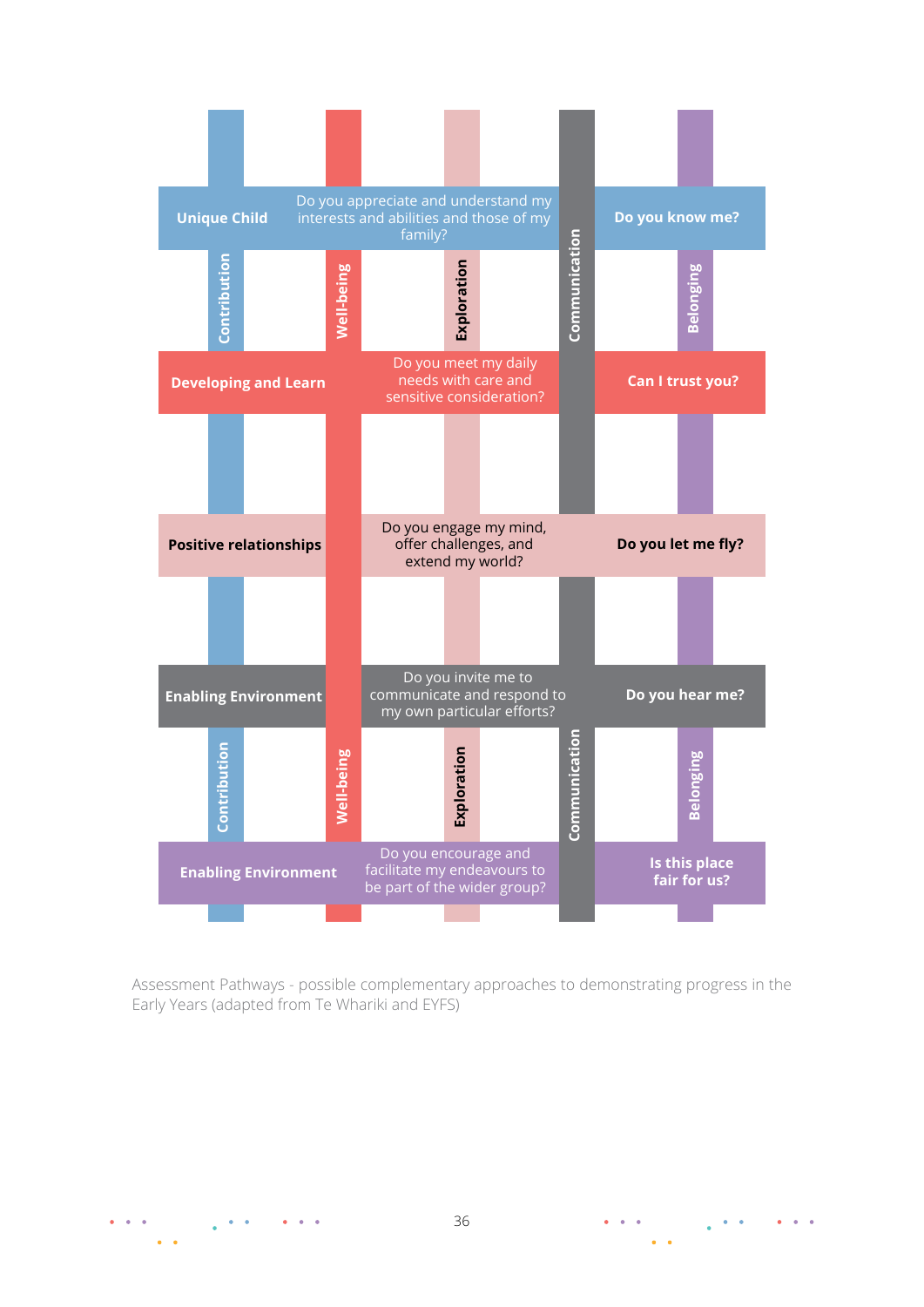

Assessment Pathways - possible complementary approaches to demonstrating progress in the • Pilot in Corby, UK: Collaboration between an integrated ECEC centre and primary schools to ensure continuity based on approximation partnership.

 $\bullet$  ,  $\bullet$  ,  $\bullet$ 

 $\bullet$  .  $\bullet$ 

 $\sim$ 

 $\Delta$ 

 $\bullet$ - 4